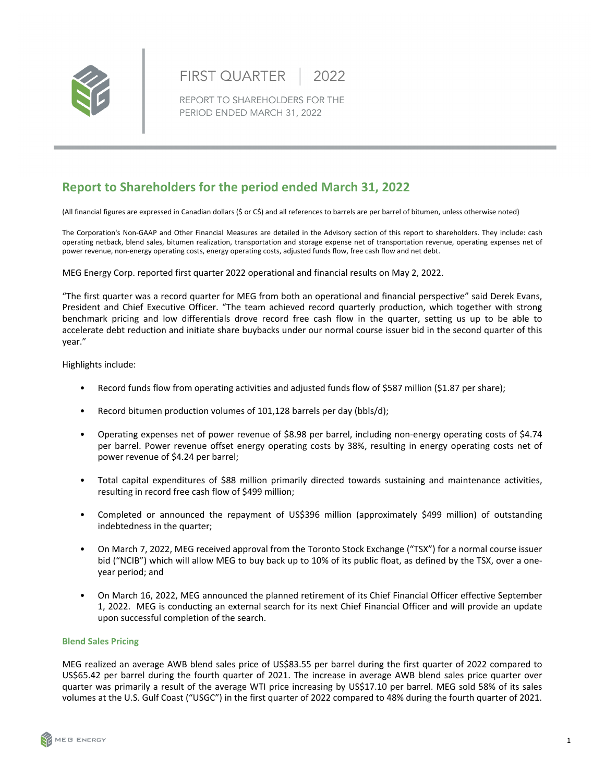

#### **FIRST QUARTER** 2022

REPORT TO SHAREHOLDERS FOR THE PERIOD ENDED MARCH 31, 2022

# **Report to Shareholders for the period ended March 31, 2022**

(All financial figures are expressed in Canadian dollars (\$ or C\$) and all references to barrels are per barrel of bitumen, unless otherwise noted)

The Corporation's Non-GAAP and Other Financial Measures are detailed in the Advisory section of this report to shareholders. They include: cash operating netback, blend sales, bitumen realization, transportation and storage expense net of transportation revenue, operating expenses net of power revenue, non-energy operating costs, energy operating costs, adjusted funds flow, free cash flow and net debt.

MEG Energy Corp. reported first quarter 2022 operational and financial results on May 2, 2022.

"The first quarter was a record quarter for MEG from both an operational and financial perspective" said Derek Evans, President and Chief Executive Officer. "The team achieved record quarterly production, which together with strong benchmark pricing and low differentials drove record free cash flow in the quarter, setting us up to be able to accelerate debt reduction and initiate share buybacks under our normal course issuer bid in the second quarter of this year." 

Highlights include:

- Record funds flow from operating activities and adjusted funds flow of \$587 million (\$1.87 per share);
- Record bitumen production volumes of 101,128 barrels per day (bbls/d);
- Operating expenses net of power revenue of \$8.98 per barrel, including non-energy operating costs of \$4.74 per barrel. Power revenue offset energy operating costs by 38%, resulting in energy operating costs net of power revenue of \$4.24 per barrel;
- Total capital expenditures of \$88 million primarily directed towards sustaining and maintenance activities, resulting in record free cash flow of \$499 million;
- Completed or announced the repayment of US\$396 million (approximately \$499 million) of outstanding indebtedness in the quarter;
- On March 7, 2022, MEG received approval from the Toronto Stock Exchange ("TSX") for a normal course issuer bid ("NCIB") which will allow MEG to buy back up to 10% of its public float, as defined by the TSX, over a oneyear period; and
- On March 16, 2022, MEG announced the planned retirement of its Chief Financial Officer effective September 1, 2022. MEG is conducting an external search for its next Chief Financial Officer and will provide an update upon successful completion of the search.

# **Blend Sales Pricing**

MEG realized an average AWB blend sales price of US\$83.55 per barrel during the first quarter of 2022 compared to US\$65.42 per barrel during the fourth quarter of 2021. The increase in average AWB blend sales price quarter over quarter was primarily a result of the average WTI price increasing by US\$17.10 per barrel. MEG sold 58% of its sales volumes at the U.S. Gulf Coast ("USGC") in the first quarter of 2022 compared to 48% during the fourth quarter of 2021.

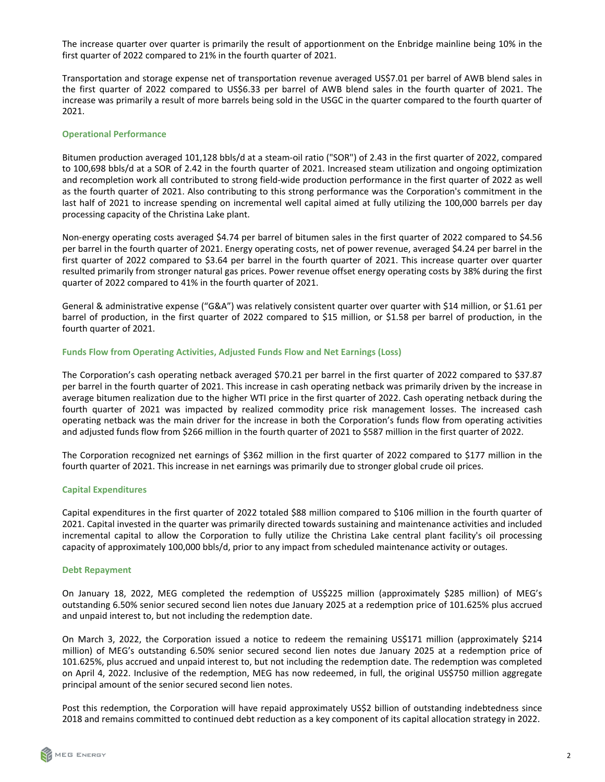The increase quarter over quarter is primarily the result of apportionment on the Enbridge mainline being 10% in the first quarter of 2022 compared to 21% in the fourth quarter of 2021.

Transportation and storage expense net of transportation revenue averaged US\$7.01 per barrel of AWB blend sales in the first quarter of 2022 compared to US\$6.33 per barrel of AWB blend sales in the fourth quarter of 2021. The increase was primarily a result of more barrels being sold in the USGC in the quarter compared to the fourth quarter of 2021.

#### **Operational Performance**

Bitumen production averaged 101,128 bbls/d at a steam-oil ratio ("SOR") of 2.43 in the first quarter of 2022, compared to 100,698 bbls/d at a SOR of 2.42 in the fourth quarter of 2021. Increased steam utilization and ongoing optimization and recompletion work all contributed to strong field-wide production performance in the first quarter of 2022 as well as the fourth quarter of 2021. Also contributing to this strong performance was the Corporation's commitment in the last half of 2021 to increase spending on incremental well capital aimed at fully utilizing the 100,000 barrels per day processing capacity of the Christina Lake plant.

Non-energy operating costs averaged \$4.74 per barrel of bitumen sales in the first quarter of 2022 compared to \$4.56 per barrel in the fourth quarter of 2021. Energy operating costs, net of power revenue, averaged \$4.24 per barrel in the first quarter of 2022 compared to \$3.64 per barrel in the fourth quarter of 2021. This increase quarter over quarter resulted primarily from stronger natural gas prices. Power revenue offset energy operating costs by 38% during the first quarter of 2022 compared to 41% in the fourth quarter of 2021.

General & administrative expense ("G&A") was relatively consistent quarter over quarter with \$14 million, or \$1.61 per barrel of production, in the first quarter of 2022 compared to \$15 million, or \$1.58 per barrel of production, in the fourth quarter of 2021.

#### **Funds Flow from Operating Activities, Adjusted Funds Flow and Net Earnings (Loss)**

The Corporation's cash operating netback averaged \$70.21 per barrel in the first quarter of 2022 compared to \$37.87 per barrel in the fourth quarter of 2021. This increase in cash operating netback was primarily driven by the increase in average bitumen realization due to the higher WTI price in the first quarter of 2022. Cash operating netback during the fourth quarter of 2021 was impacted by realized commodity price risk management losses. The increased cash operating netback was the main driver for the increase in both the Corporation's funds flow from operating activities and adjusted funds flow from \$266 million in the fourth quarter of 2021 to \$587 million in the first quarter of 2022.

The Corporation recognized net earnings of \$362 million in the first quarter of 2022 compared to \$177 million in the fourth quarter of 2021. This increase in net earnings was primarily due to stronger global crude oil prices.

#### **Capital Expenditures**

Capital expenditures in the first quarter of 2022 totaled \$88 million compared to \$106 million in the fourth quarter of 2021. Capital invested in the quarter was primarily directed towards sustaining and maintenance activities and included incremental capital to allow the Corporation to fully utilize the Christina Lake central plant facility's oil processing capacity of approximately 100,000 bbls/d, prior to any impact from scheduled maintenance activity or outages.

#### **Debt Repayment**

On January 18, 2022, MEG completed the redemption of US\$225 million (approximately \$285 million) of MEG's outstanding 6.50% senior secured second lien notes due January 2025 at a redemption price of 101.625% plus accrued and unpaid interest to, but not including the redemption date.

On March 3, 2022, the Corporation issued a notice to redeem the remaining US\$171 million (approximately \$214 million) of MEG's outstanding 6.50% senior secured second lien notes due January 2025 at a redemption price of 101.625%, plus accrued and unpaid interest to, but not including the redemption date. The redemption was completed on April 4, 2022. Inclusive of the redemption, MEG has now redeemed, in full, the original US\$750 million aggregate principal amount of the senior secured second lien notes.

Post this redemption, the Corporation will have repaid approximately US\$2 billion of outstanding indebtedness since 2018 and remains committed to continued debt reduction as a key component of its capital allocation strategy in 2022.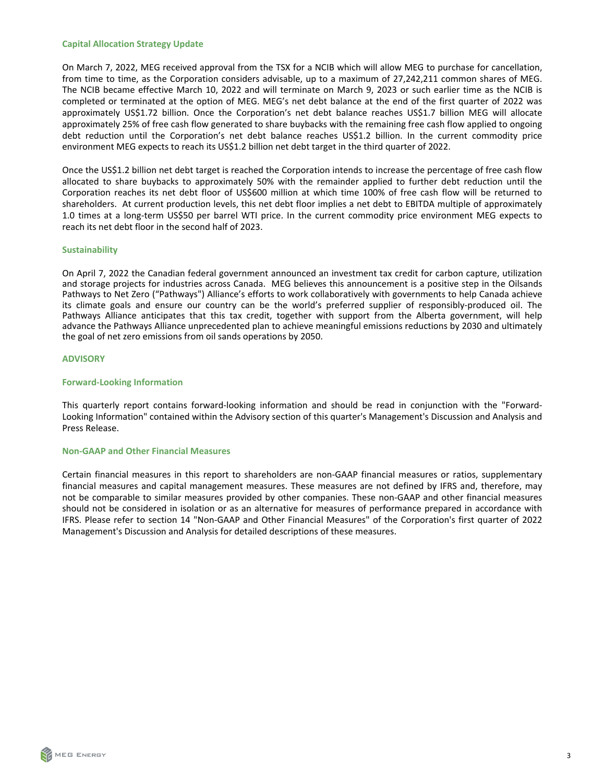#### **Capital Allocation Strategy Update**

On March 7, 2022, MEG received approval from the TSX for a NCIB which will allow MEG to purchase for cancellation, from time to time, as the Corporation considers advisable, up to a maximum of 27,242,211 common shares of MEG. The NCIB became effective March 10, 2022 and will terminate on March 9, 2023 or such earlier time as the NCIB is completed or terminated at the option of MEG. MEG's net debt balance at the end of the first quarter of 2022 was approximately US\$1.72 billion. Once the Corporation's net debt balance reaches US\$1.7 billion MEG will allocate approximately 25% of free cash flow generated to share buybacks with the remaining free cash flow applied to ongoing debt reduction until the Corporation's net debt balance reaches US\$1.2 billion. In the current commodity price environment MEG expects to reach its US\$1.2 billion net debt target in the third quarter of 2022.

Once the US\$1.2 billion net debt target is reached the Corporation intends to increase the percentage of free cash flow allocated to share buybacks to approximately 50% with the remainder applied to further debt reduction until the Corporation reaches its net debt floor of US\$600 million at which time 100% of free cash flow will be returned to shareholders. At current production levels, this net debt floor implies a net debt to EBITDA multiple of approximately 1.0 times at a long-term US\$50 per barrel WTI price. In the current commodity price environment MEG expects to reach its net debt floor in the second half of 2023.

#### **Sustainability**

On April 7, 2022 the Canadian federal government announced an investment tax credit for carbon capture, utilization and storage projects for industries across Canada. MEG believes this announcement is a positive step in the Oilsands Pathways to Net Zero ("Pathways") Alliance's efforts to work collaboratively with governments to help Canada achieve its climate goals and ensure our country can be the world's preferred supplier of responsibly-produced oil. The Pathways Alliance anticipates that this tax credit, together with support from the Alberta government, will help advance the Pathways Alliance unprecedented plan to achieve meaningful emissions reductions by 2030 and ultimately the goal of net zero emissions from oil sands operations by 2050.

#### **ADVISORY**

#### **Forward-Looking Information**

This quarterly report contains forward-looking information and should be read in conjunction with the "Forward-Looking Information" contained within the Advisory section of this quarter's Management's Discussion and Analysis and Press Release.

#### **Non-GAAP and Other Financial Measures**

Certain financial measures in this report to shareholders are non-GAAP financial measures or ratios, supplementary financial measures and capital management measures. These measures are not defined by IFRS and, therefore, may not be comparable to similar measures provided by other companies. These non-GAAP and other financial measures should not be considered in isolation or as an alternative for measures of performance prepared in accordance with IFRS. Please refer to section 14 "Non-GAAP and Other Financial Measures" of the Corporation's first quarter of 2022 Management's Discussion and Analysis for detailed descriptions of these measures.

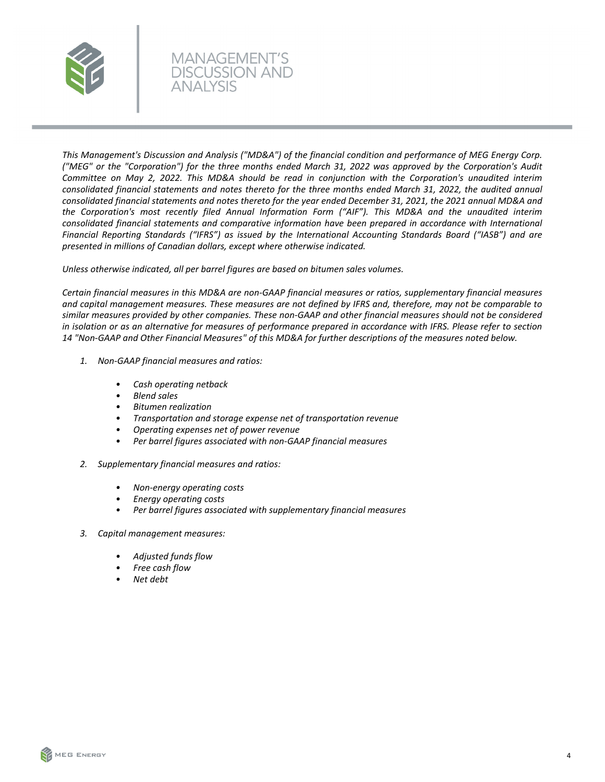

This Management's Discussion and Analysis ("MD&A") of the financial condition and performance of MEG Energy Corp. *("MEG" or the "Corporation") for the three months ended March 31, 2022 was approved by the Corporation's Audit*  Committee on May 2, 2022. This MD&A should be read in conjunction with the Corporation's unaudited interim consolidated financial statements and notes thereto for the three months ended March 31, 2022, the audited annual consolidated financial statements and notes thereto for the year ended December 31, 2021, the 2021 annual MD&A and the Corporation's most recently filed Annual Information Form ("AIF"). This MD&A and the unaudited interim *consolidated financial statements and comparative information have been prepared in accordance with International* Financial Reporting Standards ("IFRS") as issued by the International Accounting Standards Board ("IASB") and are presented in millions of Canadian dollars, except where otherwise indicated.

Unless otherwise indicated, all per barrel figures are based on bitumen sales volumes.

**MANAGEMENT'S DISCUSSION AND** 

*Certain financial measures in this MD&A are non-GAAP financial measures or ratios, supplementary financial measures* and capital management measures. These measures are not defined by IFRS and, therefore, may not be comparable to similar measures provided by other companies. These non-GAAP and other financial measures should not be considered *in* isolation or as an alternative for measures of performance prepared in accordance with IFRS. Please refer to section 14 "Non-GAAP and Other Financial Measures" of this MD&A for further descriptions of the measures noted below.

- *1. Non-GAAP financial measures and ratios:*
	- *• Cash operating netback*
	- *• Blend sales*
	- *• Bitumen realization*
	- *• Transportation and storage expense net of transportation revenue*
	- *• Operating expenses net of power revenue*
	- Per barrel figures associated with non-GAAP financial measures
- *2. Supplementary financial measures and ratios:*
	- *• Non-energy operating costs*
	- *• Energy operating costs*
	- Per barrel figures associated with supplementary financial measures
- *3. Capital management measures:*
	- *• Adjusted funds flow*
	- *• Free cash flow*
	- *• Net debt*



4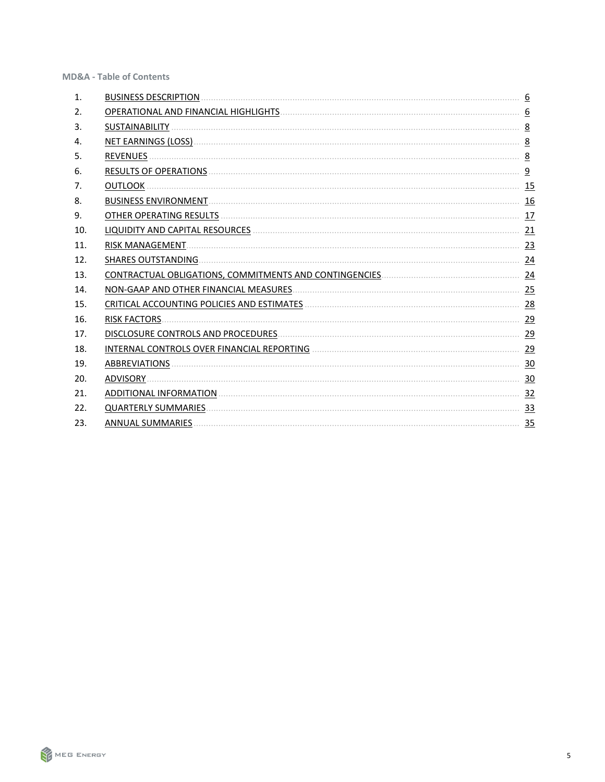**MD&A - Table of Contents** 

| 1.  | <b>BUSINESS DESCRIPTION</b>                 | 6               |
|-----|---------------------------------------------|-----------------|
| 2.  |                                             | 6               |
| 3.  | <b>SUSTAINABILITY</b>                       | 8               |
| 4.  | NET EARNINGS (LOSS)                         | 8               |
| 5.  | <b>REVENUES</b>                             | 8               |
| 6.  | <b>RESULTS OF OPERATIONS</b>                | $\overline{9}$  |
| 7.  | <b>OUTLOOK</b>                              | <u>15</u>       |
| 8.  | <b>BUSINESS ENVIRONMENT.</b>                | 16              |
| 9.  | OTHER OPERATING RESULTS                     | 17              |
| 10. | LIQUIDITY AND CAPITAL RESOURCES             | 21              |
| 11. | <b>RISK MANAGEMENT.</b>                     | 23              |
| 12. | <b>SHARES OUTSTANDING.</b>                  | 24              |
| 13. |                                             | $\overline{24}$ |
| 14. | NON-GAAP AND OTHER FINANCIAL MEASURES.      | 25              |
| 15. | CRITICAL ACCOUNTING POLICIES AND ESTIMATES. | 28              |
| 16. | <b>RISK FACTORS.</b>                        | 29              |
| 17. | DISCLOSURE CONTROLS AND PROCEDURES.         | 29              |
| 18. | INTERNAL CONTROLS OVER FINANCIAL REPORTING  | 29              |
| 19. | ABBREVIATIONS.                              | 30              |
| 20. | <b>ADVISORY</b>                             | 30              |
| 21. | ADDITIONAL INFORMATION.                     | 32              |
| 22. | <b>QUARTERLY SUMMARIES</b>                  | 33              |
| 23. | <b>ANNUAL SUMMARIES</b>                     | 35              |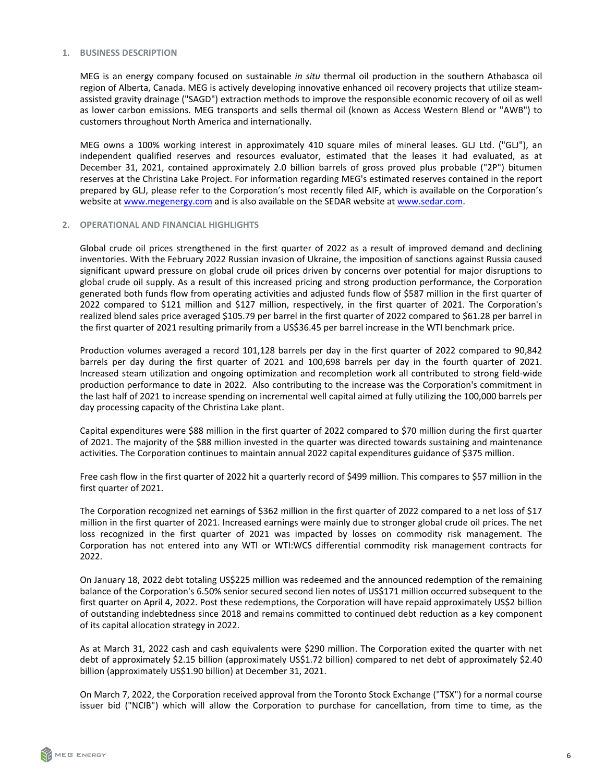#### <span id="page-5-0"></span>**1. BUSINESS DESCRIPTION**

MEG is an energy company focused on sustainable *in situ* thermal oil production in the southern Athabasca oil region of Alberta, Canada. MEG is actively developing innovative enhanced oil recovery projects that utilize steamassisted gravity drainage ("SAGD") extraction methods to improve the responsible economic recovery of oil as well as lower carbon emissions. MEG transports and sells thermal oil (known as Access Western Blend or "AWB") to customers throughout North America and internationally.

MEG owns a 100% working interest in approximately 410 square miles of mineral leases. GLJ Ltd. ("GLJ"), an independent qualified reserves and resources evaluator, estimated that the leases it had evaluated, as at December 31, 2021, contained approximately 2.0 billion barrels of gross proved plus probable ("2P") bitumen reserves at the Christina Lake Project. For information regarding MEG's estimated reserves contained in the report prepared by GLJ, please refer to the Corporation's most recently filed AIF, which is available on the Corporation's website at www.megenergy.com and is also available on the SEDAR website at www.sedar.com.

#### **2. OPERATIONAL AND FINANCIAL HIGHLIGHTS**

Global crude oil prices strengthened in the first quarter of 2022 as a result of improved demand and declining inventories. With the February 2022 Russian invasion of Ukraine, the imposition of sanctions against Russia caused significant upward pressure on global crude oil prices driven by concerns over potential for major disruptions to global crude oil supply. As a result of this increased pricing and strong production performance, the Corporation generated both funds flow from operating activities and adjusted funds flow of \$587 million in the first quarter of 2022 compared to \$121 million and \$127 million, respectively, in the first quarter of 2021. The Corporation's realized blend sales price averaged \$105.79 per barrel in the first quarter of 2022 compared to \$61.28 per barrel in the first quarter of 2021 resulting primarily from a US\$36.45 per barrel increase in the WTI benchmark price.

Production volumes averaged a record 101,128 barrels per day in the first quarter of 2022 compared to 90,842 barrels per day during the first quarter of 2021 and 100,698 barrels per day in the fourth quarter of 2021. Increased steam utilization and ongoing optimization and recompletion work all contributed to strong field-wide production performance to date in 2022. Also contributing to the increase was the Corporation's commitment in the last half of 2021 to increase spending on incremental well capital aimed at fully utilizing the 100,000 barrels per day processing capacity of the Christina Lake plant.

Capital expenditures were \$88 million in the first quarter of 2022 compared to \$70 million during the first quarter of 2021. The majority of the \$88 million invested in the quarter was directed towards sustaining and maintenance activities. The Corporation continues to maintain annual 2022 capital expenditures guidance of \$375 million.

Free cash flow in the first quarter of 2022 hit a quarterly record of \$499 million. This compares to \$57 million in the first quarter of 2021.

The Corporation recognized net earnings of \$362 million in the first quarter of 2022 compared to a net loss of \$17 million in the first quarter of 2021. Increased earnings were mainly due to stronger global crude oil prices. The net loss recognized in the first quarter of 2021 was impacted by losses on commodity risk management. The Corporation has not entered into any WTI or WTI:WCS differential commodity risk management contracts for 2022.

On January 18, 2022 debt totaling US\$225 million was redeemed and the announced redemption of the remaining balance of the Corporation's 6.50% senior secured second lien notes of US\$171 million occurred subsequent to the first quarter on April 4, 2022. Post these redemptions, the Corporation will have repaid approximately US\$2 billion of outstanding indebtedness since 2018 and remains committed to continued debt reduction as a key component of its capital allocation strategy in 2022.

As at March 31, 2022 cash and cash equivalents were \$290 million. The Corporation exited the quarter with net debt of approximately \$2.15 billion (approximately US\$1.72 billion) compared to net debt of approximately \$2.40 billion (approximately US\$1.90 billion) at December 31, 2021.

On March 7, 2022, the Corporation received approval from the Toronto Stock Exchange ("TSX") for a normal course issuer bid ("NCIB") which will allow the Corporation to purchase for cancellation, from time to time, as the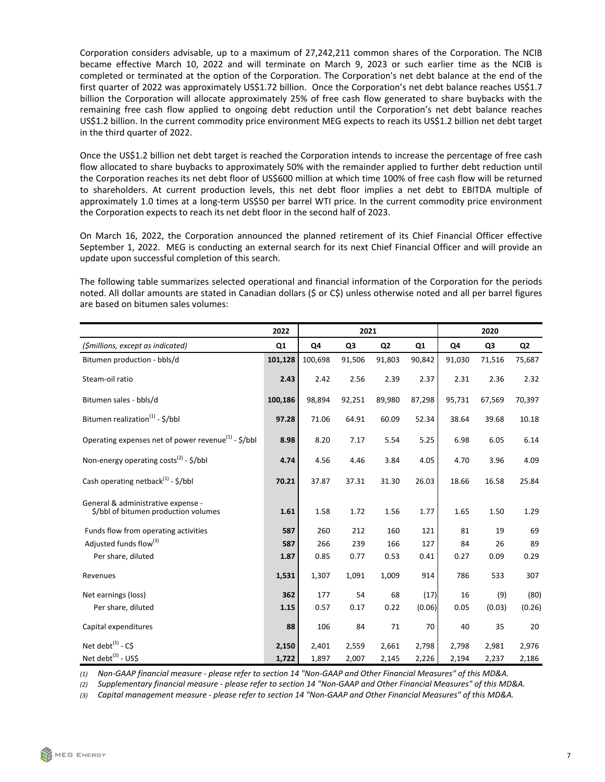Corporation considers advisable, up to a maximum of 27,242,211 common shares of the Corporation. The NCIB became effective March 10, 2022 and will terminate on March 9, 2023 or such earlier time as the NCIB is completed or terminated at the option of the Corporation. The Corporation's net debt balance at the end of the first quarter of 2022 was approximately US\$1.72 billion. Once the Corporation's net debt balance reaches US\$1.7 billion the Corporation will allocate approximately 25% of free cash flow generated to share buybacks with the remaining free cash flow applied to ongoing debt reduction until the Corporation's net debt balance reaches US\$1.2 billion. In the current commodity price environment MEG expects to reach its US\$1.2 billion net debt target in the third quarter of 2022.

Once the US\$1.2 billion net debt target is reached the Corporation intends to increase the percentage of free cash flow allocated to share buybacks to approximately 50% with the remainder applied to further debt reduction until the Corporation reaches its net debt floor of US\$600 million at which time 100% of free cash flow will be returned to shareholders. At current production levels, this net debt floor implies a net debt to EBITDA multiple of approximately 1.0 times at a long-term US\$50 per barrel WTI price. In the current commodity price environment the Corporation expects to reach its net debt floor in the second half of 2023.

On March 16, 2022, the Corporation announced the planned retirement of its Chief Financial Officer effective September 1, 2022. MEG is conducting an external search for its next Chief Financial Officer and will provide an update upon successful completion of this search.

The following table summarizes selected operational and financial information of the Corporation for the periods noted. All dollar amounts are stated in Canadian dollars (\$ or C\$) unless otherwise noted and all per barrel figures are based on bitumen sales volumes:

|                                                                             | 2022    |         | 2021           |                |        | 2020   |                |        |  |
|-----------------------------------------------------------------------------|---------|---------|----------------|----------------|--------|--------|----------------|--------|--|
| (\$millions, except as indicated)                                           | Q1      | Q4      | Q <sub>3</sub> | Q <sub>2</sub> | Q4     | Q3     | Q <sub>2</sub> |        |  |
| Bitumen production - bbls/d                                                 | 101,128 | 100,698 | 91,506         | 91,803         | 90,842 | 91,030 | 71,516         | 75,687 |  |
| Steam-oil ratio                                                             | 2.43    | 2.42    | 2.56           | 2.39           | 2.37   | 2.31   | 2.36           | 2.32   |  |
| Bitumen sales - bbls/d                                                      | 100,186 | 98,894  | 92,251         | 89,980         | 87,298 | 95,731 | 67,569         | 70,397 |  |
| Bitumen realization <sup>(1)</sup> - \$/bbl                                 | 97.28   | 71.06   | 64.91          | 60.09          | 52.34  | 38.64  | 39.68          | 10.18  |  |
| Operating expenses net of power revenue <sup>(1)</sup> - $\frac{1}{2}$ /bbl | 8.98    | 8.20    | 7.17           | 5.54           | 5.25   | 6.98   | 6.05           | 6.14   |  |
| Non-energy operating costs <sup>(2)</sup> - $\frac{1}{2}$ /bbl              | 4.74    | 4.56    | 4.46           | 3.84           | 4.05   | 4.70   | 3.96           | 4.09   |  |
| Cash operating netback <sup>(1)</sup> - $\frac{1}{2}$ /bbl                  | 70.21   | 37.87   | 37.31          | 31.30          | 26.03  | 18.66  | 16.58          | 25.84  |  |
| General & administrative expense -<br>\$/bbl of bitumen production volumes  | 1.61    | 1.58    | 1.72           | 1.56           | 1.77   | 1.65   | 1.50           | 1.29   |  |
| Funds flow from operating activities                                        | 587     | 260     | 212            | 160            | 121    | 81     | 19             | 69     |  |
| Adjusted funds flow <sup>(3)</sup>                                          | 587     | 266     | 239            | 166            | 127    | 84     | 26             | 89     |  |
| Per share, diluted                                                          | 1.87    | 0.85    | 0.77           | 0.53           | 0.41   | 0.27   | 0.09           | 0.29   |  |
| Revenues                                                                    | 1,531   | 1,307   | 1,091          | 1,009          | 914    | 786    | 533            | 307    |  |
| Net earnings (loss)                                                         | 362     | 177     | 54             | 68             | (17)   | 16     | (9)            | (80)   |  |
| Per share, diluted                                                          | 1.15    | 0.57    | 0.17           | 0.22           | (0.06) | 0.05   | (0.03)         | (0.26) |  |
| Capital expenditures                                                        | 88      | 106     | 84             | 71             | 70     | 40     | 35             | 20     |  |
| Net debt $^{(3)}$ - CS                                                      | 2,150   | 2,401   | 2,559          | 2,661          | 2,798  | 2,798  | 2,981          | 2,976  |  |
| Net debt <sup>(3)</sup> - US\$                                              | 1,722   | 1,897   | 2,007          | 2,145          | 2,226  | 2,194  | 2,237          | 2,186  |  |

(1) Non-GAAP financial measure - please refer to section 14 "Non-GAAP and Other Financial Measures" of this MD&A.

(2) Supplementary financial measure - please refer to section 14 "Non-GAAP and Other Financial Measures" of this MD&A.

(3) Capital management measure - please refer to section 14 "Non-GAAP and Other Financial Measures" of this MD&A.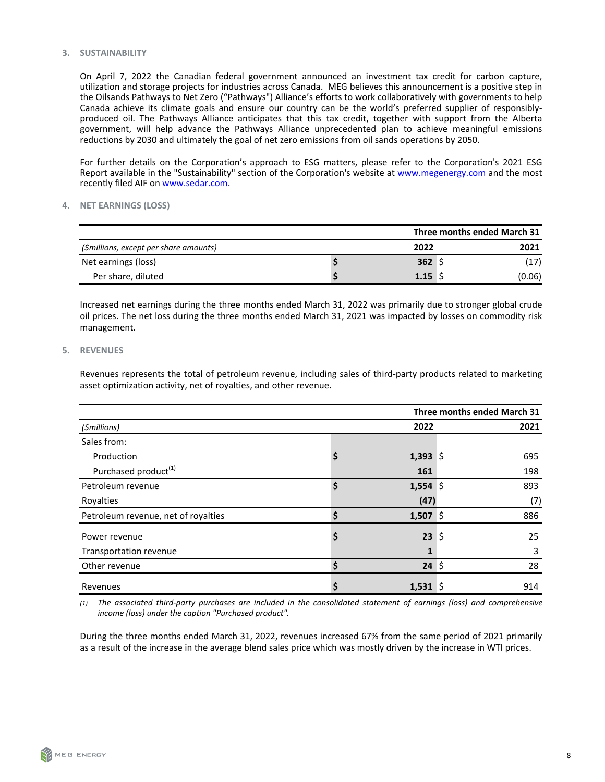#### <span id="page-7-0"></span>**3. SUSTAINABILITY**

On April 7, 2022 the Canadian federal government announced an investment tax credit for carbon capture, utilization and storage projects for industries across Canada. MEG believes this announcement is a positive step in the Oilsands Pathways to Net Zero ("Pathways") Alliance's efforts to work collaboratively with governments to help Canada achieve its climate goals and ensure our country can be the world's preferred supplier of responsiblyproduced oil. The Pathways Alliance anticipates that this tax credit, together with support from the Alberta government, will help advance the Pathways Alliance unprecedented plan to achieve meaningful emissions reductions by 2030 and ultimately the goal of net zero emissions from oil sands operations by 2050.

For further details on the Corporation's approach to ESG matters, please refer to the Corporation's 2021 ESG Report available in the "Sustainability" section of the Corporation's website at www.megenergy.com and the most recently filed AIF on www.sedar.com.

# **4. NET EARNINGS (LOSS)**

|                                        |        | Three months ended March 31 |        |  |  |  |
|----------------------------------------|--------|-----------------------------|--------|--|--|--|
| (\$millions, except per share amounts) | 2022   |                             | 2021   |  |  |  |
| Net earnings (loss)                    | 362 \$ |                             | (17)   |  |  |  |
| Per share, diluted                     | 1.15   |                             | (0.06) |  |  |  |

Increased net earnings during the three months ended March 31, 2022 was primarily due to stronger global crude oil prices. The net loss during the three months ended March 31, 2021 was impacted by losses on commodity risk management.

# **5. REVENUES**

Revenues represents the total of petroleum revenue, including sales of third-party products related to marketing asset optimization activity, net of royalties, and other revenue.

| Three months ended March 31         |    |            |    |      |  |  |
|-------------------------------------|----|------------|----|------|--|--|
| (\$millions)                        |    | 2022       |    | 2021 |  |  |
| Sales from:                         |    |            |    |      |  |  |
| Production                          | Ş  | 1,393 \$   |    | 695  |  |  |
| Purchased product <sup>(1)</sup>    |    | 161        |    | 198  |  |  |
| Petroleum revenue                   | \$ | $1,554$ \$ |    | 893  |  |  |
| Royalties                           |    | (47)       |    | (7)  |  |  |
| Petroleum revenue, net of royalties | Ś  | 1,507 \$   |    | 886  |  |  |
| Power revenue                       | \$ | 23         | \$ | 25   |  |  |
| Transportation revenue              |    | 1          |    | 3    |  |  |
| Other revenue                       |    | $24 \;$ \$ |    | 28   |  |  |
| Revenues                            |    | $1,531$ \$ |    | 914  |  |  |

(1) The associated third-party purchases are included in the consolidated statement of earnings (loss) and comprehensive *income* (loss) under the caption "Purchased product".

During the three months ended March 31, 2022, revenues increased 67% from the same period of 2021 primarily as a result of the increase in the average blend sales price which was mostly driven by the increase in WTI prices.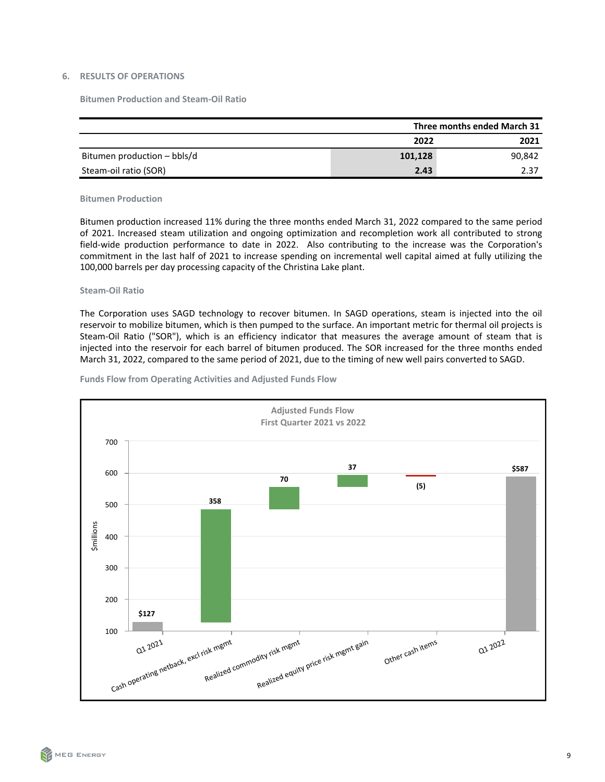# <span id="page-8-0"></span>**6. RESULTS OF OPERATIONS**

**Bitumen Production and Steam-Oil Ratio**

|                             | Three months ended March 31 |        |  |  |  |  |
|-----------------------------|-----------------------------|--------|--|--|--|--|
|                             | 2022                        | 2021   |  |  |  |  |
| Bitumen production - bbls/d | 101,128                     | 90,842 |  |  |  |  |
| Steam-oil ratio (SOR)       | 2.43                        | 2.37   |  |  |  |  |

#### **Bitumen Production**

Bitumen production increased 11% during the three months ended March 31, 2022 compared to the same period of 2021. Increased steam utilization and ongoing optimization and recompletion work all contributed to strong field-wide production performance to date in 2022. Also contributing to the increase was the Corporation's commitment in the last half of 2021 to increase spending on incremental well capital aimed at fully utilizing the 100,000 barrels per day processing capacity of the Christina Lake plant.

#### **Steam-Oil Ratio**

The Corporation uses SAGD technology to recover bitumen. In SAGD operations, steam is injected into the oil reservoir to mobilize bitumen, which is then pumped to the surface. An important metric for thermal oil projects is Steam-Oil Ratio ("SOR"), which is an efficiency indicator that measures the average amount of steam that is injected into the reservoir for each barrel of bitumen produced. The SOR increased for the three months ended March 31, 2022, compared to the same period of 2021, due to the timing of new well pairs converted to SAGD.



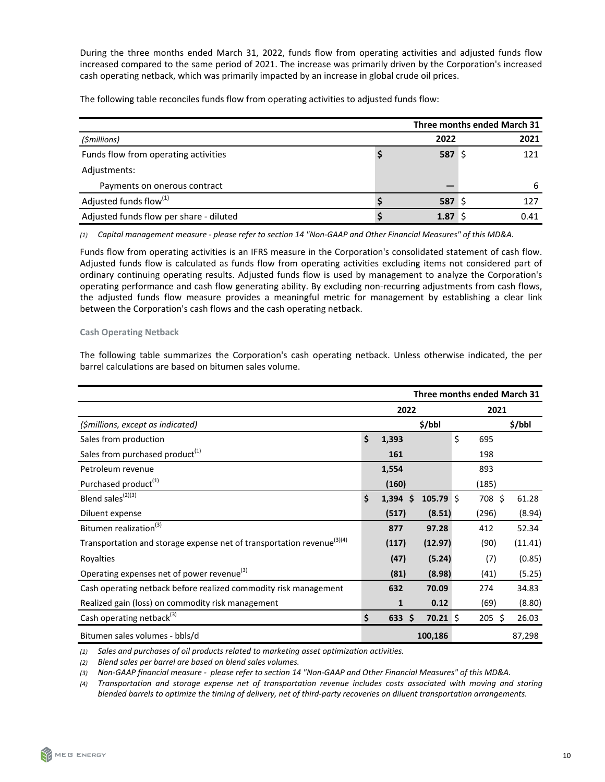During the three months ended March 31, 2022, funds flow from operating activities and adjusted funds flow increased compared to the same period of 2021. The increase was primarily driven by the Corporation's increased cash operating netback, which was primarily impacted by an increase in global crude oil prices.

The following table reconciles funds flow from operating activities to adjusted funds flow:

|                                         |  | Three months ended March 31 |      |
|-----------------------------------------|--|-----------------------------|------|
| (\$millions)                            |  | 2022                        | 2021 |
| Funds flow from operating activities    |  | 587 \$                      | 121  |
| Adjustments:                            |  |                             |      |
| Payments on onerous contract            |  |                             | h    |
| Adjusted funds flow <sup>(1)</sup>      |  | 587 S                       | 127  |
| Adjusted funds flow per share - diluted |  | 1.87                        | 0.41 |

*(1) Capital management measure - please refer to section 14 "Non-GAAP and Other Financial Measures" of this MD&A.*

Funds flow from operating activities is an IFRS measure in the Corporation's consolidated statement of cash flow. Adjusted funds flow is calculated as funds flow from operating activities excluding items not considered part of ordinary continuing operating results. Adjusted funds flow is used by management to analyze the Corporation's operating performance and cash flow generating ability. By excluding non-recurring adjustments from cash flows, the adjusted funds flow measure provides a meaningful metric for management by establishing a clear link between the Corporation's cash flows and the cash operating netback.

# **Cash Operating Netback**

The following table summarizes the Corporation's cash operating netback. Unless otherwise indicated, the per barrel calculations are based on bitumen sales volume.

|                                                                                    | Three months ended March 31 |                  |                    |    |             |         |  |  |
|------------------------------------------------------------------------------------|-----------------------------|------------------|--------------------|----|-------------|---------|--|--|
|                                                                                    | 2022<br>2021                |                  |                    |    |             |         |  |  |
| (\$millions, except as indicated)                                                  |                             |                  | \$/bbl             |    |             | \$/bbl  |  |  |
| Sales from production                                                              | \$                          | 1,393            |                    | \$ | 695         |         |  |  |
| Sales from purchased product <sup>(1)</sup>                                        |                             | 161              |                    |    | 198         |         |  |  |
| Petroleum revenue                                                                  |                             | 1,554            |                    |    | 893         |         |  |  |
| Purchased product <sup>(1)</sup>                                                   |                             | (160)            |                    |    | (185)       |         |  |  |
| Blend sales <sup>(2)(3)</sup>                                                      | \$                          | $1,394$ \$       | $105.79 \pm 10.02$ |    | 708 \$      | 61.28   |  |  |
| Diluent expense                                                                    |                             | (517)            | (8.51)             |    | (296)       | (8.94)  |  |  |
| Bitumen realization <sup>(3)</sup>                                                 |                             | 877              | 97.28              |    | 412         | 52.34   |  |  |
| Transportation and storage expense net of transportation revenue <sup>(3)(4)</sup> |                             | (117)            | (12.97)            |    | (90)        | (11.41) |  |  |
| Royalties                                                                          |                             | (47)             | (5.24)             |    | (7)         | (0.85)  |  |  |
| Operating expenses net of power revenue <sup>(3)</sup>                             |                             | (81)             | (8.98)             |    | (41)        | (5.25)  |  |  |
| Cash operating netback before realized commodity risk management                   |                             | 632              | 70.09              |    | 274         | 34.83   |  |  |
| Realized gain (loss) on commodity risk management                                  |                             | $\mathbf{1}$     | 0.12               |    | (69)        | (8.80)  |  |  |
| Cash operating netback <sup>(3)</sup>                                              | \$                          | 633 <sup>5</sup> | $70.21 \text{ }$   |    | $205 \; \S$ | 26.03   |  |  |
| Bitumen sales volumes - bbls/d                                                     |                             |                  | 100,186            |    |             | 87,298  |  |  |

*(1) Sales and purchases of oil products related to marketing asset optimization activities.* 

*(2) Blend sales per barrel are based on blend sales volumes.*

(3) Non-GAAP financial measure - please refer to section 14 "Non-GAAP and Other Financial Measures" of this MD&A.

(4) Transportation and storage expense net of transportation revenue includes costs associated with moving and storing blended barrels to optimize the timing of delivery, net of third-party recoveries on diluent transportation arrangements.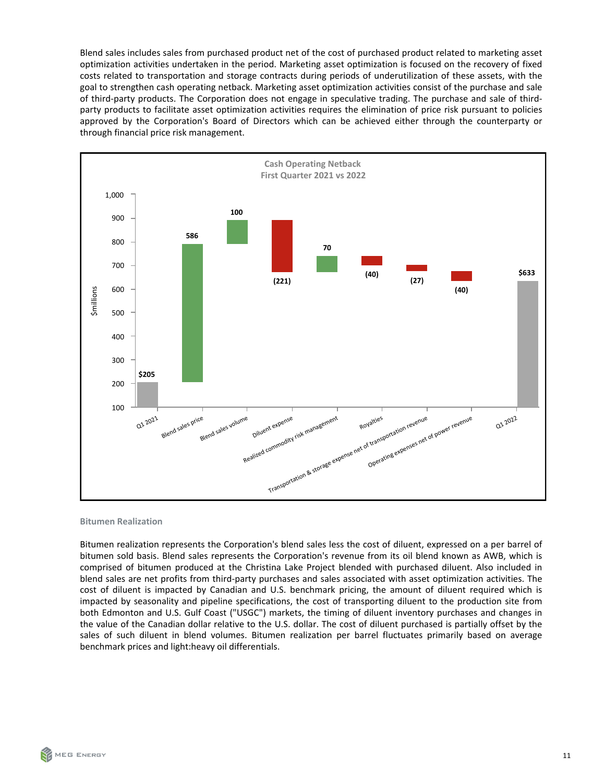Blend sales includes sales from purchased product net of the cost of purchased product related to marketing asset optimization activities undertaken in the period. Marketing asset optimization is focused on the recovery of fixed costs related to transportation and storage contracts during periods of underutilization of these assets, with the goal to strengthen cash operating netback. Marketing asset optimization activities consist of the purchase and sale of third-party products. The Corporation does not engage in speculative trading. The purchase and sale of thirdparty products to facilitate asset optimization activities requires the elimination of price risk pursuant to policies approved by the Corporation's Board of Directors which can be achieved either through the counterparty or through financial price risk management.



#### **Bitumen Realization**

Bitumen realization represents the Corporation's blend sales less the cost of diluent, expressed on a per barrel of bitumen sold basis. Blend sales represents the Corporation's revenue from its oil blend known as AWB, which is comprised of bitumen produced at the Christina Lake Project blended with purchased diluent. Also included in blend sales are net profits from third-party purchases and sales associated with asset optimization activities. The cost of diluent is impacted by Canadian and U.S. benchmark pricing, the amount of diluent required which is impacted by seasonality and pipeline specifications, the cost of transporting diluent to the production site from both Edmonton and U.S. Gulf Coast ("USGC") markets, the timing of diluent inventory purchases and changes in the value of the Canadian dollar relative to the U.S. dollar. The cost of diluent purchased is partially offset by the sales of such diluent in blend volumes. Bitumen realization per barrel fluctuates primarily based on average benchmark prices and light:heavy oil differentials.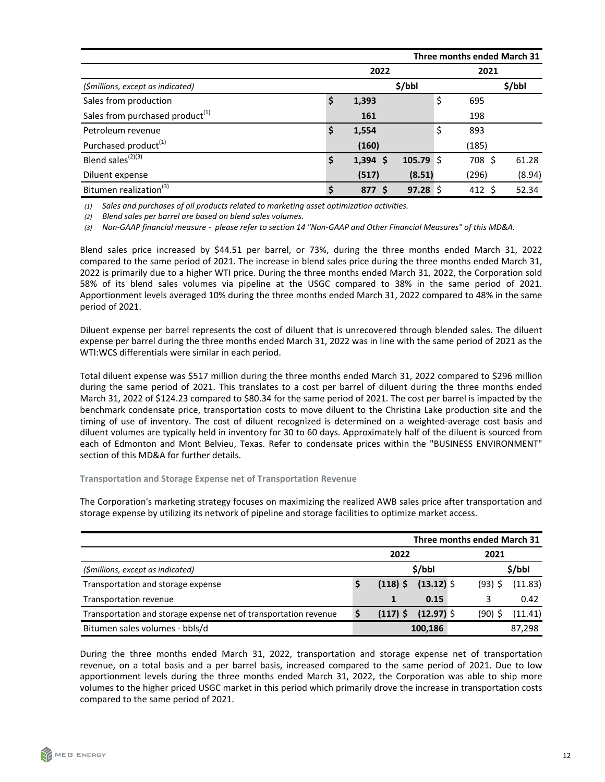| Three months ended March 31                 |    |            |            |      |        |        |  |
|---------------------------------------------|----|------------|------------|------|--------|--------|--|
|                                             |    | 2022       |            | 2021 |        |        |  |
| (\$millions, except as indicated)           |    |            | \$/bbI     |      |        | \$/bbI |  |
| Sales from production                       | \$ | 1,393      |            | \$   | 695    |        |  |
| Sales from purchased product <sup>(1)</sup> |    | 161        |            |      | 198    |        |  |
| Petroleum revenue                           | \$ | 1,554      |            | \$   | 893    |        |  |
| Purchased product <sup>(1)</sup>            |    | (160)      |            |      | (185)  |        |  |
| Blend sales <sup>(2)(3)</sup>               | \$ | $1,394$ \$ | 105.79 \$  |      | 708 \$ | 61.28  |  |
| Diluent expense                             |    | (517)      | (8.51)     |      | (296)  | (8.94) |  |
| Bitumen realization <sup>(3)</sup>          | \$ | 877 \$     | $97.28$ \$ |      | 412 \$ | 52.34  |  |

(1) Sales and purchases of oil products related to marketing asset optimization activities.

*(2) Blend sales per barrel are based on blend sales volumes.*

(3) Non-GAAP financial measure - please refer to section 14 "Non-GAAP and Other Financial Measures" of this MD&A.

Blend sales price increased by \$44.51 per barrel, or 73%, during the three months ended March 31, 2022 compared to the same period of 2021. The increase in blend sales price during the three months ended March 31, 2022 is primarily due to a higher WTI price. During the three months ended March 31, 2022, the Corporation sold 58% of its blend sales volumes via pipeline at the USGC compared to 38% in the same period of 2021. Apportionment levels averaged 10% during the three months ended March 31, 2022 compared to 48% in the same period of 2021.

Diluent expense per barrel represents the cost of diluent that is unrecovered through blended sales. The diluent expense per barrel during the three months ended March 31, 2022 was in line with the same period of 2021 as the WTI:WCS differentials were similar in each period.

Total diluent expense was \$517 million during the three months ended March 31, 2022 compared to \$296 million during the same period of 2021. This translates to a cost per barrel of diluent during the three months ended March 31, 2022 of \$124.23 compared to \$80.34 for the same period of 2021. The cost per barrel is impacted by the benchmark condensate price, transportation costs to move diluent to the Christina Lake production site and the timing of use of inventory. The cost of diluent recognized is determined on a weighted-average cost basis and diluent volumes are typically held in inventory for 30 to 60 days. Approximately half of the diluent is sourced from each of Edmonton and Mont Belvieu, Texas. Refer to condensate prices within the "BUSINESS ENVIRONMENT" section of this MD&A for further details.

**Transportation and Storage Expense net of Transportation Revenue** 

The Corporation's marketing strategy focuses on maximizing the realized AWB sales price after transportation and storage expense by utilizing its network of pipeline and storage facilities to optimize market access.

|                                                                  | Three months ended March 31 |            |              |        |           |         |  |
|------------------------------------------------------------------|-----------------------------|------------|--------------|--------|-----------|---------|--|
|                                                                  | 2022                        |            |              | 2021   |           |         |  |
| (\$millions, except as indicated)                                |                             | \$/bbl     |              | \$/bbl |           |         |  |
| Transportation and storage expense                               |                             | $(118)$ \$ | $(13.12)$ \$ |        | $(93)$ \$ | (11.83) |  |
| Transportation revenue                                           |                             |            | 0.15         |        |           | 0.42    |  |
| Transportation and storage expense net of transportation revenue |                             | $(117)$ \$ | $(12.97)$ \$ |        | (90)      | (11.41) |  |
| Bitumen sales volumes - bbls/d                                   |                             |            | 100,186      |        |           | 87,298  |  |

During the three months ended March 31, 2022, transportation and storage expense net of transportation revenue, on a total basis and a per barrel basis, increased compared to the same period of 2021. Due to low apportionment levels during the three months ended March 31, 2022, the Corporation was able to ship more volumes to the higher priced USGC market in this period which primarily drove the increase in transportation costs compared to the same period of 2021.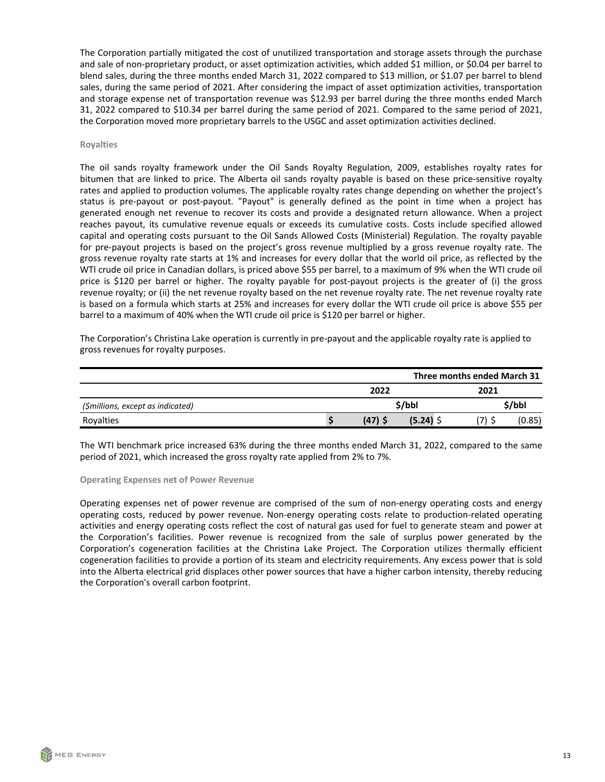The Corporation partially mitigated the cost of unutilized transportation and storage assets through the purchase and sale of non-proprietary product, or asset optimization activities, which added \$1 million, or \$0.04 per barrel to blend sales, during the three months ended March 31, 2022 compared to \$13 million, or \$1.07 per barrel to blend sales, during the same period of 2021. After considering the impact of asset optimization activities, transportation and storage expense net of transportation revenue was \$12.93 per barrel during the three months ended March 31, 2022 compared to \$10.34 per barrel during the same period of 2021. Compared to the same period of 2021, the Corporation moved more proprietary barrels to the USGC and asset optimization activities declined.

#### **Royalties**

The oil sands royalty framework under the Oil Sands Royalty Regulation, 2009, establishes royalty rates for bitumen that are linked to price. The Alberta oil sands royalty payable is based on these price-sensitive royalty rates and applied to production volumes. The applicable royalty rates change depending on whether the project's status is pre-payout or post-payout. "Payout" is generally defined as the point in time when a project has generated enough net revenue to recover its costs and provide a designated return allowance. When a project reaches payout, its cumulative revenue equals or exceeds its cumulative costs. Costs include specified allowed capital and operating costs pursuant to the Oil Sands Allowed Costs (Ministerial) Regulation. The royalty payable for pre-payout projects is based on the project's gross revenue multiplied by a gross revenue royalty rate. The gross revenue royalty rate starts at 1% and increases for every dollar that the world oil price, as reflected by the WTI crude oil price in Canadian dollars, is priced above \$55 per barrel, to a maximum of 9% when the WTI crude oil price is \$120 per barrel or higher. The royalty payable for post-payout projects is the greater of (i) the gross revenue royalty; or (ii) the net revenue royalty based on the net revenue royalty rate. The net revenue royalty rate is based on a formula which starts at 25% and increases for every dollar the WTI crude oil price is above \$55 per barrel to a maximum of 40% when the WTI crude oil price is \$120 per barrel or higher.

The Corporation's Christina Lake operation is currently in pre-payout and the applicable royalty rate is applied to gross revenues for royalty purposes.

| Three months ended March 31       |      |           |        |  |        |  |  |
|-----------------------------------|------|-----------|--------|--|--------|--|--|
|                                   | 2022 |           |        |  |        |  |  |
| (\$millions, except as indicated) |      |           | \$/bbI |  | \$/bbl |  |  |
| Rovalties                         |      | $(47)$ \$ | (5.24) |  | (0.85) |  |  |

The WTI benchmark price increased 63% during the three months ended March 31, 2022, compared to the same period of 2021, which increased the gross royalty rate applied from 2% to 7%.

#### **Operating Expenses net of Power Revenue**

Operating expenses net of power revenue are comprised of the sum of non-energy operating costs and energy operating costs, reduced by power revenue. Non-energy operating costs relate to production-related operating activities and energy operating costs reflect the cost of natural gas used for fuel to generate steam and power at the Corporation's facilities. Power revenue is recognized from the sale of surplus power generated by the Corporation's cogeneration facilities at the Christina Lake Project. The Corporation utilizes thermally efficient cogeneration facilities to provide a portion of its steam and electricity requirements. Any excess power that is sold into the Alberta electrical grid displaces other power sources that have a higher carbon intensity, thereby reducing the Corporation's overall carbon footprint.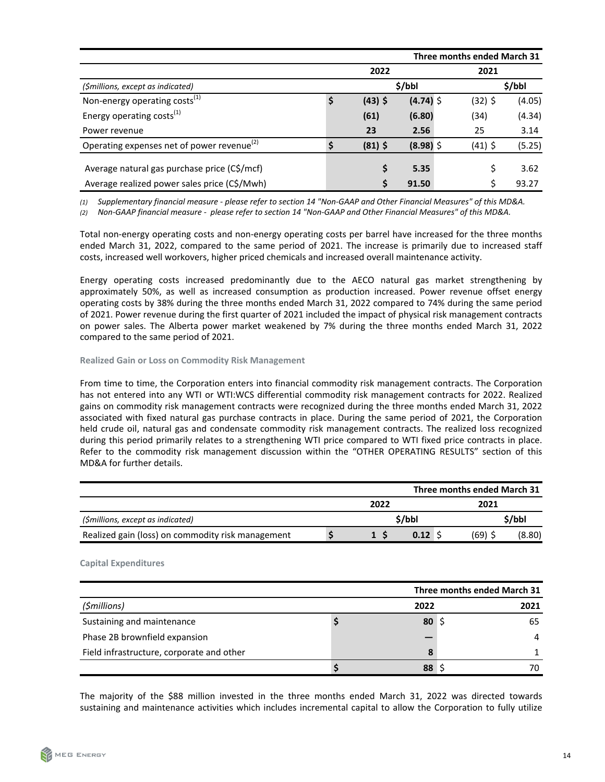|                                                        | Three months ended March 31 |           |             |  |           |        |
|--------------------------------------------------------|-----------------------------|-----------|-------------|--|-----------|--------|
|                                                        |                             | 2022      |             |  | 2021      |        |
| (\$millions, except as indicated)                      |                             |           | \$/bbl      |  |           | \$/bbl |
| Non-energy operating costs <sup>(1)</sup>              | \$                          | $(43)$ \$ | $(4.74)$ \$ |  | $(32)$ \$ | (4.05) |
| Energy operating costs <sup>(1)</sup>                  |                             | (61)      | (6.80)      |  | (34)      | (4.34) |
| Power revenue                                          |                             | 23        | 2.56        |  | 25        | 3.14   |
| Operating expenses net of power revenue <sup>(2)</sup> | S                           | $(81)$ \$ | $(8.98)$ \$ |  | $(41)$ \$ | (5.25) |
| Average natural gas purchase price (C\$/mcf)           |                             |           | 5.35        |  |           | 3.62   |
| Average realized power sales price (C\$/Mwh)           |                             |           | 91.50       |  |           | 93.27  |

(1) Supplementary financial measure - please refer to section 14 "Non-GAAP and Other Financial Measures" of this MD&A.

(2) Non-GAAP financial measure - please refer to section 14 "Non-GAAP and Other Financial Measures" of this MD&A.

Total non-energy operating costs and non-energy operating costs per barrel have increased for the three months ended March 31, 2022, compared to the same period of 2021. The increase is primarily due to increased staff costs, increased well workovers, higher priced chemicals and increased overall maintenance activity.

Energy operating costs increased predominantly due to the AECO natural gas market strengthening by approximately 50%, as well as increased consumption as production increased. Power revenue offset energy operating costs by 38% during the three months ended March 31, 2022 compared to 74% during the same period of 2021. Power revenue during the first quarter of 2021 included the impact of physical risk management contracts on power sales. The Alberta power market weakened by 7% during the three months ended March 31, 2022 compared to the same period of 2021.

#### **Realized Gain or Loss on Commodity Risk Management**

From time to time, the Corporation enters into financial commodity risk management contracts. The Corporation has not entered into any WTI or WTI:WCS differential commodity risk management contracts for 2022. Realized gains on commodity risk management contracts were recognized during the three months ended March 31, 2022 associated with fixed natural gas purchase contracts in place. During the same period of 2021, the Corporation held crude oil, natural gas and condensate commodity risk management contracts. The realized loss recognized during this period primarily relates to a strengthening WTI price compared to WTI fixed price contracts in place. Refer to the commodity risk management discussion within the "OTHER OPERATING RESULTS" section of this MD&A for further details.

| Three months ended March 31                       |      |     |             |  |        |        |  |
|---------------------------------------------------|------|-----|-------------|--|--------|--------|--|
|                                                   | 2022 |     |             |  | 2021   |        |  |
| (\$millions, except as indicated)                 |      |     | \$/bbl      |  |        | \$/bbl |  |
| Realized gain (loss) on commodity risk management |      | 1 S | $0.12 \,$ S |  | (69) S | (8.80) |  |

# **Capital Expenditures**

|                                           |      | Three months ended March 31 |      |  |
|-------------------------------------------|------|-----------------------------|------|--|
| (\$millions)                              | 2022 |                             | 2021 |  |
| Sustaining and maintenance                | 80   |                             | 65   |  |
| Phase 2B brownfield expansion             |      |                             |      |  |
| Field infrastructure, corporate and other | 8    |                             |      |  |
|                                           | 88   |                             | 70   |  |

The majority of the \$88 million invested in the three months ended March 31, 2022 was directed towards sustaining and maintenance activities which includes incremental capital to allow the Corporation to fully utilize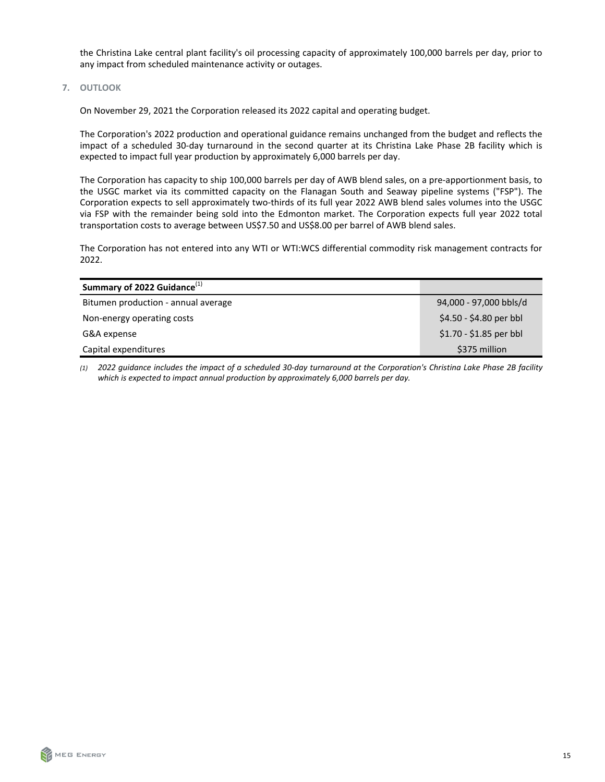<span id="page-14-0"></span>the Christina Lake central plant facility's oil processing capacity of approximately 100,000 barrels per day, prior to any impact from scheduled maintenance activity or outages.

**7. OUTLOOK** 

On November 29, 2021 the Corporation released its 2022 capital and operating budget.

The Corporation's 2022 production and operational guidance remains unchanged from the budget and reflects the impact of a scheduled 30-day turnaround in the second quarter at its Christina Lake Phase 2B facility which is expected to impact full year production by approximately 6,000 barrels per day.

The Corporation has capacity to ship 100,000 barrels per day of AWB blend sales, on a pre-apportionment basis, to the USGC market via its committed capacity on the Flanagan South and Seaway pipeline systems ("FSP"). The Corporation expects to sell approximately two-thirds of its full year 2022 AWB blend sales volumes into the USGC via FSP with the remainder being sold into the Edmonton market. The Corporation expects full year 2022 total transportation costs to average between US\$7.50 and US\$8.00 per barrel of AWB blend sales.

The Corporation has not entered into any WTI or WTI:WCS differential commodity risk management contracts for 2022.

| Summary of 2022 Guidance <sup>(1)</sup> |                         |
|-----------------------------------------|-------------------------|
| Bitumen production - annual average     | 94,000 - 97,000 bbls/d  |
| Non-energy operating costs              | \$4.50 - \$4.80 per bbl |
| G&A expense                             | $$1.70 - $1.85$ per bbl |
| Capital expenditures                    | \$375 million           |

*(1) 2022 guidance includes the impact of a scheduled 30-day turnaround at the Corporation's Christina Lake Phase 2B facility*  which is expected to impact annual production by approximately 6,000 barrels per day.

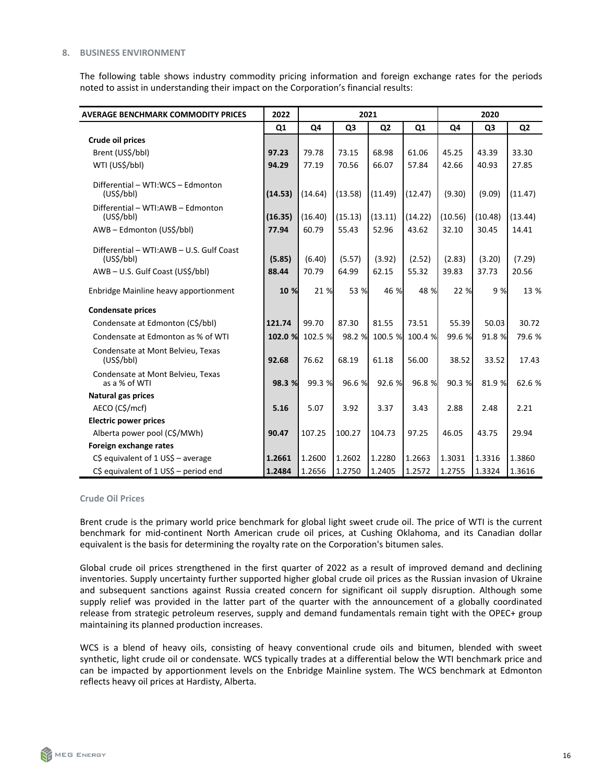#### <span id="page-15-0"></span>**8. BUSINESS ENVIRONMENT**

The following table shows industry commodity pricing information and foreign exchange rates for the periods noted to assist in understanding their impact on the Corporation's financial results:

| <b>AVERAGE BENCHMARK COMMODITY PRICES</b>                                                           | 2022            |                 |                 | 2021            |                 |                 | 2020            |                 |
|-----------------------------------------------------------------------------------------------------|-----------------|-----------------|-----------------|-----------------|-----------------|-----------------|-----------------|-----------------|
|                                                                                                     | Q1              | Q4              | Q <sub>3</sub>  | Q <sub>2</sub>  | Q1              | Q4              | Q3              | Q <sub>2</sub>  |
| Crude oil prices                                                                                    |                 |                 |                 |                 |                 |                 |                 |                 |
| Brent (US\$/bbl)                                                                                    | 97.23           | 79.78           | 73.15           | 68.98           | 61.06           | 45.25           | 43.39           | 33.30           |
| WTI (US\$/bbl)                                                                                      | 94.29           | 77.19           | 70.56           | 66.07           | 57.84           | 42.66           | 40.93           | 27.85           |
| Differential - WTI:WCS - Edmonton<br>(US\$/bbI)                                                     | (14.53)         | (14.64)         | (13.58)         | (11.49)         | (12.47)         | (9.30)          | (9.09)          | (11.47)         |
| Differential - WTI:AWB - Edmonton<br>(US <sup>5</sup> /bb)                                          | (16.35)         | (16.40)         | (15.13)         | (13.11)         | (14.22)         | (10.56)         | (10.48)         | (13.44)         |
| AWB - Edmonton (US\$/bbl)                                                                           | 77.94           | 60.79           | 55.43           | 52.96           | 43.62           | 32.10           | 30.45           | 14.41           |
| Differential - WTI:AWB - U.S. Gulf Coast<br>(US <sup>2</sup> /bb)<br>AWB-U.S. Gulf Coast (US\$/bbl) | (5.85)<br>88.44 | (6.40)<br>70.79 | (5.57)<br>64.99 | (3.92)<br>62.15 | (2.52)<br>55.32 | (2.83)<br>39.83 | (3.20)<br>37.73 | (7.29)<br>20.56 |
| Enbridge Mainline heavy apportionment                                                               | 10 %            | 21 %            | 53 %            | 46 %            | 48 %            | 22 %            | 9 %             | 13 %            |
| <b>Condensate prices</b>                                                                            |                 |                 |                 |                 |                 |                 |                 |                 |
| Condensate at Edmonton (C\$/bbl)                                                                    | 121.74          | 99.70           | 87.30           | 81.55           | 73.51           | 55.39           | 50.03           | 30.72           |
| Condensate at Edmonton as % of WTI                                                                  | 102.0 %         | 102.5 %         | 98.2 %          | 100.5 %         | 100.4 %         | 99.6 %          | 91.8 %          | 79.6 %          |
| Condensate at Mont Belvieu, Texas<br>(US\$/bbl)                                                     | 92.68           | 76.62           | 68.19           | 61.18           | 56.00           | 38.52           | 33.52           | 17.43           |
| Condensate at Mont Belvieu, Texas<br>as a % of WTI                                                  | 98.3 %          | 99.3 %          | 96.6 %          | 92.6 %          | 96.8 %          | 90.3 %          | 81.9 %          | 62.6 %          |
| <b>Natural gas prices</b>                                                                           |                 |                 |                 |                 |                 |                 |                 |                 |
| AECO (C\$/mcf)                                                                                      | 5.16            | 5.07            | 3.92            | 3.37            | 3.43            | 2.88            | 2.48            | 2.21            |
| <b>Electric power prices</b>                                                                        |                 |                 |                 |                 |                 |                 |                 |                 |
| Alberta power pool (C\$/MWh)                                                                        | 90.47           | 107.25          | 100.27          | 104.73          | 97.25           | 46.05           | 43.75           | 29.94           |
| Foreign exchange rates                                                                              |                 |                 |                 |                 |                 |                 |                 |                 |
| $C\$ equivalent of 1 US\$ - average                                                                 | 1.2661          | 1.2600          | 1.2602          | 1.2280          | 1.2663          | 1.3031          | 1.3316          | 1.3860          |
| C\$ equivalent of $1$ US\$ - period end                                                             | 1.2484          | 1.2656          | 1.2750          | 1.2405          | 1.2572          | 1.2755          | 1.3324          | 1.3616          |

**Crude Oil Prices** 

Brent crude is the primary world price benchmark for global light sweet crude oil. The price of WTI is the current benchmark for mid-continent North American crude oil prices, at Cushing Oklahoma, and its Canadian dollar equivalent is the basis for determining the royalty rate on the Corporation's bitumen sales.

Global crude oil prices strengthened in the first quarter of 2022 as a result of improved demand and declining inventories. Supply uncertainty further supported higher global crude oil prices as the Russian invasion of Ukraine and subsequent sanctions against Russia created concern for significant oil supply disruption. Although some supply relief was provided in the latter part of the quarter with the announcement of a globally coordinated release from strategic petroleum reserves, supply and demand fundamentals remain tight with the OPEC+ group maintaining its planned production increases.

WCS is a blend of heavy oils, consisting of heavy conventional crude oils and bitumen, blended with sweet synthetic, light crude oil or condensate. WCS typically trades at a differential below the WTI benchmark price and can be impacted by apportionment levels on the Enbridge Mainline system. The WCS benchmark at Edmonton reflects heavy oil prices at Hardisty, Alberta.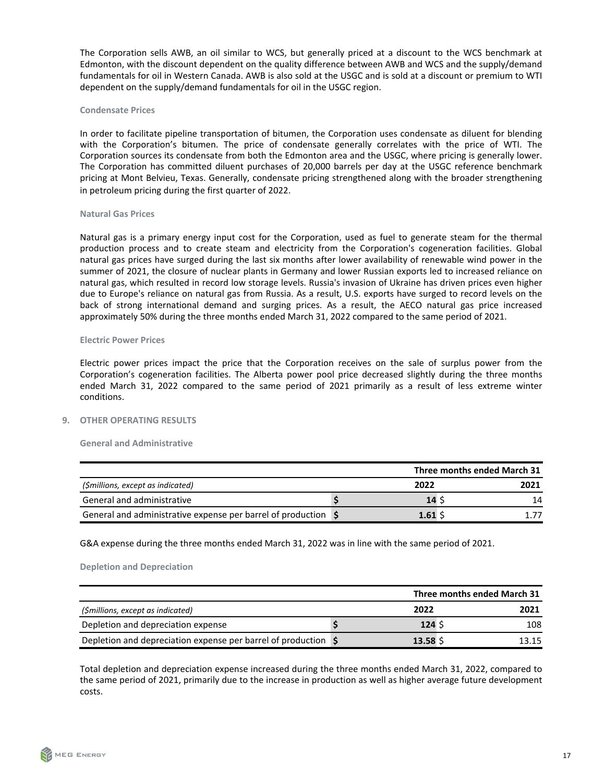<span id="page-16-0"></span>The Corporation sells AWB, an oil similar to WCS, but generally priced at a discount to the WCS benchmark at Edmonton, with the discount dependent on the quality difference between AWB and WCS and the supply/demand fundamentals for oil in Western Canada. AWB is also sold at the USGC and is sold at a discount or premium to WTI dependent on the supply/demand fundamentals for oil in the USGC region.

#### **Condensate Prices**

In order to facilitate pipeline transportation of bitumen, the Corporation uses condensate as diluent for blending with the Corporation's bitumen. The price of condensate generally correlates with the price of WTI. The Corporation sources its condensate from both the Edmonton area and the USGC, where pricing is generally lower. The Corporation has committed diluent purchases of 20,000 barrels per day at the USGC reference benchmark pricing at Mont Belvieu, Texas. Generally, condensate pricing strengthened along with the broader strengthening in petroleum pricing during the first quarter of 2022.

#### **Natural Gas Prices**

Natural gas is a primary energy input cost for the Corporation, used as fuel to generate steam for the thermal production process and to create steam and electricity from the Corporation's cogeneration facilities. Global natural gas prices have surged during the last six months after lower availability of renewable wind power in the summer of 2021, the closure of nuclear plants in Germany and lower Russian exports led to increased reliance on natural gas, which resulted in record low storage levels. Russia's invasion of Ukraine has driven prices even higher due to Europe's reliance on natural gas from Russia. As a result, U.S. exports have surged to record levels on the back of strong international demand and surging prices. As a result, the AECO natural gas price increased approximately 50% during the three months ended March 31, 2022 compared to the same period of 2021.

#### **Electric Power Prices**

Electric power prices impact the price that the Corporation receives on the sale of surplus power from the Corporation's cogeneration facilities. The Alberta power pool price decreased slightly during the three months ended March 31, 2022 compared to the same period of 2021 primarily as a result of less extreme winter conditions.

#### **9. OTHER OPERATING RESULTS**

#### **General and Administrative**

|                                                                |       | Three months ended March 31 |      |  |
|----------------------------------------------------------------|-------|-----------------------------|------|--|
| (\$millions, except as indicated)                              | 2022  |                             | 2021 |  |
| General and administrative                                     | 14 S  |                             | 14   |  |
| General and administrative expense per barrel of production \, | 1.61S |                             |      |  |

G&A expense during the three months ended March 31, 2022 was in line with the same period of 2021.

#### **Depletion and Depreciation**

|                                                                                      |        | Three months ended March 31 |
|--------------------------------------------------------------------------------------|--------|-----------------------------|
| (\$millions, except as indicated)                                                    | 2022   | 2021                        |
| Depletion and depreciation expense                                                   | 124S   | 108                         |
| Depletion and depreciation expense per barrel of production $\vert \mathsf{S} \vert$ | 13.58S | 13.15                       |

Total depletion and depreciation expense increased during the three months ended March 31, 2022, compared to the same period of 2021, primarily due to the increase in production as well as higher average future development costs.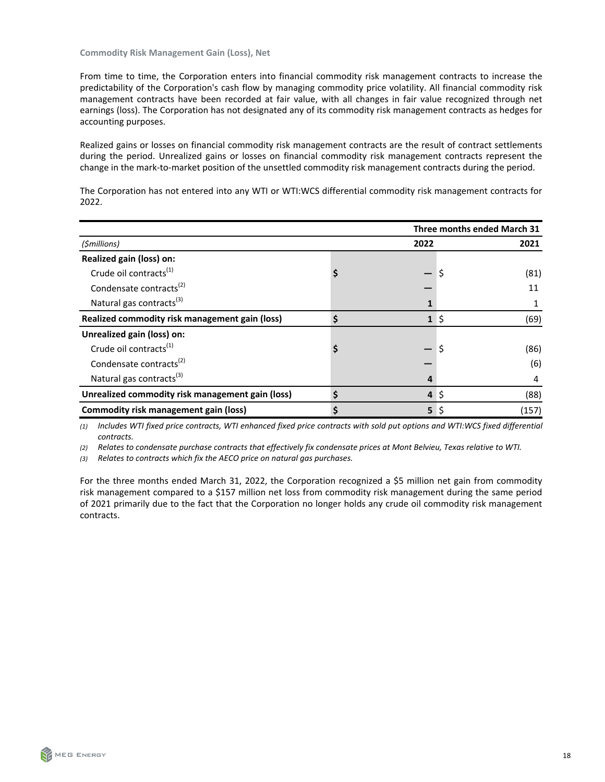**Commodity Risk Management Gain (Loss), Net** 

From time to time, the Corporation enters into financial commodity risk management contracts to increase the predictability of the Corporation's cash flow by managing commodity price volatility. All financial commodity risk management contracts have been recorded at fair value, with all changes in fair value recognized through net earnings (loss). The Corporation has not designated any of its commodity risk management contracts as hedges for accounting purposes.

Realized gains or losses on financial commodity risk management contracts are the result of contract settlements during the period. Unrealized gains or losses on financial commodity risk management contracts represent the change in the mark-to-market position of the unsettled commodity risk management contracts during the period.

The Corporation has not entered into any WTI or WTI:WCS differential commodity risk management contracts for 2022.

|                                                  |  |              |         | Three months ended March 31 |
|--------------------------------------------------|--|--------------|---------|-----------------------------|
| (\$millions)                                     |  | 2022         |         | 2021                        |
| Realized gain (loss) on:                         |  |              |         |                             |
| Crude oil contracts <sup>(1)</sup>               |  |              | \$      | (81)                        |
| Condensate contracts <sup>(2)</sup>              |  |              |         | 11                          |
| Natural gas contracts <sup>(3)</sup>             |  |              |         |                             |
| Realized commodity risk management gain (loss)   |  | $\mathbf{1}$ | $\zeta$ | (69)                        |
| Unrealized gain (loss) on:                       |  |              |         |                             |
| Crude oil contracts <sup>(1)</sup>               |  |              |         | (86)                        |
| Condensate contracts <sup>(2)</sup>              |  |              |         | (6)                         |
| Natural gas contracts <sup>(3)</sup>             |  | 4            |         | 4                           |
| Unrealized commodity risk management gain (loss) |  | 4            | \$      | (88)                        |
| <b>Commodity risk management gain (loss)</b>     |  | 5            | S       | (157)                       |

(1) Includes WTI fixed price contracts, WTI enhanced fixed price contracts with sold put options and WTI:WCS fixed differential *contracts.*

(2) Relates to condensate purchase contracts that effectively fix condensate prices at Mont Belvieu, Texas relative to WTI.

(3) Relates to contracts which fix the AECO price on natural gas purchases.

For the three months ended March 31, 2022, the Corporation recognized a \$5 million net gain from commodity risk management compared to a \$157 million net loss from commodity risk management during the same period of 2021 primarily due to the fact that the Corporation no longer holds any crude oil commodity risk management contracts.

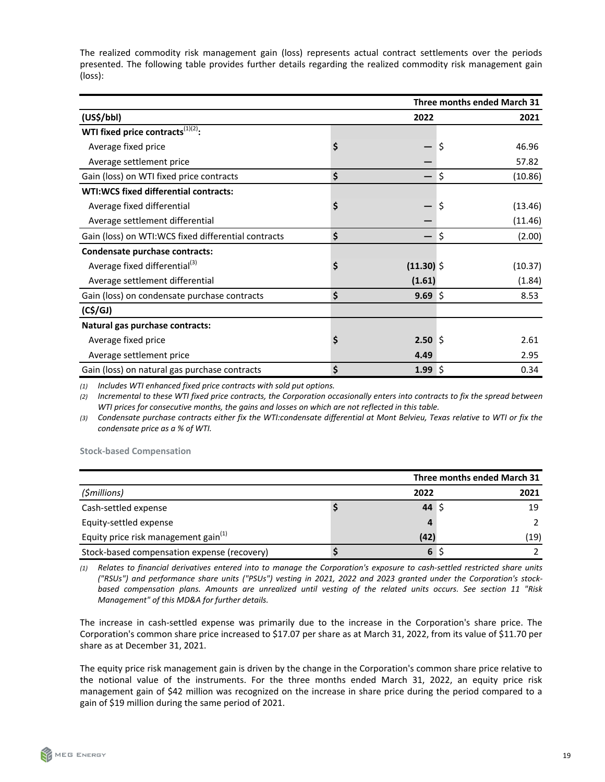The realized commodity risk management gain (loss) represents actual contract settlements over the periods presented. The following table provides further details regarding the realized commodity risk management gain (loss):

|                                                     |    | Three months ended March 31 |               |
|-----------------------------------------------------|----|-----------------------------|---------------|
| (US\$/bb1)                                          |    | 2022                        | 2021          |
| WTI fixed price contracts $^{(1)(2)}$ :             |    |                             |               |
| Average fixed price                                 | \$ |                             | \$<br>46.96   |
| Average settlement price                            |    |                             | 57.82         |
| Gain (loss) on WTI fixed price contracts            | \$ |                             | \$<br>(10.86) |
| WTI:WCS fixed differential contracts:               |    |                             |               |
| Average fixed differential                          | \$ |                             | \$<br>(13.46) |
| Average settlement differential                     |    |                             | (11.46)       |
| Gain (loss) on WTI:WCS fixed differential contracts | \$ |                             | \$<br>(2.00)  |
| Condensate purchase contracts:                      |    |                             |               |
| Average fixed differential <sup>(3)</sup>           | \$ | $(11.30)$ \$                | (10.37)       |
| Average settlement differential                     |    | (1.61)                      | (1.84)        |
| Gain (loss) on condensate purchase contracts        | \$ | $9.69$ \$                   | 8.53          |
| (C <sup>2</sup> /GI)                                |    |                             |               |
| Natural gas purchase contracts:                     |    |                             |               |
| Average fixed price                                 | S  | 2.50S                       | 2.61          |
| Average settlement price                            |    | 4.49                        | 2.95          |
| Gain (loss) on natural gas purchase contracts       | Ś  | 1.99 \$                     | 0.34          |

*(1) Includes WTI enhanced fixed price contracts with sold put options.*

(2) Incremental to these WTI fixed price contracts, the Corporation occasionally enters into contracts to fix the spread between WTI prices for consecutive months, the gains and losses on which are not reflected in this table.

(3) Condensate purchase contracts either fix the WTI:condensate differential at Mont Belvieu, Texas relative to WTI or fix the *condensate price as a* % of WTI.

**Stock-based Compensation** 

|                                                  |      | Three months ended March 31 |
|--------------------------------------------------|------|-----------------------------|
| (\$millions)                                     | 2022 | 2021                        |
| Cash-settled expense                             | 44   | 19                          |
| Equity-settled expense                           | Δ    |                             |
| Equity price risk management gain <sup>(1)</sup> | (42) | (19)                        |
| Stock-based compensation expense (recovery)      | 6    |                             |

(1) Relates to financial derivatives entered into to manage the Corporation's exposure to cash-settled restricted share units ("RSUs") and performance share units ("PSUs") vesting in 2021, 2022 and 2023 granted under the Corporation's stockbased compensation plans. Amounts are unrealized until vesting of the related units occurs. See section 11 "Risk *Management"* of this MD&A for further details.

The increase in cash-settled expense was primarily due to the increase in the Corporation's share price. The Corporation's common share price increased to \$17.07 per share as at March 31, 2022, from its value of \$11.70 per share as at December 31, 2021.

The equity price risk management gain is driven by the change in the Corporation's common share price relative to the notional value of the instruments. For the three months ended March 31, 2022, an equity price risk management gain of \$42 million was recognized on the increase in share price during the period compared to a gain of \$19 million during the same period of 2021.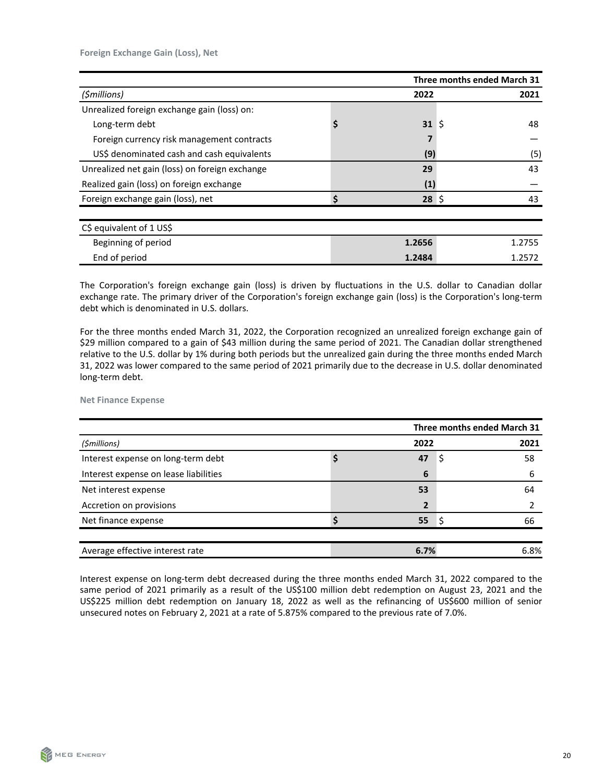|                                                |         |    | Three months ended March 31 |
|------------------------------------------------|---------|----|-----------------------------|
| (\$millions)                                   | 2022    |    | 2021                        |
| Unrealized foreign exchange gain (loss) on:    |         |    |                             |
| Long-term debt                                 | 31      | Ŝ. | 48                          |
| Foreign currency risk management contracts     |         |    |                             |
| US\$ denominated cash and cash equivalents     | (9)     |    | (5)                         |
| Unrealized net gain (loss) on foreign exchange | 29      |    | 43                          |
| Realized gain (loss) on foreign exchange       | (1)     |    |                             |
| Foreign exchange gain (loss), net              | $28$ \$ |    | 43                          |
|                                                |         |    |                             |
| C\$ equivalent of 1 US\$                       |         |    |                             |
| Beginning of period                            | 1.2656  |    | 1.2755                      |
| End of period                                  | 1.2484  |    | 1.2572                      |

The Corporation's foreign exchange gain (loss) is driven by fluctuations in the U.S. dollar to Canadian dollar exchange rate. The primary driver of the Corporation's foreign exchange gain (loss) is the Corporation's long-term debt which is denominated in U.S. dollars.

For the three months ended March 31, 2022, the Corporation recognized an unrealized foreign exchange gain of \$29 million compared to a gain of \$43 million during the same period of 2021. The Canadian dollar strengthened relative to the U.S. dollar by 1% during both periods but the unrealized gain during the three months ended March 31, 2022 was lower compared to the same period of 2021 primarily due to the decrease in U.S. dollar denominated long-term debt.

**Net Finance Expense** 

|                                       | Three months ended March 31 |   |      |
|---------------------------------------|-----------------------------|---|------|
| (\$millions)                          | 2022                        |   | 2021 |
| Interest expense on long-term debt    | 47                          | S | 58   |
| Interest expense on lease liabilities | 6                           |   | 6    |
| Net interest expense                  | 53                          |   | 64   |
| Accretion on provisions               | 2                           |   |      |
| Net finance expense                   | 55                          |   | 66   |
|                                       |                             |   |      |
| Average effective interest rate       | 6.7%                        |   | 6.8% |

Interest expense on long-term debt decreased during the three months ended March 31, 2022 compared to the same period of 2021 primarily as a result of the US\$100 million debt redemption on August 23, 2021 and the US\$225 million debt redemption on January 18, 2022 as well as the refinancing of US\$600 million of senior unsecured notes on February 2, 2021 at a rate of 5.875% compared to the previous rate of 7.0%.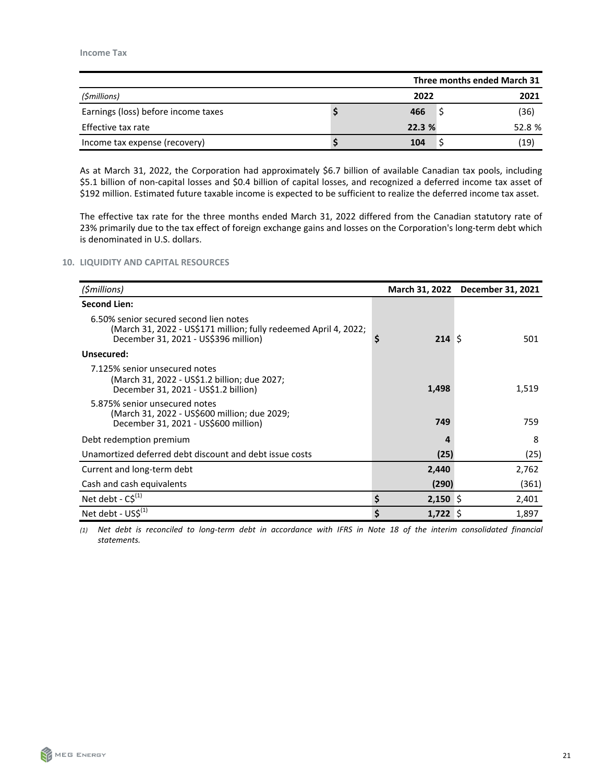<span id="page-20-0"></span>

|                                     |  | Three months ended March 31 |        |
|-------------------------------------|--|-----------------------------|--------|
| (\$millions)                        |  | 2022                        | 2021   |
| Earnings (loss) before income taxes |  | 466                         | (36)   |
| Effective tax rate                  |  | 22.3 %                      | 52.8 % |
| Income tax expense (recovery)       |  | 104                         | (19)   |

As at March 31, 2022, the Corporation had approximately \$6.7 billion of available Canadian tax pools, including \$5.1 billion of non-capital losses and \$0.4 billion of capital losses, and recognized a deferred income tax asset of \$192 million. Estimated future taxable income is expected to be sufficient to realize the deferred income tax asset.

The effective tax rate for the three months ended March 31, 2022 differed from the Canadian statutory rate of 23% primarily due to the tax effect of foreign exchange gains and losses on the Corporation's long-term debt which is denominated in U.S. dollars.

#### **10. LIQUIDITY AND CAPITAL RESOURCES**

| (\$millions)                                                                                                                                       |    |            | March 31, 2022 December 31, 2021 |
|----------------------------------------------------------------------------------------------------------------------------------------------------|----|------------|----------------------------------|
| <b>Second Lien:</b>                                                                                                                                |    |            |                                  |
| 6.50% senior secured second lien notes<br>(March 31, 2022 - US\$171 million; fully redeemed April 4, 2022;<br>December 31, 2021 - US\$396 million) | S  | 214S       | 501                              |
| Unsecured:                                                                                                                                         |    |            |                                  |
| 7.125% senior unsecured notes<br>(March 31, 2022 - US\$1.2 billion; due 2027;<br>December 31, 2021 - US\$1.2 billion)                              |    | 1,498      | 1,519                            |
| 5.875% senior unsecured notes<br>(March 31, 2022 - US\$600 million; due 2029;<br>December 31, 2021 - US\$600 million)                              |    | 749        | 759                              |
| Debt redemption premium                                                                                                                            |    | Δ          | 8                                |
| Unamortized deferred debt discount and debt issue costs                                                                                            |    | (25)       | (25)                             |
| Current and long-term debt                                                                                                                         |    | 2,440      | 2,762                            |
| Cash and cash equivalents                                                                                                                          |    | (290)      | (361)                            |
| Net debt - $C\hat{S}^{(1)}$                                                                                                                        | \$ | $2,150$ \$ | 2,401                            |
| Net debt - US\$ <sup>(1)</sup>                                                                                                                     | \$ | $1,722$ \$ | 1,897                            |

(1) Net debt is reconciled to long-term debt in accordance with IFRS in Note 18 of the interim consolidated financial *statements.*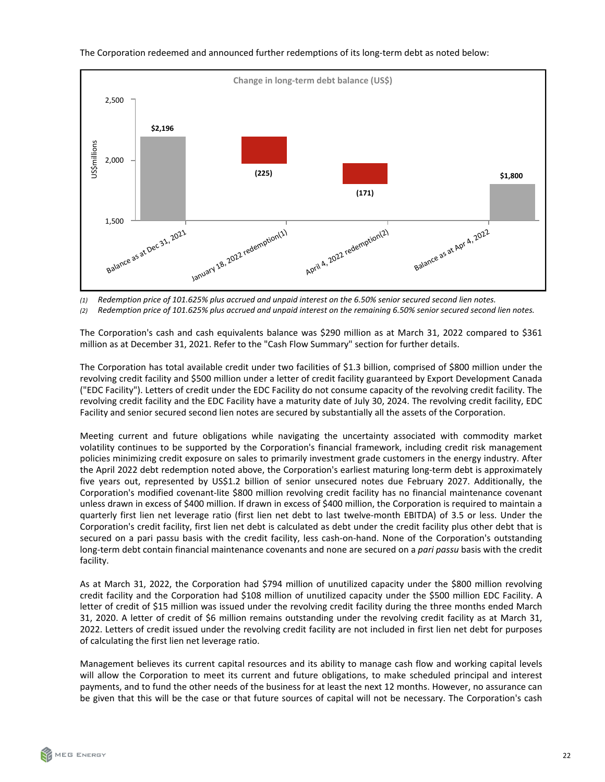

The Corporation redeemed and announced further redemptions of its long-term debt as noted below:

*(1) Redemption price of 101.625% plus accrued and unpaid interest on the 6.50% senior secured second lien notes.*

(2) Redemption price of 101.625% plus accrued and unpaid interest on the remaining 6.50% senior secured second lien notes.

The Corporation's cash and cash equivalents balance was \$290 million as at March 31, 2022 compared to \$361 million as at December 31, 2021. Refer to the "Cash Flow Summary" section for further details.

The Corporation has total available credit under two facilities of \$1.3 billion, comprised of \$800 million under the revolving credit facility and \$500 million under a letter of credit facility guaranteed by Export Development Canada ("EDC Facility"). Letters of credit under the EDC Facility do not consume capacity of the revolving credit facility. The revolving credit facility and the EDC Facility have a maturity date of July 30, 2024. The revolving credit facility, EDC Facility and senior secured second lien notes are secured by substantially all the assets of the Corporation.

Meeting current and future obligations while navigating the uncertainty associated with commodity market volatility continues to be supported by the Corporation's financial framework, including credit risk management policies minimizing credit exposure on sales to primarily investment grade customers in the energy industry. After the April 2022 debt redemption noted above, the Corporation's earliest maturing long-term debt is approximately five years out, represented by US\$1.2 billion of senior unsecured notes due February 2027. Additionally, the Corporation's modified covenant-lite \$800 million revolving credit facility has no financial maintenance covenant unless drawn in excess of \$400 million. If drawn in excess of \$400 million, the Corporation is required to maintain a quarterly first lien net leverage ratio (first lien net debt to last twelve-month EBITDA) of 3.5 or less. Under the Corporation's credit facility, first lien net debt is calculated as debt under the credit facility plus other debt that is secured on a pari passu basis with the credit facility, less cash-on-hand. None of the Corporation's outstanding long-term debt contain financial maintenance covenants and none are secured on a *pari passu* basis with the credit facility.

As at March 31, 2022, the Corporation had \$794 million of unutilized capacity under the \$800 million revolving credit facility and the Corporation had \$108 million of unutilized capacity under the \$500 million EDC Facility. A letter of credit of \$15 million was issued under the revolving credit facility during the three months ended March 31, 2020. A letter of credit of \$6 million remains outstanding under the revolving credit facility as at March 31, 2022. Letters of credit issued under the revolving credit facility are not included in first lien net debt for purposes of calculating the first lien net leverage ratio.

Management believes its current capital resources and its ability to manage cash flow and working capital levels will allow the Corporation to meet its current and future obligations, to make scheduled principal and interest payments, and to fund the other needs of the business for at least the next 12 months. However, no assurance can be given that this will be the case or that future sources of capital will not be necessary. The Corporation's cash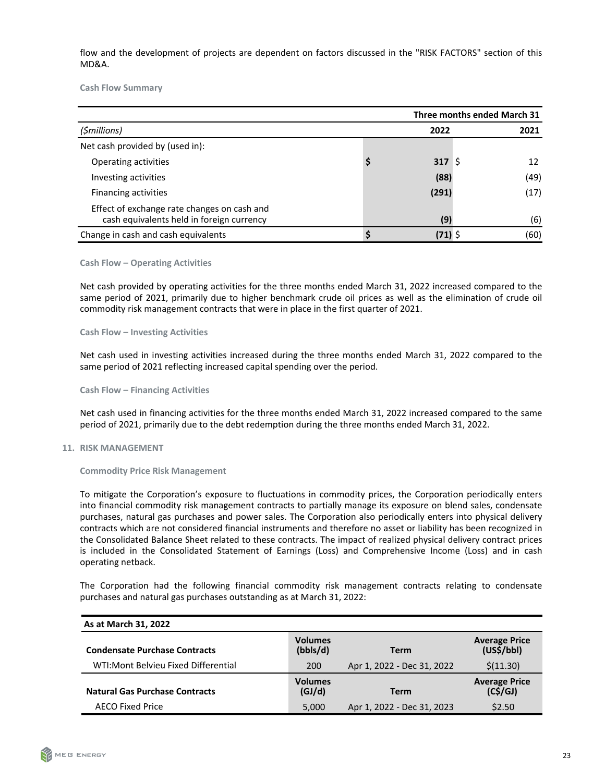<span id="page-22-0"></span>flow and the development of projects are dependent on factors discussed in the "RISK FACTORS" section of this MD&A.

**Cash Flow Summary** 

|                                                                                          | Three months ended March 31 |         |      |  |
|------------------------------------------------------------------------------------------|-----------------------------|---------|------|--|
| (\$millions)                                                                             |                             | 2022    | 2021 |  |
| Net cash provided by (used in):                                                          |                             |         |      |  |
| Operating activities                                                                     |                             | 317S    | 12   |  |
| Investing activities                                                                     |                             | (88)    | (49) |  |
| Financing activities                                                                     |                             | (291)   | (17) |  |
| Effect of exchange rate changes on cash and<br>cash equivalents held in foreign currency |                             | (9)     | (6)  |  |
| Change in cash and cash equivalents                                                      |                             | (71) \$ | (60) |  |

#### **Cash Flow – Operating Activities**

Net cash provided by operating activities for the three months ended March 31, 2022 increased compared to the same period of 2021, primarily due to higher benchmark crude oil prices as well as the elimination of crude oil commodity risk management contracts that were in place in the first quarter of 2021.

**Cash Flow – Investing Activities** 

Net cash used in investing activities increased during the three months ended March 31, 2022 compared to the same period of 2021 reflecting increased capital spending over the period.

**Cash Flow – Financing Activities**

Net cash used in financing activities for the three months ended March 31, 2022 increased compared to the same period of 2021, primarily due to the debt redemption during the three months ended March 31, 2022.

# **11. RISK MANAGEMENT**

**Commodity Price Risk Management**

To mitigate the Corporation's exposure to fluctuations in commodity prices, the Corporation periodically enters into financial commodity risk management contracts to partially manage its exposure on blend sales, condensate purchases, natural gas purchases and power sales. The Corporation also periodically enters into physical delivery contracts which are not considered financial instruments and therefore no asset or liability has been recognized in the Consolidated Balance Sheet related to these contracts. The impact of realized physical delivery contract prices is included in the Consolidated Statement of Earnings (Loss) and Comprehensive Income (Loss) and in cash operating netback.

The Corporation had the following financial commodity risk management contracts relating to condensate purchases and natural gas purchases outstanding as at March 31, 2022:

| As at March 31, 2022                  |                            |                            |                                              |
|---------------------------------------|----------------------------|----------------------------|----------------------------------------------|
| <b>Condensate Purchase Contracts</b>  | <b>Volumes</b><br>(bbls/d) | <b>Term</b>                | <b>Average Price</b><br>(US\$/bbI)           |
| WTI: Mont Belvieu Fixed Differential  | 200                        | Apr 1, 2022 - Dec 31, 2022 | \$(11.30)                                    |
| <b>Natural Gas Purchase Contracts</b> | <b>Volumes</b><br>(GJ/d)   | <b>Term</b>                | <b>Average Price</b><br>(C <sup>2</sup> /GI) |
| <b>AECO Fixed Price</b>               | 5,000                      | Apr 1, 2022 - Dec 31, 2023 | \$2.50                                       |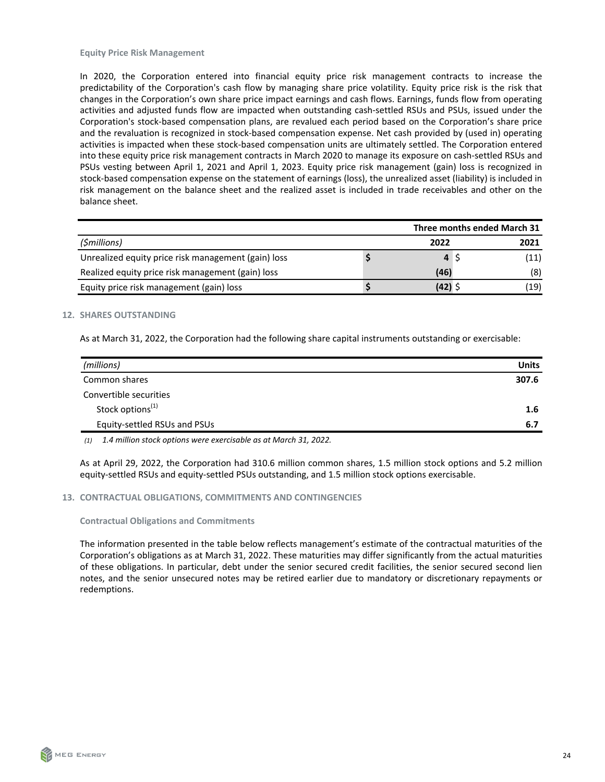<span id="page-23-0"></span>In 2020, the Corporation entered into financial equity price risk management contracts to increase the predictability of the Corporation's cash flow by managing share price volatility. Equity price risk is the risk that changes in the Corporation's own share price impact earnings and cash flows. Earnings, funds flow from operating activities and adjusted funds flow are impacted when outstanding cash-settled RSUs and PSUs, issued under the Corporation's stock-based compensation plans, are revalued each period based on the Corporation's share price and the revaluation is recognized in stock-based compensation expense. Net cash provided by (used in) operating activities is impacted when these stock-based compensation units are ultimately settled. The Corporation entered into these equity price risk management contracts in March 2020 to manage its exposure on cash-settled RSUs and PSUs vesting between April 1, 2021 and April 1, 2023. Equity price risk management (gain) loss is recognized in stock-based compensation expense on the statement of earnings (loss), the unrealized asset (liability) is included in risk management on the balance sheet and the realized asset is included in trade receivables and other on the balance sheet.

|                                                     | Three months ended March 31 |  |      |  |
|-----------------------------------------------------|-----------------------------|--|------|--|
| (\$millions)                                        | 2022                        |  | 2021 |  |
| Unrealized equity price risk management (gain) loss |                             |  | (11) |  |
| Realized equity price risk management (gain) loss   | (46)                        |  | (8)  |  |
| Equity price risk management (gain) loss            | (42)                        |  | (19) |  |

#### **12. SHARES OUTSTANDING**

As at March 31, 2022, the Corporation had the following share capital instruments outstanding or exercisable:

| (millions)                   | <b>Units</b> |
|------------------------------|--------------|
| Common shares                | 307.6        |
| Convertible securities       |              |
| Stock options <sup>(1)</sup> | 1.6          |
| Equity-settled RSUs and PSUs | 6.7          |

*(1) 1.4 million stock options were exercisable as at March 31, 2022.* 

As at April 29, 2022, the Corporation had 310.6 million common shares, 1.5 million stock options and 5.2 million equity-settled RSUs and equity-settled PSUs outstanding, and 1.5 million stock options exercisable.

#### **13. CONTRACTUAL OBLIGATIONS, COMMITMENTS AND CONTINGENCIES**

#### **Contractual Obligations and Commitments**

The information presented in the table below reflects management's estimate of the contractual maturities of the Corporation's obligations as at March 31, 2022. These maturities may differ significantly from the actual maturities of these obligations. In particular, debt under the senior secured credit facilities, the senior secured second lien notes, and the senior unsecured notes may be retired earlier due to mandatory or discretionary repayments or redemptions.

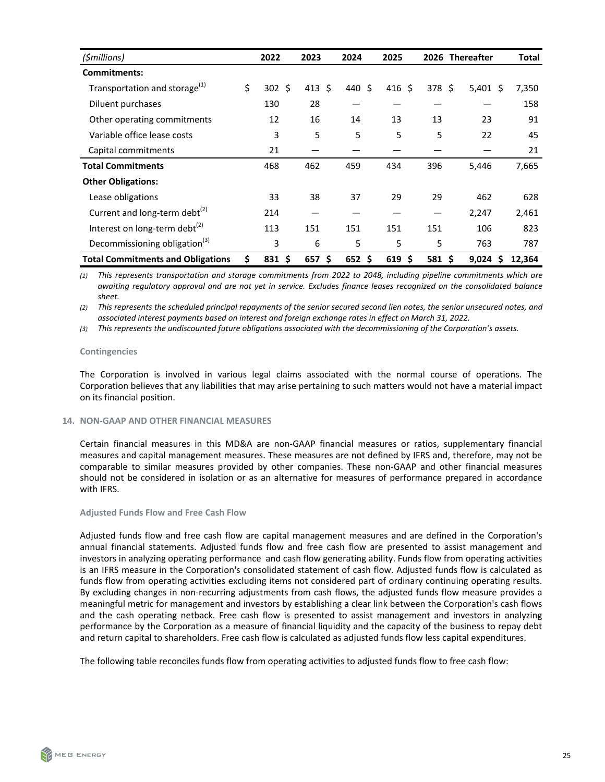<span id="page-24-0"></span>

| (\$millions)                              | 2022             | 2023     | 2024        | 2025      |        | 2026 Thereafter | Total  |
|-------------------------------------------|------------------|----------|-------------|-----------|--------|-----------------|--------|
| <b>Commitments:</b>                       |                  |          |             |           |        |                 |        |
| Transportation and storage <sup>(1)</sup> | \$<br>$302 \div$ | 413 \$   | 440 \$      | 416 \$    | 378 \$ | $5,401$ \$      | 7,350  |
| Diluent purchases                         | 130              | 28       |             |           |        |                 | 158    |
| Other operating commitments               | 12               | 16       | 14          | 13        | 13     | 23              | 91     |
| Variable office lease costs               | 3                | 5        | 5           | 5         | 5      | 22              | 45     |
| Capital commitments                       | 21               |          |             |           |        |                 | 21     |
| <b>Total Commitments</b>                  | 468              | 462      | 459         | 434       | 396    | 5,446           | 7,665  |
| <b>Other Obligations:</b>                 |                  |          |             |           |        |                 |        |
| Lease obligations                         | 33               | 38       | 37          | 29        | 29     | 462             | 628    |
| Current and long-term debt <sup>(2)</sup> | 214              |          |             |           |        | 2,247           | 2,461  |
| Interest on long-term debt <sup>(2)</sup> | 113              | 151      | 151         | 151       | 151    | 106             | 823    |
| Decommissioning obligation <sup>(3)</sup> | 3                | 6        | 5           | 5         | 5      | 763             | 787    |
| <b>Total Commitments and Obligations</b>  | \$<br>831, 5     | $657$ \$ | $652 \;$ \$ | \$<br>619 | 581 \$ | $9,024$ \$      | 12,364 |

(1) This represents transportation and storage commitments from 2022 to 2048, including pipeline commitments which are awaiting regulatory approval and are not yet in service. Excludes finance leases recognized on the consolidated balance *sheet.*

(2) This represents the scheduled principal repayments of the senior secured second lien notes, the senior unsecured notes, and associated interest payments based on interest and foreign exchange rates in effect on March 31, 2022.

(3) This represents the undiscounted future obligations associated with the decommissioning of the Corporation's assets.

#### **Contingencies**

The Corporation is involved in various legal claims associated with the normal course of operations. The Corporation believes that any liabilities that may arise pertaining to such matters would not have a material impact on its financial position.

# **14. NON-GAAP AND OTHER FINANCIAL MEASURES**

Certain financial measures in this MD&A are non-GAAP financial measures or ratios, supplementary financial measures and capital management measures. These measures are not defined by IFRS and, therefore, may not be comparable to similar measures provided by other companies. These non-GAAP and other financial measures should not be considered in isolation or as an alternative for measures of performance prepared in accordance with IFRS.

#### **Adjusted Funds Flow and Free Cash Flow**

Adjusted funds flow and free cash flow are capital management measures and are defined in the Corporation's annual financial statements. Adjusted funds flow and free cash flow are presented to assist management and investors in analyzing operating performance and cash flow generating ability. Funds flow from operating activities is an IFRS measure in the Corporation's consolidated statement of cash flow. Adjusted funds flow is calculated as funds flow from operating activities excluding items not considered part of ordinary continuing operating results. By excluding changes in non-recurring adjustments from cash flows, the adjusted funds flow measure provides a meaningful metric for management and investors by establishing a clear link between the Corporation's cash flows and the cash operating netback. Free cash flow is presented to assist management and investors in analyzing performance by the Corporation as a measure of financial liquidity and the capacity of the business to repay debt and return capital to shareholders. Free cash flow is calculated as adjusted funds flow less capital expenditures.

The following table reconciles funds flow from operating activities to adjusted funds flow to free cash flow: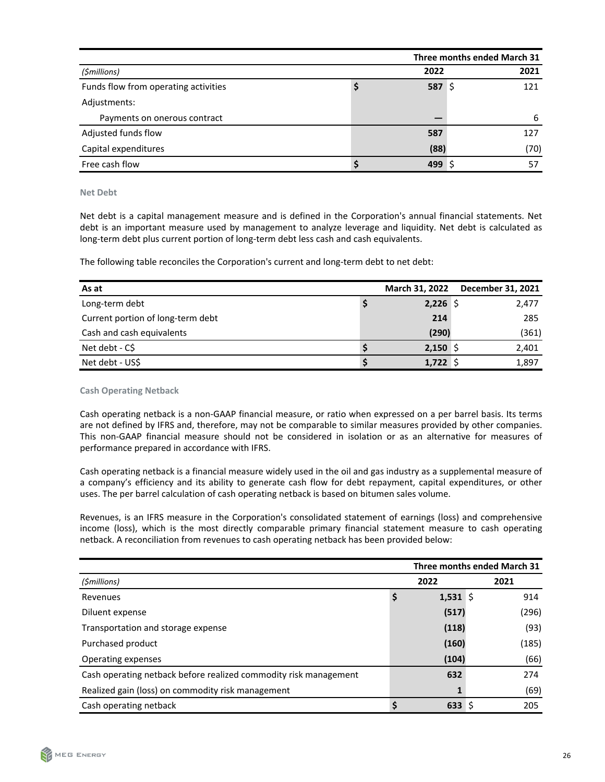|                                      | Three months ended March 31 |        |      |  |  |
|--------------------------------------|-----------------------------|--------|------|--|--|
| (\$millions)                         |                             | 2022   | 2021 |  |  |
| Funds flow from operating activities |                             | 587 \$ | 121  |  |  |
| Adjustments:                         |                             |        |      |  |  |
| Payments on onerous contract         |                             |        | 6    |  |  |
| Adjusted funds flow                  |                             | 587    | 127  |  |  |
| Capital expenditures                 |                             | (88)   | (70) |  |  |
| Free cash flow                       |                             | 499 S  | 57   |  |  |

**Net Debt**

Net debt is a capital management measure and is defined in the Corporation's annual financial statements. Net debt is an important measure used by management to analyze leverage and liquidity. Net debt is calculated as long-term debt plus current portion of long-term debt less cash and cash equivalents.

The following table reconciles the Corporation's current and long-term debt to net debt:

| As at                             | March 31, 2022 | December 31, 2021 |
|-----------------------------------|----------------|-------------------|
| Long-term debt                    | $2,226$ \$     | 2,477             |
| Current portion of long-term debt | 214            | 285               |
| Cash and cash equivalents         | (290)          | (361)             |
| Net debt - C\$                    | $2,150$ \$     | 2,401             |
| Net debt - US\$                   | $1,722$ \$     | 1,897             |

**Cash Operating Netback**

Cash operating netback is a non-GAAP financial measure, or ratio when expressed on a per barrel basis. Its terms are not defined by IFRS and, therefore, may not be comparable to similar measures provided by other companies. This non-GAAP financial measure should not be considered in isolation or as an alternative for measures of performance prepared in accordance with IFRS.

Cash operating netback is a financial measure widely used in the oil and gas industry as a supplemental measure of a company's efficiency and its ability to generate cash flow for debt repayment, capital expenditures, or other uses. The per barrel calculation of cash operating netback is based on bitumen sales volume.

Revenues, is an IFRS measure in the Corporation's consolidated statement of earnings (loss) and comprehensive income (loss), which is the most directly comparable primary financial statement measure to cash operating netback. A reconciliation from revenues to cash operating netback has been provided below:

|                                                                  | Three months ended March 31 |  |       |  |
|------------------------------------------------------------------|-----------------------------|--|-------|--|
| (\$millions)                                                     | 2022                        |  | 2021  |  |
| Revenues                                                         | $1,531$ \$                  |  | 914   |  |
| Diluent expense                                                  | (517)                       |  | (296) |  |
| Transportation and storage expense                               | (118)                       |  | (93)  |  |
| Purchased product                                                | (160)                       |  | (185) |  |
| Operating expenses                                               | (104)                       |  | (66)  |  |
| Cash operating netback before realized commodity risk management | 632                         |  | 274   |  |
| Realized gain (loss) on commodity risk management                |                             |  | (69)  |  |
| Cash operating netback                                           | 633S                        |  | 205   |  |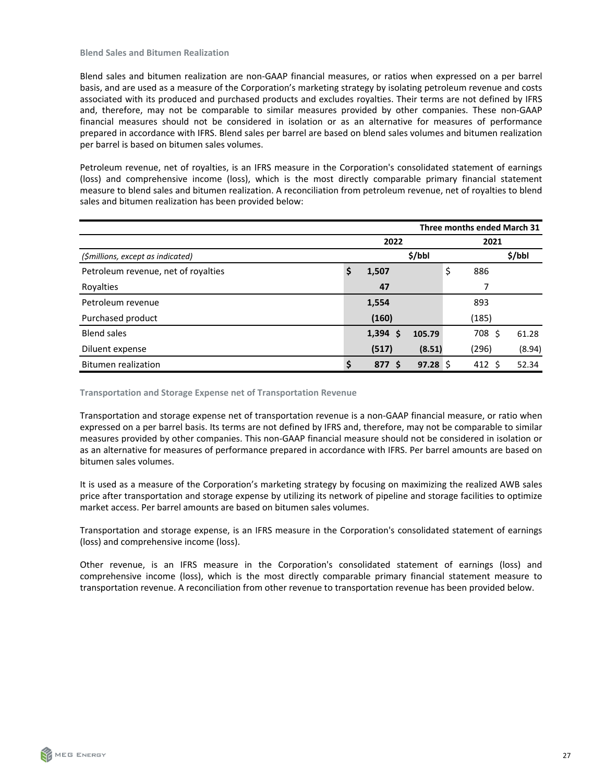Blend sales and bitumen realization are non-GAAP financial measures, or ratios when expressed on a per barrel basis, and are used as a measure of the Corporation's marketing strategy by isolating petroleum revenue and costs associated with its produced and purchased products and excludes royalties. Their terms are not defined by IFRS and, therefore, may not be comparable to similar measures provided by other companies. These non-GAAP financial measures should not be considered in isolation or as an alternative for measures of performance prepared in accordance with IFRS. Blend sales per barrel are based on blend sales volumes and bitumen realization per barrel is based on bitumen sales volumes.

Petroleum revenue, net of royalties, is an IFRS measure in the Corporation's consolidated statement of earnings (loss) and comprehensive income (loss), which is the most directly comparable primary financial statement measure to blend sales and bitumen realization. A reconciliation from petroleum revenue, net of royalties to blend sales and bitumen realization has been provided below:

|                                     | Three months ended March 31 |            |        |    |                     |        |
|-------------------------------------|-----------------------------|------------|--------|----|---------------------|--------|
|                                     |                             | 2022       |        |    | 2021                |        |
| (\$millions, except as indicated)   |                             |            | \$/bbl |    |                     | \$/bbI |
| Petroleum revenue, net of royalties | \$                          | 1,507      |        | \$ | 886                 |        |
| Royalties                           |                             | 47         |        |    |                     |        |
| Petroleum revenue                   |                             | 1,554      |        |    | 893                 |        |
| Purchased product                   |                             | (160)      |        |    | (185)               |        |
| <b>Blend sales</b>                  |                             | 1,394<br>S | 105.79 |    | 708<br><sub>S</sub> | 61.28  |
| Diluent expense                     |                             | (517)      | (8.51) |    | (296)               | (8.94) |
| <b>Bitumen realization</b>          | ς                           | 877<br>-S  | 97.28  |    | 412 <sub>5</sub>    | 52.34  |

**Transportation and Storage Expense net of Transportation Revenue** 

Transportation and storage expense net of transportation revenue is a non-GAAP financial measure, or ratio when expressed on a per barrel basis. Its terms are not defined by IFRS and, therefore, may not be comparable to similar measures provided by other companies. This non-GAAP financial measure should not be considered in isolation or as an alternative for measures of performance prepared in accordance with IFRS. Per barrel amounts are based on bitumen sales volumes.

It is used as a measure of the Corporation's marketing strategy by focusing on maximizing the realized AWB sales price after transportation and storage expense by utilizing its network of pipeline and storage facilities to optimize market access. Per barrel amounts are based on bitumen sales volumes.

Transportation and storage expense, is an IFRS measure in the Corporation's consolidated statement of earnings (loss) and comprehensive income (loss).

Other revenue, is an IFRS measure in the Corporation's consolidated statement of earnings (loss) and comprehensive income (loss), which is the most directly comparable primary financial statement measure to transportation revenue. A reconciliation from other revenue to transportation revenue has been provided below.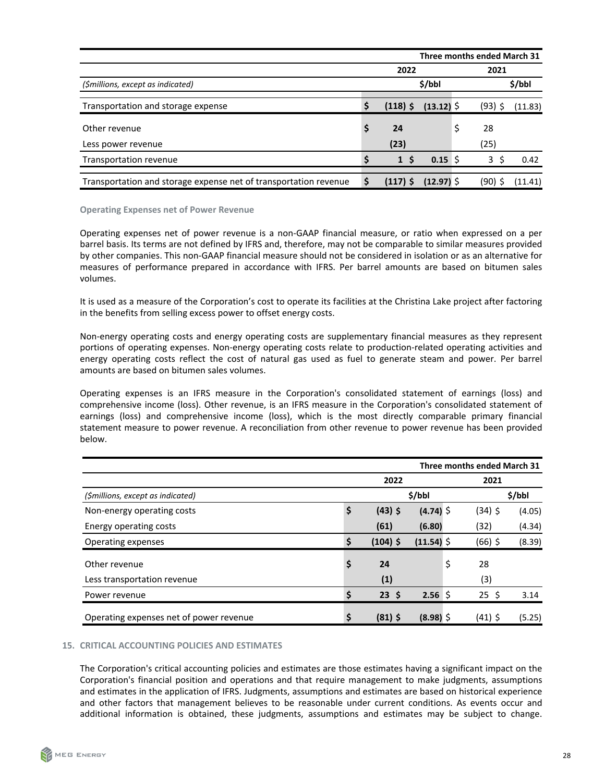<span id="page-27-0"></span>

|                                                                  | Three months ended March 31 |              |  |           |         |
|------------------------------------------------------------------|-----------------------------|--------------|--|-----------|---------|
|                                                                  | 2022                        |              |  | 2021      |         |
| (\$millions, except as indicated)                                |                             | \$/bbl       |  |           | \$/bbl  |
| Transportation and storage expense                               | $(118)$ \$                  | $(13.12)$ \$ |  | $(93)$ \$ | (11.83) |
| Other revenue                                                    | 24                          |              |  | 28        |         |
| Less power revenue                                               | (23)                        |              |  | (25)      |         |
| Transportation revenue                                           | 1 <sup>5</sup>              | $0.15$ S     |  | 3<br>-S   | 0.42    |
| Transportation and storage expense net of transportation revenue | \$<br>$(117)$ \$            | (12.97) \$   |  | (90) \$   | (11.41) |

#### **Operating Expenses net of Power Revenue**

Operating expenses net of power revenue is a non-GAAP financial measure, or ratio when expressed on a per barrel basis. Its terms are not defined by IFRS and, therefore, may not be comparable to similar measures provided by other companies. This non-GAAP financial measure should not be considered in isolation or as an alternative for measures of performance prepared in accordance with IFRS. Per barrel amounts are based on bitumen sales volumes.

It is used as a measure of the Corporation's cost to operate its facilities at the Christina Lake project after factoring in the benefits from selling excess power to offset energy costs.

Non-energy operating costs and energy operating costs are supplementary financial measures as they represent portions of operating expenses. Non-energy operating costs relate to production-related operating activities and energy operating costs reflect the cost of natural gas used as fuel to generate steam and power. Per barrel amounts are based on bitumen sales volumes.

Operating expenses is an IFRS measure in the Corporation's consolidated statement of earnings (loss) and comprehensive income (loss). Other revenue, is an IFRS measure in the Corporation's consolidated statement of earnings (loss) and comprehensive income (loss), which is the most directly comparable primary financial statement measure to power revenue. A reconciliation from other revenue to power revenue has been provided below.

|                                         | Three months ended March 31 |            |             |    |            |        |  |
|-----------------------------------------|-----------------------------|------------|-------------|----|------------|--------|--|
|                                         |                             | 2022       |             |    | 2021       |        |  |
| (\$millions, except as indicated)       |                             |            | \$/bbl      |    |            | \$/bbl |  |
| Non-energy operating costs              | \$                          | $(43)$ \$  | $(4.74)$ \$ |    | $(34)$ \$  | (4.05) |  |
| Energy operating costs                  |                             | (61)       | (6.80)      |    | (32)       | (4.34) |  |
| Operating expenses                      |                             | $(104)$ \$ | (11.54)     |    | $(66)$ \$  | (8.39) |  |
| Other revenue                           | \$                          | 24         |             | \$ | 28         |        |  |
| Less transportation revenue             |                             | (1)        |             |    | (3)        |        |  |
| Power revenue                           |                             | $23 \;$ \$ | 2.56%       |    | $25 \;$ \$ | 3.14   |  |
| Operating expenses net of power revenue |                             | $(81)$ \$  | $(8.98)$ \$ |    | $(41)$ \$  | (5.25) |  |

# **15. CRITICAL ACCOUNTING POLICIES AND ESTIMATES**

The Corporation's critical accounting policies and estimates are those estimates having a significant impact on the Corporation's financial position and operations and that require management to make judgments, assumptions and estimates in the application of IFRS. Judgments, assumptions and estimates are based on historical experience and other factors that management believes to be reasonable under current conditions. As events occur and additional information is obtained, these judgments, assumptions and estimates may be subject to change.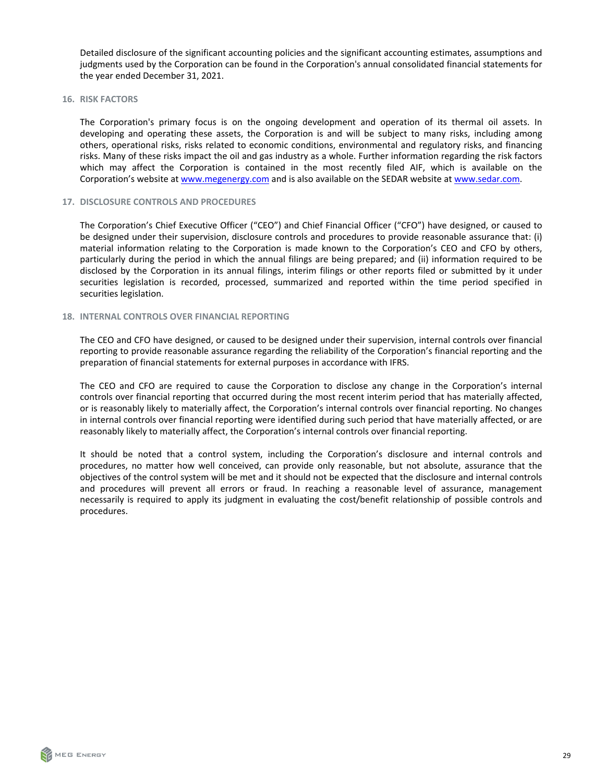<span id="page-28-0"></span>Detailed disclosure of the significant accounting policies and the significant accounting estimates, assumptions and judgments used by the Corporation can be found in the Corporation's annual consolidated financial statements for the year ended December 31, 2021.

16. RISK FACTORS

The Corporation's primary focus is on the ongoing development and operation of its thermal oil assets. In developing and operating these assets, the Corporation is and will be subject to many risks, including among others, operational risks, risks related to economic conditions, environmental and regulatory risks, and financing risks. Many of these risks impact the oil and gas industry as a whole. Further information regarding the risk factors which may affect the Corporation is contained in the most recently filed AIF, which is available on the Corporation's website at www.megenergy.com and is also available on the SEDAR website at [www.sedar.com](http://www.sedar.com).

#### **17. DISCLOSURE CONTROLS AND PROCEDURES**

The Corporation's Chief Executive Officer ("CEO") and Chief Financial Officer ("CFO") have designed, or caused to be designed under their supervision, disclosure controls and procedures to provide reasonable assurance that: (i) material information relating to the Corporation is made known to the Corporation's CEO and CFO by others, particularly during the period in which the annual filings are being prepared; and (ii) information required to be disclosed by the Corporation in its annual filings, interim filings or other reports filed or submitted by it under securities legislation is recorded, processed, summarized and reported within the time period specified in securities legislation.

# **18. INTERNAL CONTROLS OVER FINANCIAL REPORTING**

The CEO and CFO have designed, or caused to be designed under their supervision, internal controls over financial reporting to provide reasonable assurance regarding the reliability of the Corporation's financial reporting and the preparation of financial statements for external purposes in accordance with IFRS.

The CEO and CFO are required to cause the Corporation to disclose any change in the Corporation's internal controls over financial reporting that occurred during the most recent interim period that has materially affected, or is reasonably likely to materially affect, the Corporation's internal controls over financial reporting. No changes in internal controls over financial reporting were identified during such period that have materially affected, or are reasonably likely to materially affect, the Corporation's internal controls over financial reporting.

It should be noted that a control system, including the Corporation's disclosure and internal controls and procedures, no matter how well conceived, can provide only reasonable, but not absolute, assurance that the objectives of the control system will be met and it should not be expected that the disclosure and internal controls and procedures will prevent all errors or fraud. In reaching a reasonable level of assurance, management necessarily is required to apply its judgment in evaluating the cost/benefit relationship of possible controls and procedures.

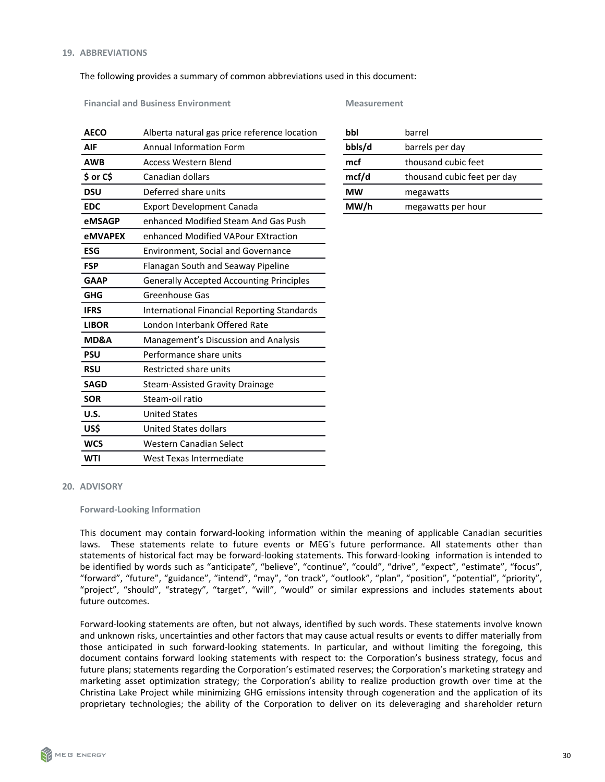# <span id="page-29-0"></span>The following provides a summary of common abbreviations used in this document:

**Financial and Business Environment Measurement Measurement** 

|                                                    | bbl                                          | barrel                      |
|----------------------------------------------------|----------------------------------------------|-----------------------------|
| <b>Annual Information Form</b>                     | bbls/d                                       | barrels per day             |
| <b>Access Western Blend</b>                        | mcf                                          | thousand cubic feet         |
| Canadian dollars                                   | mcf/d                                        | thousand cubic feet per day |
| Deferred share units                               | <b>MW</b>                                    | megawatts                   |
| <b>Export Development Canada</b>                   | MW/h                                         | megawatts per hour          |
| enhanced Modified Steam And Gas Push               |                                              |                             |
| enhanced Modified VAPour EXtraction                |                                              |                             |
| <b>Environment, Social and Governance</b>          |                                              |                             |
| Flanagan South and Seaway Pipeline                 |                                              |                             |
| <b>Generally Accepted Accounting Principles</b>    |                                              |                             |
| <b>Greenhouse Gas</b>                              |                                              |                             |
| <b>International Financial Reporting Standards</b> |                                              |                             |
| London Interbank Offered Rate                      |                                              |                             |
| Management's Discussion and Analysis               |                                              |                             |
| Performance share units                            |                                              |                             |
| Restricted share units                             |                                              |                             |
| Steam-Assisted Gravity Drainage                    |                                              |                             |
| Steam-oil ratio                                    |                                              |                             |
| <b>United States</b>                               |                                              |                             |
| <b>United States dollars</b>                       |                                              |                             |
| Western Canadian Select                            |                                              |                             |
| West Texas Intermediate                            |                                              |                             |
|                                                    | Alberta natural gas price reference location |                             |

| bbl                        | barrel                      |  |  |  |  |
|----------------------------|-----------------------------|--|--|--|--|
| bbls/d                     | barrels per day             |  |  |  |  |
| mcf<br>thousand cubic feet |                             |  |  |  |  |
| mcf/d                      | thousand cubic feet per day |  |  |  |  |
| МW                         | megawatts                   |  |  |  |  |
| MW/                        | megawatts per hour          |  |  |  |  |

#### **20. ADVISORY**

#### **Forward-Looking Information**

This document may contain forward-looking information within the meaning of applicable Canadian securities laws. These statements relate to future events or MEG's future performance. All statements other than statements of historical fact may be forward-looking statements. This forward-looking information is intended to be identified by words such as "anticipate", "believe", "continue", "could", "drive", "expect", "estimate", "focus", "forward", "future", "guidance", "intend", "may", "on track", "outlook", "plan", "position", "potential", "priority", "project", "should", "strategy", "target", "will", "would" or similar expressions and includes statements about future outcomes.

Forward-looking statements are often, but not always, identified by such words. These statements involve known and unknown risks, uncertainties and other factors that may cause actual results or events to differ materially from those anticipated in such forward-looking statements. In particular, and without limiting the foregoing, this document contains forward looking statements with respect to: the Corporation's business strategy, focus and future plans; statements regarding the Corporation's estimated reserves; the Corporation's marketing strategy and marketing asset optimization strategy; the Corporation's ability to realize production growth over time at the Christina Lake Project while minimizing GHG emissions intensity through cogeneration and the application of its proprietary technologies; the ability of the Corporation to deliver on its deleveraging and shareholder return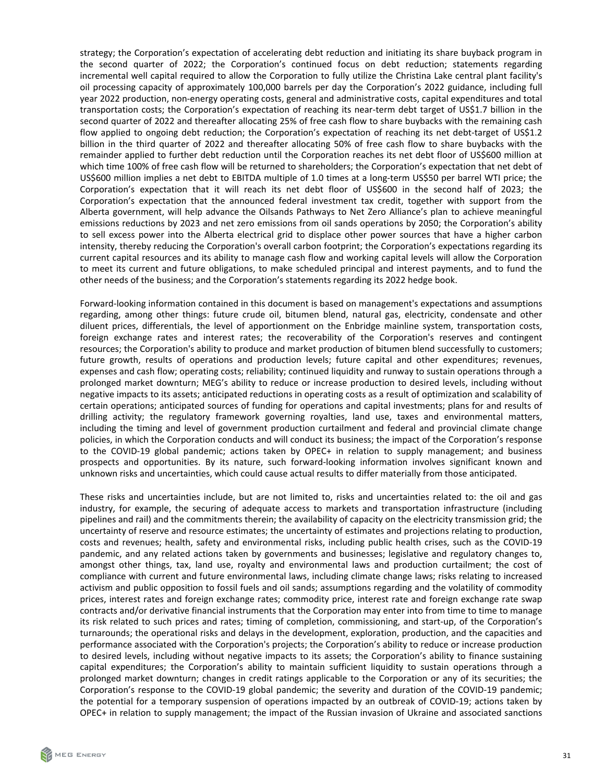strategy; the Corporation's expectation of accelerating debt reduction and initiating its share buyback program in the second quarter of 2022; the Corporation's continued focus on debt reduction; statements regarding incremental well capital required to allow the Corporation to fully utilize the Christina Lake central plant facility's oil processing capacity of approximately 100,000 barrels per day the Corporation's 2022 guidance, including full year 2022 production, non-energy operating costs, general and administrative costs, capital expenditures and total transportation costs; the Corporation's expectation of reaching its near-term debt target of US\$1.7 billion in the second quarter of 2022 and thereafter allocating 25% of free cash flow to share buybacks with the remaining cash flow applied to ongoing debt reduction; the Corporation's expectation of reaching its net debt-target of US\$1.2 billion in the third quarter of 2022 and thereafter allocating 50% of free cash flow to share buybacks with the remainder applied to further debt reduction until the Corporation reaches its net debt floor of US\$600 million at which time 100% of free cash flow will be returned to shareholders; the Corporation's expectation that net debt of US\$600 million implies a net debt to EBITDA multiple of 1.0 times at a long-term US\$50 per barrel WTI price; the Corporation's expectation that it will reach its net debt floor of US\$600 in the second half of 2023; the Corporation's expectation that the announced federal investment tax credit, together with support from the Alberta government, will help advance the Oilsands Pathways to Net Zero Alliance's plan to achieve meaningful emissions reductions by 2023 and net zero emissions from oil sands operations by 2050; the Corporation's ability to sell excess power into the Alberta electrical grid to displace other power sources that have a higher carbon intensity, thereby reducing the Corporation's overall carbon footprint; the Corporation's expectations regarding its current capital resources and its ability to manage cash flow and working capital levels will allow the Corporation to meet its current and future obligations, to make scheduled principal and interest payments, and to fund the other needs of the business; and the Corporation's statements regarding its 2022 hedge book.

Forward-looking information contained in this document is based on management's expectations and assumptions regarding, among other things: future crude oil, bitumen blend, natural gas, electricity, condensate and other diluent prices, differentials, the level of apportionment on the Enbridge mainline system, transportation costs, foreign exchange rates and interest rates; the recoverability of the Corporation's reserves and contingent resources; the Corporation's ability to produce and market production of bitumen blend successfully to customers; future growth, results of operations and production levels; future capital and other expenditures; revenues, expenses and cash flow; operating costs; reliability; continued liquidity and runway to sustain operations through a prolonged market downturn; MEG's ability to reduce or increase production to desired levels, including without negative impacts to its assets; anticipated reductions in operating costs as a result of optimization and scalability of certain operations; anticipated sources of funding for operations and capital investments; plans for and results of drilling activity; the regulatory framework governing royalties, land use, taxes and environmental matters, including the timing and level of government production curtailment and federal and provincial climate change policies, in which the Corporation conducts and will conduct its business; the impact of the Corporation's response to the COVID-19 global pandemic; actions taken by OPEC+ in relation to supply management; and business prospects and opportunities. By its nature, such forward-looking information involves significant known and unknown risks and uncertainties, which could cause actual results to differ materially from those anticipated.

These risks and uncertainties include, but are not limited to, risks and uncertainties related to: the oil and gas industry, for example, the securing of adequate access to markets and transportation infrastructure (including pipelines and rail) and the commitments therein; the availability of capacity on the electricity transmission grid; the uncertainty of reserve and resource estimates; the uncertainty of estimates and projections relating to production, costs and revenues; health, safety and environmental risks, including public health crises, such as the COVID-19 pandemic, and any related actions taken by governments and businesses; legislative and regulatory changes to, amongst other things, tax, land use, royalty and environmental laws and production curtailment; the cost of compliance with current and future environmental laws, including climate change laws; risks relating to increased activism and public opposition to fossil fuels and oil sands; assumptions regarding and the volatility of commodity prices, interest rates and foreign exchange rates; commodity price, interest rate and foreign exchange rate swap contracts and/or derivative financial instruments that the Corporation may enter into from time to time to manage its risk related to such prices and rates; timing of completion, commissioning, and start-up, of the Corporation's turnarounds; the operational risks and delays in the development, exploration, production, and the capacities and performance associated with the Corporation's projects; the Corporation's ability to reduce or increase production to desired levels, including without negative impacts to its assets; the Corporation's ability to finance sustaining capital expenditures; the Corporation's ability to maintain sufficient liquidity to sustain operations through a prolonged market downturn; changes in credit ratings applicable to the Corporation or any of its securities; the Corporation's response to the COVID-19 global pandemic; the severity and duration of the COVID-19 pandemic; the potential for a temporary suspension of operations impacted by an outbreak of COVID-19; actions taken by OPEC+ in relation to supply management; the impact of the Russian invasion of Ukraine and associated sanctions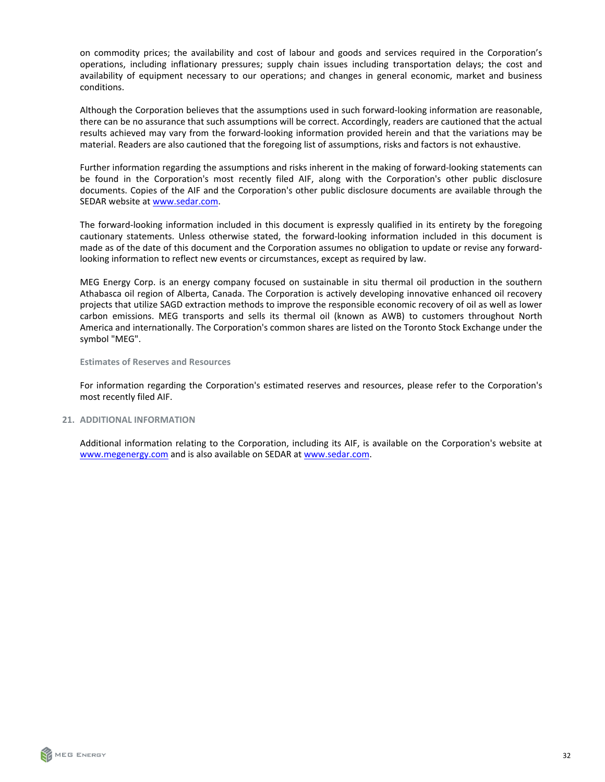<span id="page-31-0"></span>on commodity prices; the availability and cost of labour and goods and services required in the Corporation's operations, including inflationary pressures; supply chain issues including transportation delays; the cost and availability of equipment necessary to our operations; and changes in general economic, market and business conditions.

Although the Corporation believes that the assumptions used in such forward-looking information are reasonable, there can be no assurance that such assumptions will be correct. Accordingly, readers are cautioned that the actual results achieved may vary from the forward-looking information provided herein and that the variations may be material. Readers are also cautioned that the foregoing list of assumptions, risks and factors is not exhaustive.

Further information regarding the assumptions and risks inherent in the making of forward-looking statements can be found in the Corporation's most recently filed AIF, along with the Corporation's other public disclosure documents. Copies of the AIF and the Corporation's other public disclosure documents are available through the SEDAR website at [www.sedar.com.](http://www.sedar.com)

The forward-looking information included in this document is expressly qualified in its entirety by the foregoing cautionary statements. Unless otherwise stated, the forward-looking information included in this document is made as of the date of this document and the Corporation assumes no obligation to update or revise any forwardlooking information to reflect new events or circumstances, except as required by law.

MEG Energy Corp. is an energy company focused on sustainable in situ thermal oil production in the southern Athabasca oil region of Alberta, Canada. The Corporation is actively developing innovative enhanced oil recovery projects that utilize SAGD extraction methods to improve the responsible economic recovery of oil as well as lower carbon emissions. MEG transports and sells its thermal oil (known as AWB) to customers throughout North America and internationally. The Corporation's common shares are listed on the Toronto Stock Exchange under the symbol "MEG".

**Estimates of Reserves and Resources** 

For information regarding the Corporation's estimated reserves and resources, please refer to the Corporation's most recently filed AIF.

**21. ADDITIONAL INFORMATION** 

Additional information relating to the Corporation, including its AIF, is available on the Corporation's website at www.megenergy.com and is also available on SEDAR at [www.sedar.com](http://www.sedar.com).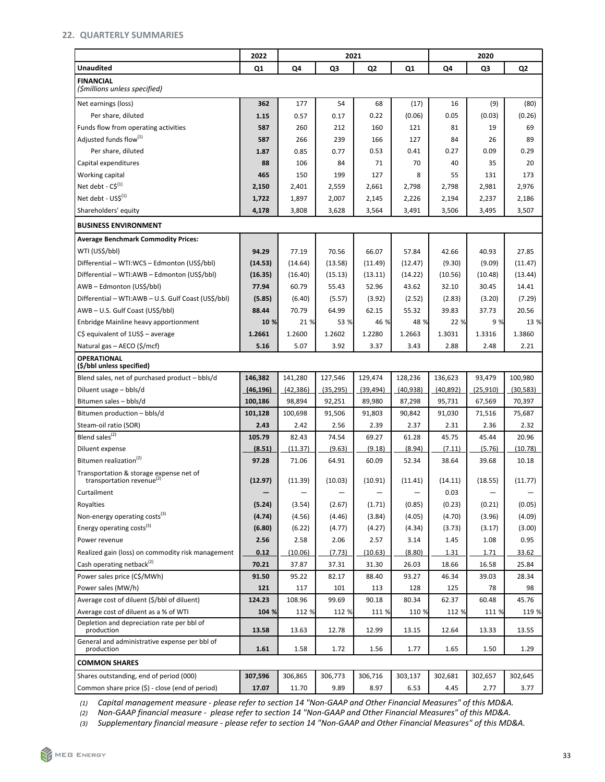# <span id="page-32-0"></span>**22. QUARTERLY SUMMARIES**

|                                                                                 | 2022      | 2021      |           |                |           |           | 2020      |                |  |  |
|---------------------------------------------------------------------------------|-----------|-----------|-----------|----------------|-----------|-----------|-----------|----------------|--|--|
| <b>Unaudited</b>                                                                | Q1        | Q4        | Q3        | Q <sub>2</sub> | Q1        | Q4        | Q3        | Q <sub>2</sub> |  |  |
| <b>FINANCIAL</b><br>(\$millions unless specified)                               |           |           |           |                |           |           |           |                |  |  |
| Net earnings (loss)                                                             | 362       | 177       | 54        | 68             | (17)      | 16        | (9)       | (80)           |  |  |
| Per share, diluted                                                              | 1.15      | 0.57      | 0.17      | 0.22           | (0.06)    | 0.05      | (0.03)    | (0.26)         |  |  |
| Funds flow from operating activities                                            | 587       | 260       | 212       | 160            | 121       | 81        | 19        | 69             |  |  |
| Adjusted funds flow <sup>(1)</sup>                                              | 587       | 266       | 239       | 166            | 127       | 84        | 26        | 89             |  |  |
| Per share, diluted                                                              | 1.87      | 0.85      | 0.77      | 0.53           | 0.41      | 0.27      | 0.09      | 0.29           |  |  |
| Capital expenditures                                                            | 88        | 106       | 84        | 71             | 70        | 40        | 35        | 20             |  |  |
| Working capital                                                                 | 465       | 150       | 199       | 127            | 8         | 55        | 131       | 173            |  |  |
| Net debt - $CS^{(1)}$                                                           | 2,150     | 2,401     | 2,559     | 2,661          | 2,798     | 2,798     | 2,981     | 2,976          |  |  |
| Net debt - $USS^{(1)}$                                                          | 1,722     | 1,897     | 2,007     | 2,145          | 2,226     | 2,194     | 2,237     | 2,186          |  |  |
| Shareholders' equity                                                            | 4,178     | 3,808     | 3,628     | 3,564          | 3,491     | 3,506     | 3,495     | 3,507          |  |  |
| <b>BUSINESS ENVIRONMENT</b>                                                     |           |           |           |                |           |           |           |                |  |  |
| <b>Average Benchmark Commodity Prices:</b>                                      |           |           |           |                |           |           |           |                |  |  |
| WTI (US\$/bbl)                                                                  | 94.29     | 77.19     | 70.56     | 66.07          | 57.84     | 42.66     | 40.93     | 27.85          |  |  |
| Differential - WTI:WCS - Edmonton (US\$/bbl)                                    | (14.53)   | (14.64)   | (13.58)   | (11.49)        | (12.47)   | (9.30)    | (9.09)    | (11.47)        |  |  |
| Differential - WTI:AWB - Edmonton (US\$/bbl)                                    | (16.35)   | (16.40)   | (15.13)   | (13.11)        | (14.22)   | (10.56)   | (10.48)   | (13.44)        |  |  |
| AWB-Edmonton (US\$/bbl)                                                         | 77.94     | 60.79     | 55.43     | 52.96          | 43.62     | 32.10     | 30.45     | 14.41          |  |  |
| Differential - WTI:AWB - U.S. Gulf Coast (US\$/bbl)                             | (5.85)    | (6.40)    | (5.57)    | (3.92)         | (2.52)    | (2.83)    | (3.20)    | (7.29)         |  |  |
| AWB-U.S. Gulf Coast (US\$/bbl)                                                  | 88.44     | 70.79     | 64.99     | 62.15          | 55.32     | 39.83     | 37.73     | 20.56          |  |  |
| Enbridge Mainline heavy apportionment                                           | 10 %      | 21 %      | 53 %      | 46 %           | 48 %      | 22 %      | 9 %       | 13 %           |  |  |
| $C\$ equivalent of $1US\$ – average                                             | 1.2661    | 1.2600    | 1.2602    | 1.2280         | 1.2663    | 1.3031    | 1.3316    | 1.3860         |  |  |
| Natural gas - AECO (\$/mcf)                                                     | 5.16      | 5.07      | 3.92      | 3.37           | 3.43      | 2.88      | 2.48      | 2.21           |  |  |
| <b>OPERATIONAL</b><br>(\$/bbl unless specified)                                 |           |           |           |                |           |           |           |                |  |  |
| Blend sales, net of purchased product - bbls/d                                  | 146,382   | 141,280   | 127,546   | 129,474        | 128,236   | 136,623   | 93,479    | 100,980        |  |  |
| Diluent usage - bbls/d                                                          | (46, 196) | (42, 386) | (35, 295) | (39, 494)      | (40, 938) | (40, 892) | (25, 910) | (30, 583)      |  |  |
| Bitumen sales - bbls/d                                                          | 100,186   | 98,894    | 92,251    | 89,980         | 87,298    | 95,731    | 67,569    | 70,397         |  |  |
| Bitumen production - bbls/d                                                     | 101,128   | 100,698   | 91,506    | 91,803         | 90,842    | 91,030    | 71,516    | 75,687         |  |  |
| Steam-oil ratio (SOR)                                                           | 2.43      | 2.42      | 2.56      | 2.39           | 2.37      | 2.31      | 2.36      | 2.32           |  |  |
| Blend sales <sup>(2)</sup>                                                      | 105.79    | 82.43     | 74.54     | 69.27          | 61.28     | 45.75     | 45.44     | 20.96          |  |  |
| Diluent expense                                                                 | (8.51)    | (11.37)   | (9.63)    | (9.18)         | (8.94)    | (7.11)    | (5.76)    | (10.78)        |  |  |
| Bitumen realization <sup>(2)</sup>                                              | 97.28     | 71.06     | 64.91     | 60.09          | 52.34     | 38.64     | 39.68     | 10.18          |  |  |
| Transportation & storage expense net of<br>transportation revenue <sup>(2</sup> | (12.97)   | (11.39)   | (10.03)   | (10.91)        | (11.41)   | (14.11)   | (18.55)   | (11.77)        |  |  |
| Curtailment                                                                     |           |           |           |                |           | 0.03      |           |                |  |  |
| Royalties                                                                       | (5.24)    | (3.54)    | (2.67)    | (1.71)         | (0.85)    | (0.23)    | (0.21)    | (0.05)         |  |  |
| Non-energy operating costs <sup>(3)</sup>                                       | (4.74)    | (4.56)    | (4.46)    | (3.84)         | (4.05)    | (4.70)    | (3.96)    | (4.09)         |  |  |
| Energy operating costs <sup>(3)</sup>                                           | (6.80)    | (6.22)    | (4.77)    | (4.27)         | (4.34)    | (3.73)    | (3.17)    | (3.00)         |  |  |
| Power revenue                                                                   | 2.56      | 2.58      | 2.06      | 2.57           | 3.14      | 1.45      | 1.08      | 0.95           |  |  |
| Realized gain (loss) on commodity risk management                               | 0.12      | (10.06)   | (7.73)    | (10.63)        | (8.80)    | 1.31      | 1.71      | 33.62          |  |  |
| Cash operating netback <sup>(2)</sup>                                           | 70.21     | 37.87     | 37.31     | 31.30          | 26.03     | 18.66     | 16.58     | 25.84          |  |  |
| Power sales price (C\$/MWh)                                                     | 91.50     | 95.22     | 82.17     | 88.40          | 93.27     | 46.34     | 39.03     | 28.34          |  |  |
| Power sales (MW/h)                                                              | 121       | 117       | 101       | 113            | 128       | 125       | 78        | 98             |  |  |
| Average cost of diluent (\$/bbl of diluent)                                     | 124.23    | 108.96    | 99.69     | 90.18          | 80.34     | 62.37     | 60.48     | 45.76          |  |  |
| Average cost of diluent as a % of WTI                                           | 104 %     | 112 %     | 112 %     | 111 %          | 110 %     | 112 %     | 111 %     | 119 %          |  |  |
| Depletion and depreciation rate per bbl of<br>production                        | 13.58     | 13.63     | 12.78     | 12.99          | 13.15     | 12.64     | 13.33     | 13.55          |  |  |
| General and administrative expense per bbl of<br>production                     | 1.61      | 1.58      | 1.72      | 1.56           | 1.77      | 1.65      | 1.50      | 1.29           |  |  |
| <b>COMMON SHARES</b>                                                            |           |           |           |                |           |           |           |                |  |  |
| Shares outstanding, end of period (000)                                         | 307,596   | 306,865   | 306,773   | 306,716        | 303,137   | 302,681   | 302,657   | 302,645        |  |  |
| Common share price (\$) - close (end of period)                                 | 17.07     | 11.70     | 9.89      | 8.97           | 6.53      | 4.45      | 2.77      | 3.77           |  |  |

(1) *Capital management measure - please refer to section 14 "Non-GAAP and Other Financial Measures" of this MD&A.* 

(2) Non-GAAP financial measure - please refer to section 14 "Non-GAAP and Other Financial Measures" of this MD&A.

(3) Supplementary financial measure - please refer to section 14 "Non-GAAP and Other Financial Measures" of this MD&A.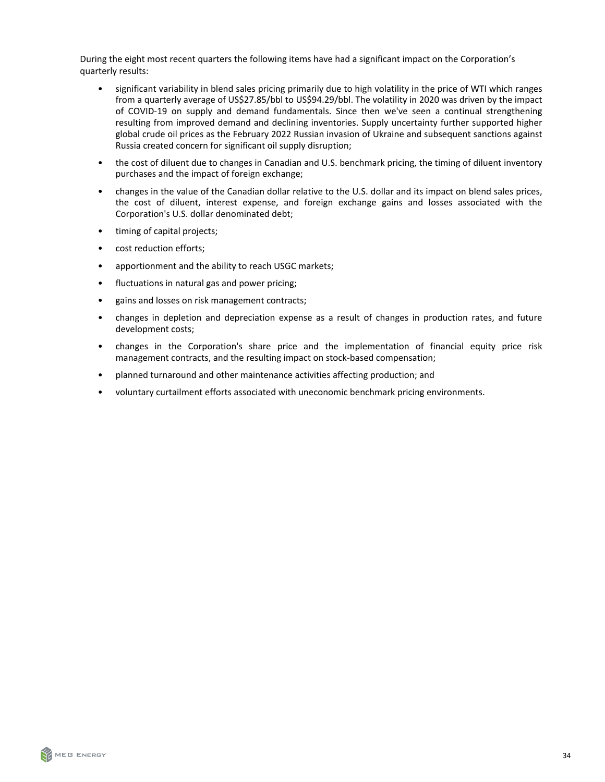During the eight most recent quarters the following items have had a significant impact on the Corporation's quarterly results:

- significant variability in blend sales pricing primarily due to high volatility in the price of WTI which ranges from a quarterly average of US\$27.85/bbl to US\$94.29/bbl. The volatility in 2020 was driven by the impact of COVID-19 on supply and demand fundamentals. Since then we've seen a continual strengthening resulting from improved demand and declining inventories. Supply uncertainty further supported higher global crude oil prices as the February 2022 Russian invasion of Ukraine and subsequent sanctions against Russia created concern for significant oil supply disruption;
- the cost of diluent due to changes in Canadian and U.S. benchmark pricing, the timing of diluent inventory purchases and the impact of foreign exchange;
- changes in the value of the Canadian dollar relative to the U.S. dollar and its impact on blend sales prices, the cost of diluent, interest expense, and foreign exchange gains and losses associated with the Corporation's U.S. dollar denominated debt;
- timing of capital projects;
- cost reduction efforts;
- apportionment and the ability to reach USGC markets;
- fluctuations in natural gas and power pricing;
- gains and losses on risk management contracts;
- changes in depletion and depreciation expense as a result of changes in production rates, and future development costs;
- changes in the Corporation's share price and the implementation of financial equity price risk management contracts, and the resulting impact on stock-based compensation;
- planned turnaround and other maintenance activities affecting production; and
- voluntary curtailment efforts associated with uneconomic benchmark pricing environments.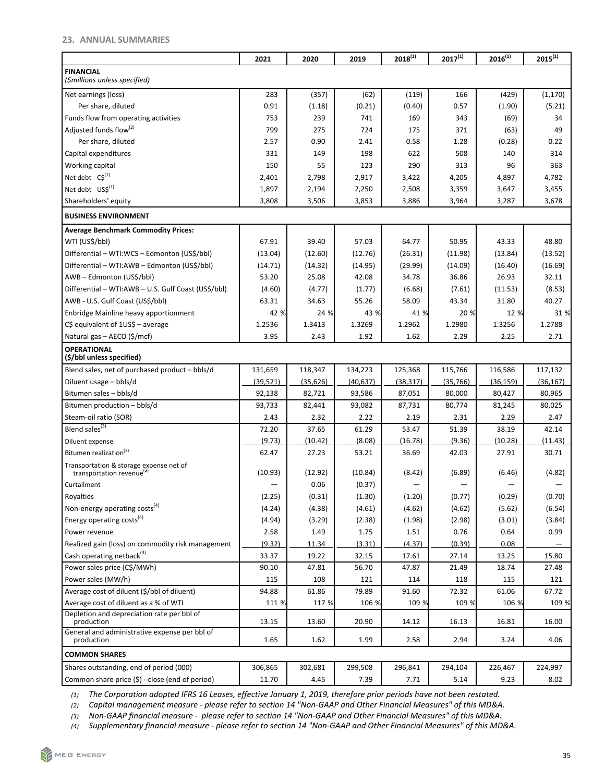# <span id="page-34-0"></span>**23. ANNUAL SUMMARIES**

|                                                                                  | 2021      | 2020      | 2019      | $2018^{(1)}$ | $2017^{(1)}$ | $2016^{(1)}$ | $2015^{(1)}$ |
|----------------------------------------------------------------------------------|-----------|-----------|-----------|--------------|--------------|--------------|--------------|
| <b>FINANCIAL</b><br>(\$millions unless specified)                                |           |           |           |              |              |              |              |
| Net earnings (loss)                                                              | 283       | (357)     | (62)      | (119)        | 166          | (429)        | (1, 170)     |
| Per share, diluted                                                               | 0.91      | (1.18)    | (0.21)    | (0.40)       | 0.57         | (1.90)       | (5.21)       |
| Funds flow from operating activities                                             | 753       | 239       | 741       | 169          | 343          | (69)         | 34           |
| Adjusted funds flow <sup>(2)</sup>                                               | 799       | 275       | 724       | 175          | 371          | (63)         | 49           |
| Per share, diluted                                                               | 2.57      | 0.90      | 2.41      | 0.58         | 1.28         | (0.28)       | 0.22         |
| Capital expenditures                                                             | 331       | 149       | 198       | 622          | 508          | 140          | 314          |
| Working capital                                                                  | 150       | 55        | 123       | 290          | 313          | 96           | 363          |
| Net debt - $CS^{(1)}$                                                            | 2,401     | 2,798     | 2,917     | 3,422        | 4,205        | 4,897        | 4,782        |
| Net debt - US\$(1)                                                               | 1,897     | 2,194     | 2,250     | 2,508        | 3,359        | 3,647        | 3,455        |
| Shareholders' equity                                                             | 3,808     | 3,506     | 3,853     | 3,886        | 3,964        | 3,287        | 3,678        |
| <b>BUSINESS ENVIRONMENT</b>                                                      |           |           |           |              |              |              |              |
| <b>Average Benchmark Commodity Prices:</b>                                       |           |           |           |              |              |              |              |
| WTI (US\$/bbl)                                                                   | 67.91     | 39.40     | 57.03     | 64.77        | 50.95        | 43.33        | 48.80        |
| Differential - WTI:WCS - Edmonton (US\$/bbl)                                     | (13.04)   | (12.60)   | (12.76)   | (26.31)      | (11.98)      | (13.84)      | (13.52)      |
| Differential - WTI:AWB - Edmonton (US\$/bbl)                                     | (14.71)   | (14.32)   | (14.95)   | (29.99)      | (14.09)      | (16.40)      | (16.69)      |
| AWB - Edmonton (US\$/bbl)                                                        | 53.20     | 25.08     | 42.08     | 34.78        | 36.86        | 26.93        | 32.11        |
| Differential - WTI:AWB - U.S. Gulf Coast (US\$/bbl)                              | (4.60)    | (4.77)    | (1.77)    | (6.68)       | (7.61)       | (11.53)      | (8.53)       |
| AWB - U.S. Gulf Coast (US\$/bbl)                                                 | 63.31     | 34.63     | 55.26     | 58.09        | 43.34        | 31.80        | 40.27        |
| Enbridge Mainline heavy apportionment                                            | 42 %      | 24 %      | 43 %      | 41 %         | 20 %         | 12 %         | 31 %         |
| $C\$ equivalent of $1US\$ – average                                              | 1.2536    | 1.3413    | 1.3269    | 1.2962       | 1.2980       | 1.3256       | 1.2788       |
| Natural gas - AECO (\$/mcf)                                                      | 3.95      | 2.43      | 1.92      | 1.62         | 2.29         | 2.25         | 2.71         |
| <b>OPERATIONAL</b>                                                               |           |           |           |              |              |              |              |
| (\$/bbl unless specified)                                                        |           |           |           |              |              |              |              |
| Blend sales, net of purchased product – bbls/d                                   | 131,659   | 118,347   | 134,223   | 125,368      | 115,766      | 116,586      | 117,132      |
| Diluent usage - bbls/d                                                           | (39, 521) | (35, 626) | (40, 637) | (38, 317)    | (35,766)     | (36, 159)    | (36, 167)    |
| Bitumen sales - bbls/d                                                           | 92,138    | 82,721    | 93,586    | 87,051       | 80,000       | 80,427       | 80,965       |
| Bitumen production - bbls/d                                                      | 93,733    | 82,441    | 93,082    | 87,731       | 80,774       | 81,245       | 80,025       |
| Steam-oil ratio (SOR)                                                            | 2.43      | 2.32      | 2.22      | 2.19         | 2.31         | 2.29         | 2.47         |
| Blend sales <sup>(3)</sup>                                                       | 72.20     | 37.65     | 61.29     | 53.47        | 51.39        | 38.19        | 42.14        |
| Diluent expense                                                                  | (9.73)    | (10.42)   | (8.08)    | (16.78)      | (9.36)       | (10.28)      | (11.43)      |
| Bitumen realization <sup>(3)</sup>                                               | 62.47     | 27.23     | 53.21     | 36.69        | 42.03        | 27.91        | 30.71        |
| Transportation & storage expense net of<br>transportation revenue <sup>(3)</sup> | (10.93)   | (12.92)   | (10.84)   | (8.42)       | (6.89)       | (6.46)       | (4.82)       |
| Curtailment                                                                      |           | 0.06      | (0.37)    |              |              |              |              |
| Royalties                                                                        | (2.25)    | (0.31)    | (1.30)    | (1.20)       | (0.77)       | (0.29)       | (0.70)       |
| Non-energy operating costs <sup>(4)</sup>                                        | (4.24)    | (4.38)    | (4.61)    | (4.62)       | (4.62)       | (5.62)       | (6.54)       |
| Energy operating costs <sup>(4)</sup>                                            | (4.94)    | (3.29)    | (2.38)    | (1.98)       | (2.98)       | (3.01)       | (3.84)       |
| Power revenue                                                                    | 2.58      | 1.49      | 1.75      | 1.51         | 0.76         | 0.64         | 0.99         |
| Realized gain (loss) on commodity risk management                                | (9.32)    | 11.34     | (3.31)    | (4.37)       | (0.39)       | 0.08         |              |
| Cash operating netback <sup>(3)</sup>                                            | 33.37     | 19.22     | 32.15     | 17.61        | 27.14        | 13.25        | 15.80        |
| Power sales price (C\$/MWh)                                                      | 90.10     | 47.81     | 56.70     | 47.87        | 21.49        | 18.74        | 27.48        |
| Power sales (MW/h)                                                               | 115       | 108       | 121       | 114          | 118          | 115          | 121          |
| Average cost of diluent (\$/bbl of diluent)                                      | 94.88     | 61.86     | 79.89     | 91.60        | 72.32        | 61.06        | 67.72        |
| Average cost of diluent as a % of WTI                                            | 111 %     | 117 %     | 106 %     | 109 %        | 109 %        | 106 %        | 109 %        |
| Depletion and depreciation rate per bbl of<br>production                         | 13.15     | 13.60     | 20.90     | 14.12        | 16.13        | 16.81        | 16.00        |
| General and administrative expense per bbl of<br>production                      | 1.65      | 1.62      | 1.99      | 2.58         | 2.94         | 3.24         | 4.06         |
| <b>COMMON SHARES</b>                                                             |           |           |           |              |              |              |              |
| Shares outstanding, end of period (000)                                          | 306,865   | 302,681   | 299,508   | 296,841      | 294,104      | 226,467      | 224,997      |
| Common share price (\$) - close (end of period)                                  | 11.70     | 4.45      | 7.39      | 7.71         | 5.14         | 9.23         | 8.02         |
|                                                                                  |           |           |           |              |              |              |              |

(1) The Corporation adopted IFRS 16 Leases, effective January 1, 2019, therefore prior periods have not been restated.

(2) *Capital management measure - please refer to section 14 "Non-GAAP and Other Financial Measures" of this MD&A.* 

(3) Non-GAAP financial measure - please refer to section 14 "Non-GAAP and Other Financial Measures" of this MD&A.

(4) Supplementary financial measure - please refer to section 14 "Non-GAAP and Other Financial Measures" of this MD&A.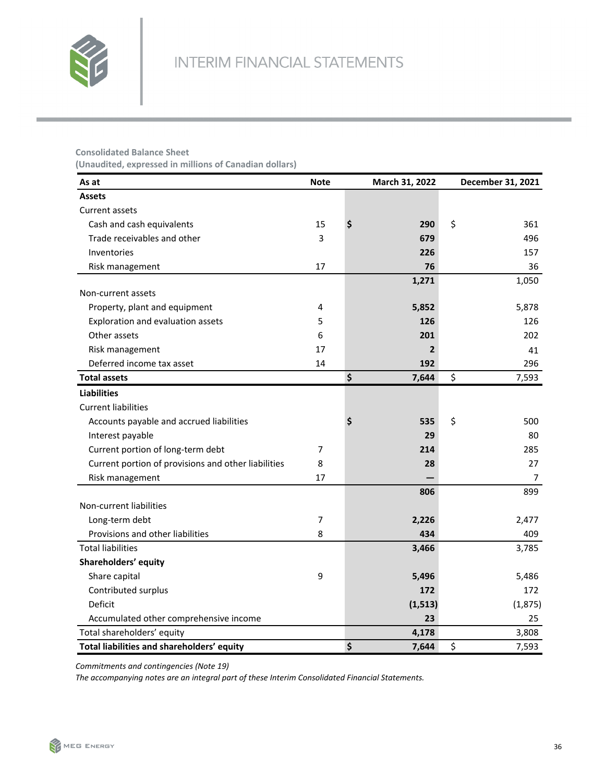

# **Consolidated Balance Sheet**

**(Unaudited, expressed in millions of Canadian dollars)**

| As at                                               | <b>Note</b> | March 31, 2022 | December 31, 2021 |
|-----------------------------------------------------|-------------|----------------|-------------------|
| <b>Assets</b>                                       |             |                |                   |
| Current assets                                      |             |                |                   |
| Cash and cash equivalents                           | 15          | \$<br>290      | \$<br>361         |
| Trade receivables and other                         | 3           | 679            | 496               |
| Inventories                                         |             | 226            | 157               |
| Risk management                                     | 17          | 76             | 36                |
|                                                     |             | 1,271          | 1,050             |
| Non-current assets                                  |             |                |                   |
| Property, plant and equipment                       | 4           | 5,852          | 5,878             |
| Exploration and evaluation assets                   | 5           | 126            | 126               |
| Other assets                                        | 6           | 201            | 202               |
| Risk management                                     | 17          | $\overline{2}$ | 41                |
| Deferred income tax asset                           | 14          | 192            | 296               |
| <b>Total assets</b>                                 |             | \$<br>7,644    | \$<br>7,593       |
| <b>Liabilities</b>                                  |             |                |                   |
| <b>Current liabilities</b>                          |             |                |                   |
| Accounts payable and accrued liabilities            |             | \$<br>535      | \$<br>500         |
| Interest payable                                    |             | 29             | 80                |
| Current portion of long-term debt                   | 7           | 214            | 285               |
| Current portion of provisions and other liabilities | 8           | 28             | 27                |
| Risk management                                     | 17          |                | 7                 |
|                                                     |             | 806            | 899               |
| Non-current liabilities                             |             |                |                   |
| Long-term debt                                      | 7           | 2,226          | 2,477             |
| Provisions and other liabilities                    | 8           | 434            | 409               |
| <b>Total liabilities</b>                            |             | 3,466          | 3,785             |
| Shareholders' equity                                |             |                |                   |
| Share capital                                       | 9           | 5,496          | 5,486             |
| Contributed surplus                                 |             | 172            | 172               |
| Deficit                                             |             | (1, 513)       | (1,875)           |
| Accumulated other comprehensive income              |             | 23             | 25                |
| Total shareholders' equity                          |             | 4,178          | 3,808             |
| Total liabilities and shareholders' equity          |             | \$<br>7,644    | \$<br>7,593       |

*Commitments and contingencies (Note 19)*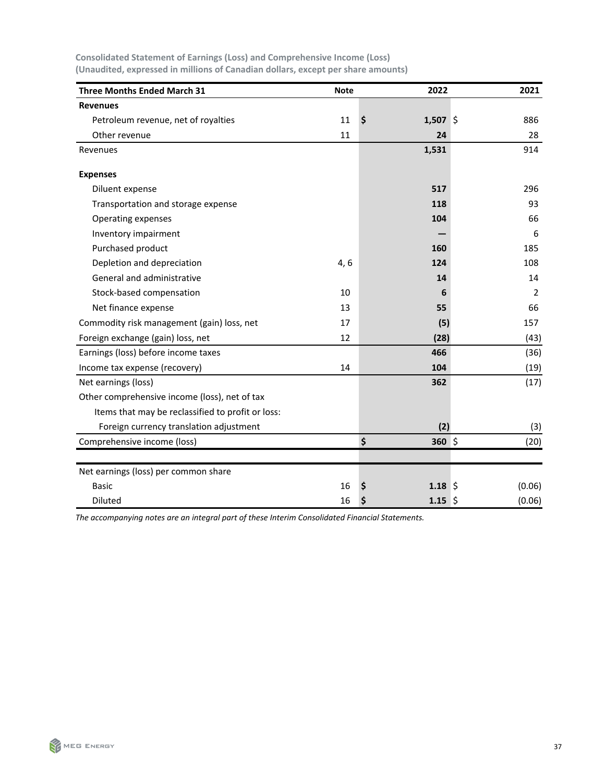| <b>Three Months Ended March 31</b>                | <b>Note</b> | 2022               | 2021           |
|---------------------------------------------------|-------------|--------------------|----------------|
| <b>Revenues</b>                                   |             |                    |                |
| Petroleum revenue, net of royalties               | 11          | \$<br>1,507 \$     | 886            |
| Other revenue                                     | 11          | 24                 | 28             |
| Revenues                                          |             | 1,531              | 914            |
| <b>Expenses</b>                                   |             |                    |                |
| Diluent expense                                   |             | 517                | 296            |
| Transportation and storage expense                |             | 118                | 93             |
| Operating expenses                                |             | 104                | 66             |
| Inventory impairment                              |             |                    | 6              |
| Purchased product                                 |             | 160                | 185            |
| Depletion and depreciation                        | 4, 6        | 124                | 108            |
| General and administrative                        |             | 14                 | 14             |
| Stock-based compensation                          | 10          | 6                  | $\overline{2}$ |
| Net finance expense                               | 13          | 55                 | 66             |
| Commodity risk management (gain) loss, net        | 17          | (5)                | 157            |
| Foreign exchange (gain) loss, net                 | 12          | (28)               | (43)           |
| Earnings (loss) before income taxes               |             | 466                | (36)           |
| Income tax expense (recovery)                     | 14          | 104                | (19)           |
| Net earnings (loss)                               |             | 362                | (17)           |
| Other comprehensive income (loss), net of tax     |             |                    |                |
| Items that may be reclassified to profit or loss: |             |                    |                |
| Foreign currency translation adjustment           |             | (2)                | (3)            |
| Comprehensive income (loss)                       |             | \$<br>360 \$       | (20)           |
| Net earnings (loss) per common share              |             |                    |                |
| <b>Basic</b>                                      | 16          | $1.18 \;$ \$<br>\$ | (0.06)         |
| <b>Diluted</b>                                    | 16          | \$<br>$1.15 \;$ \$ | (0.06)         |

**Consolidated Statement of Earnings (Loss) and Comprehensive Income (Loss)** (Unaudited, expressed in millions of Canadian dollars, except per share amounts)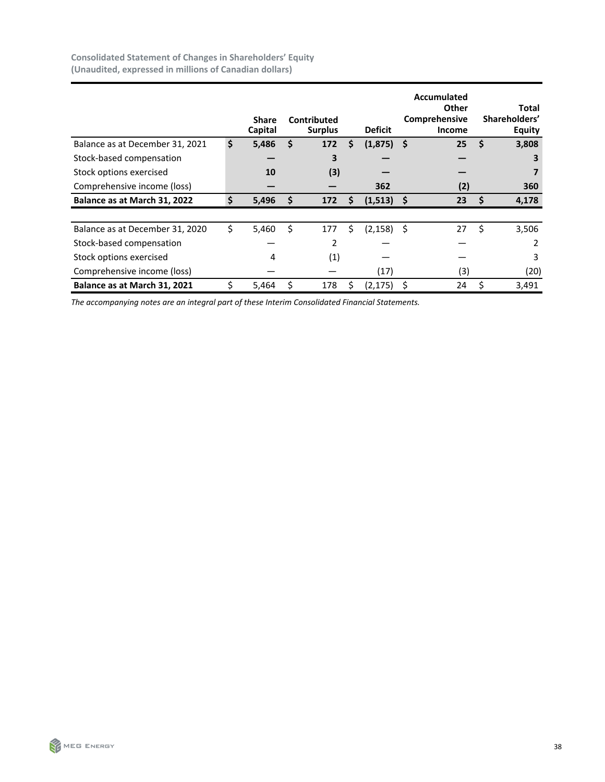|                                 | <b>Share</b><br>Capital | Contributed<br><b>Surplus</b> |    | <b>Deficit</b> |     | Accumulated<br>Other<br>Comprehensive<br><b>Income</b> |    | Total<br>Shareholders'<br>Equity |
|---------------------------------|-------------------------|-------------------------------|----|----------------|-----|--------------------------------------------------------|----|----------------------------------|
| Balance as at December 31, 2021 | \$<br>5,486             | \$<br>172                     | \$ | (1,875)        | -\$ | 25                                                     | \$ | 3,808                            |
| Stock-based compensation        |                         | 3                             |    |                |     |                                                        |    | 3                                |
| Stock options exercised         | 10                      | (3)                           |    |                |     |                                                        |    |                                  |
| Comprehensive income (loss)     |                         |                               |    | 362            |     | (2)                                                    |    | 360                              |
| Balance as at March 31, 2022    | \$<br>5,496             | 172                           | Ś  | (1, 513)       |     | 23                                                     | Ś  | 4,178                            |
|                                 |                         |                               |    |                |     |                                                        |    |                                  |
| Balance as at December 31, 2020 | \$<br>5,460             | \$<br>177                     | Ś  | $(2, 158)$ \$  |     | 27                                                     | \$ | 3,506                            |
| Stock-based compensation        |                         | 2                             |    |                |     |                                                        |    | 2                                |
| Stock options exercised         | 4                       | (1)                           |    |                |     |                                                        |    | 3                                |
| Comprehensive income (loss)     |                         |                               |    | (17)           |     | (3)                                                    |    | (20)                             |
| Balance as at March 31, 2021    | 5,464                   | 178                           | S  | (2,175)        | S   | 24                                                     | Ś  | 3,491                            |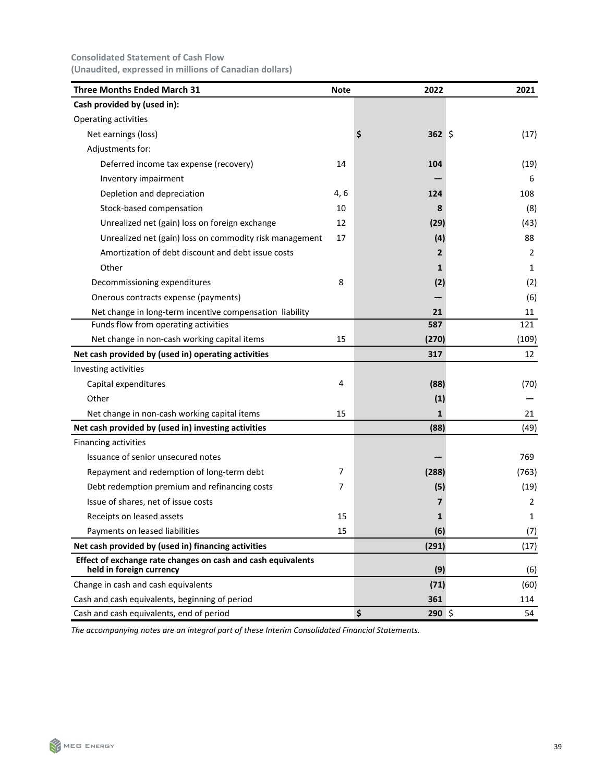# **Consolidated Statement of Cash Flow (Unaudited, expressed in millions of Canadian dollars)**

| <b>Three Months Ended March 31</b>                                                       | <b>Note</b> | 2022             | 2021  |
|------------------------------------------------------------------------------------------|-------------|------------------|-------|
| Cash provided by (used in):                                                              |             |                  |       |
| Operating activities                                                                     |             |                  |       |
| Net earnings (loss)                                                                      |             | $362 \,$ \$<br>Ş | (17)  |
| Adjustments for:                                                                         |             |                  |       |
| Deferred income tax expense (recovery)                                                   | 14          | 104              | (19)  |
| Inventory impairment                                                                     |             |                  | 6     |
| Depletion and depreciation                                                               | 4, 6        | 124              | 108   |
| Stock-based compensation                                                                 | 10          | 8                | (8)   |
| Unrealized net (gain) loss on foreign exchange                                           | 12          | (29)             | (43)  |
| Unrealized net (gain) loss on commodity risk management                                  | 17          | (4)              | 88    |
| Amortization of debt discount and debt issue costs                                       |             | 2                | 2     |
| Other                                                                                    |             | 1                | 1     |
| Decommissioning expenditures                                                             | 8           | (2)              | (2)   |
| Onerous contracts expense (payments)                                                     |             |                  | (6)   |
| Net change in long-term incentive compensation liability                                 |             | 21               | 11    |
| Funds flow from operating activities                                                     |             | 587              | 121   |
| Net change in non-cash working capital items                                             | 15          | (270)            | (109) |
| Net cash provided by (used in) operating activities                                      |             | 317              | 12    |
| Investing activities                                                                     |             |                  |       |
| Capital expenditures                                                                     | 4           | (88)             | (70)  |
| Other                                                                                    |             | (1)              |       |
| Net change in non-cash working capital items                                             | 15          | 1                | 21    |
| Net cash provided by (used in) investing activities                                      |             | (88)             | (49)  |
| Financing activities                                                                     |             |                  |       |
| Issuance of senior unsecured notes                                                       |             |                  | 769   |
| Repayment and redemption of long-term debt                                               | 7           | (288)            | (763) |
| Debt redemption premium and refinancing costs                                            | 7           | (5)              | (19)  |
| Issue of shares, net of issue costs                                                      |             | 7                | 2     |
| Receipts on leased assets                                                                | 15          | $\mathbf{1}$     | 1     |
| Payments on leased liabilities                                                           | 15          | (6)              | (7)   |
| Net cash provided by (used in) financing activities                                      |             | (291)            | (17)  |
| Effect of exchange rate changes on cash and cash equivalents<br>held in foreign currency |             | (9)              | (6)   |
| Change in cash and cash equivalents                                                      |             | (71)             | (60)  |
| Cash and cash equivalents, beginning of period                                           |             | 361              | 114   |
| Cash and cash equivalents, end of period                                                 |             | \$<br>$290$ \$   | 54    |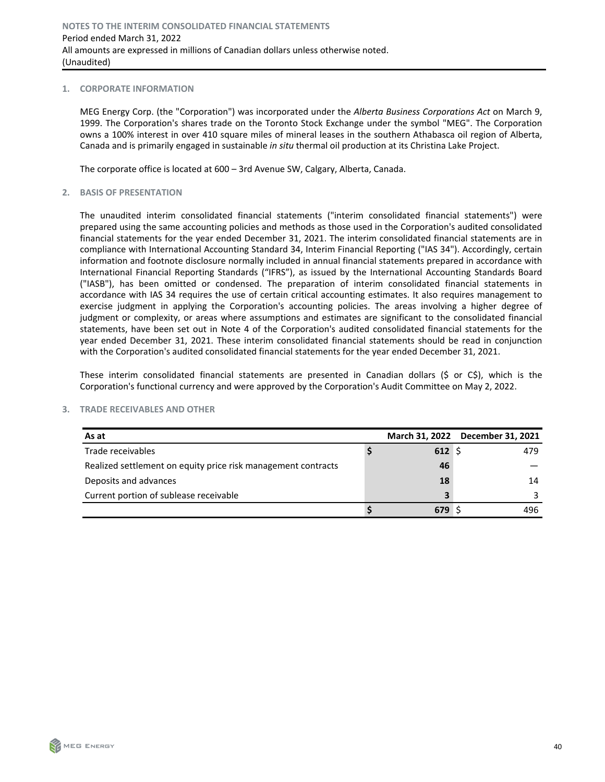#### **1. CORPORATE INFORMATION**

MEG Energy Corp. (the "Corporation") was incorporated under the *Alberta Business Corporations Act* on March 9, 1999. The Corporation's shares trade on the Toronto Stock Exchange under the symbol "MEG". The Corporation owns a 100% interest in over 410 square miles of mineral leases in the southern Athabasca oil region of Alberta, Canada and is primarily engaged in sustainable *in situ* thermal oil production at its Christina Lake Project.

The corporate office is located at  $600 - 3$ rd Avenue SW, Calgary, Alberta, Canada.

#### **2. BASIS OF PRESENTATION**

The unaudited interim consolidated financial statements ("interim consolidated financial statements") were prepared using the same accounting policies and methods as those used in the Corporation's audited consolidated financial statements for the year ended December 31, 2021. The interim consolidated financial statements are in compliance with International Accounting Standard 34, Interim Financial Reporting ("IAS 34"). Accordingly, certain information and footnote disclosure normally included in annual financial statements prepared in accordance with International Financial Reporting Standards ("IFRS"), as issued by the International Accounting Standards Board ("IASB"), has been omitted or condensed. The preparation of interim consolidated financial statements in accordance with IAS 34 requires the use of certain critical accounting estimates. It also requires management to exercise judgment in applying the Corporation's accounting policies. The areas involving a higher degree of judgment or complexity, or areas where assumptions and estimates are significant to the consolidated financial statements, have been set out in Note 4 of the Corporation's audited consolidated financial statements for the year ended December 31, 2021. These interim consolidated financial statements should be read in conjunction with the Corporation's audited consolidated financial statements for the year ended December 31, 2021.

These interim consolidated financial statements are presented in Canadian dollars (\$ or  $C\$ ), which is the Corporation's functional currency and were approved by the Corporation's Audit Committee on May 2, 2022.

| As at                                                         |      | March 31, 2022 December 31, 2021 |
|---------------------------------------------------------------|------|----------------------------------|
| Trade receivables                                             | 612S | 479                              |
| Realized settlement on equity price risk management contracts | 46   |                                  |
| Deposits and advances                                         | 18   | 14                               |
| Current portion of sublease receivable                        |      |                                  |
|                                                               | 679  | 496                              |

#### **3. TRADE RECEIVABLES AND OTHER**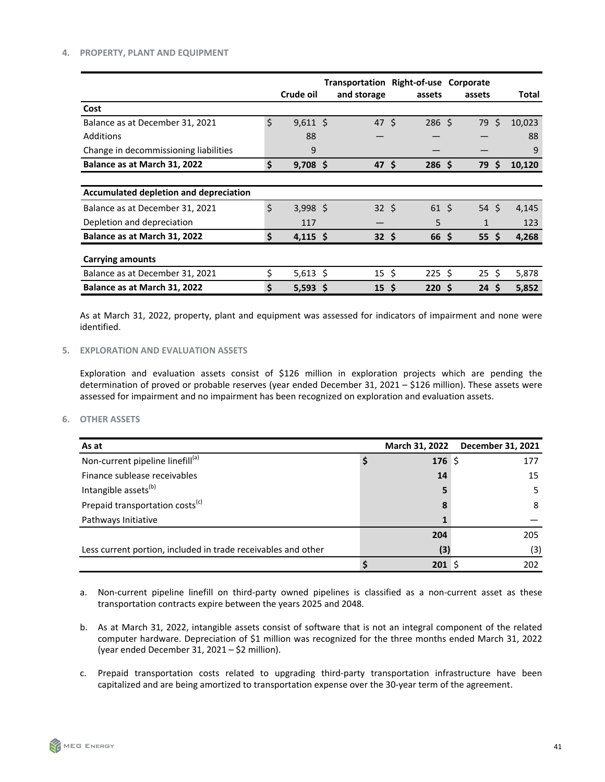#### **4. PROPERTY, PLANT AND EQUIPMENT**

|                                        |                  | Transportation Right-of-use Corporate |                 |                 |                     |        |
|----------------------------------------|------------------|---------------------------------------|-----------------|-----------------|---------------------|--------|
|                                        | Crude oil        | and storage                           | assets          | assets          |                     | Total  |
| Cost                                   |                  |                                       |                 |                 |                     |        |
| Balance as at December 31, 2021        | \$<br>$9,611$ \$ | 47 \$                                 | $286 \;$ \$     | 79 S            |                     | 10,023 |
| Additions                              | 88               |                                       |                 |                 |                     | 88     |
| Change in decommissioning liabilities  | 9                |                                       |                 |                 |                     | 9      |
| Balance as at March 31, 2022           | \$<br>$9,708$ \$ | 47 <sup>5</sup>                       | 286S            | 79              | $\ddot{\bm{\zeta}}$ | 10,120 |
|                                        |                  |                                       |                 |                 |                     |        |
| Accumulated depletion and depreciation |                  |                                       |                 |                 |                     |        |
| Balance as at December 31, 2021        | \$<br>$3,998$ \$ | 32 <sup>5</sup>                       | 61 <sup>5</sup> | 54S             |                     | 4,145  |
| Depletion and depreciation             | 117              |                                       | 5               | $\mathbf{1}$    |                     | 123    |
| Balance as at March 31, 2022           | \$<br>$4,115$ \$ | $32 \div$                             | 66 <sup>5</sup> | 55 <sub>5</sub> |                     | 4,268  |
| <b>Carrying amounts</b>                |                  |                                       |                 |                 |                     |        |
| Balance as at December 31, 2021        | \$<br>$5,613$ \$ | $15\frac{1}{2}$                       | 225S            | 25S             |                     | 5,878  |
| Balance as at March 31, 2022           | \$<br>$5,593$ \$ | 15 <sup>5</sup>                       | 220 S           | 24S             |                     | 5,852  |

As at March 31, 2022, property, plant and equipment was assessed for indicators of impairment and none were identified.

# **5. EXPLORATION AND EVALUATION ASSETS**

Exploration and evaluation assets consist of \$126 million in exploration projects which are pending the determination of proved or probable reserves (year ended December 31, 2021 – \$126 million). These assets were assessed for impairment and no impairment has been recognized on exploration and evaluation assets.

# **6. OTHER ASSETS**

| As at                                                         | March 31, 2022   | December 31, 2021 |
|---------------------------------------------------------------|------------------|-------------------|
| Non-current pipeline linefill <sup>(a)</sup>                  | 176 \$           | 177               |
| Finance sublease receivables                                  | 14               | 15                |
| Intangible assets <sup>(b)</sup>                              |                  | 5                 |
| Prepaid transportation costs <sup>(c)</sup>                   |                  | 8                 |
| Pathways Initiative                                           |                  |                   |
|                                                               | 204              | 205               |
| Less current portion, included in trade receivables and other | (3)              | (3)               |
|                                                               | 201 <sup>5</sup> | 202               |

- a. Non-current pipeline linefill on third-party owned pipelines is classified as a non-current asset as these transportation contracts expire between the years 2025 and 2048.
- b. As at March 31, 2022, intangible assets consist of software that is not an integral component of the related computer hardware. Depreciation of \$1 million was recognized for the three months ended March 31, 2022 (year ended December 31, 2021  $-$  \$2 million).
- c. Prepaid transportation costs related to upgrading third-party transportation infrastructure have been capitalized and are being amortized to transportation expense over the 30-year term of the agreement.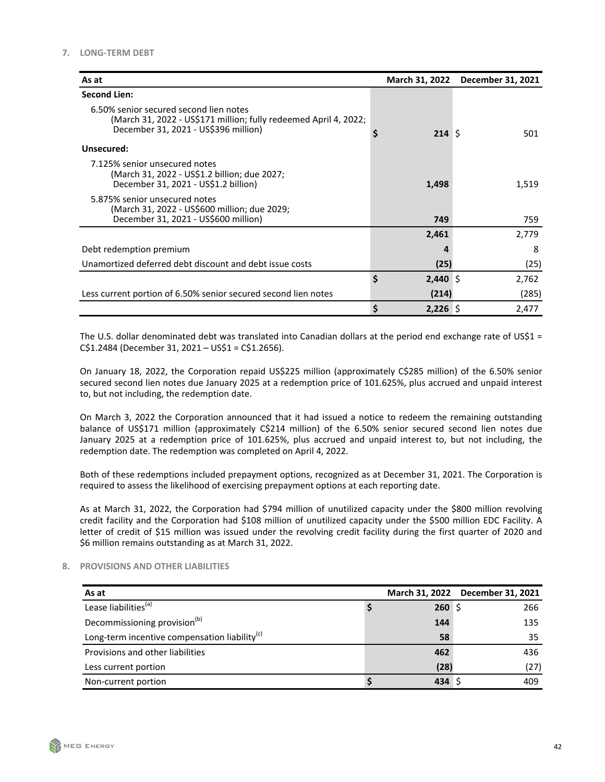| As at                                                                                                                                              | March 31, 2022   | December 31, 2021 |
|----------------------------------------------------------------------------------------------------------------------------------------------------|------------------|-------------------|
| <b>Second Lien:</b>                                                                                                                                |                  |                   |
| 6.50% senior secured second lien notes<br>(March 31, 2022 - US\$171 million; fully redeemed April 4, 2022;<br>December 31, 2021 - US\$396 million) | 214S             | 501               |
| Unsecured:                                                                                                                                         |                  |                   |
| 7.125% senior unsecured notes<br>(March 31, 2022 - US\$1.2 billion; due 2027;<br>December 31, 2021 - US\$1.2 billion)                              | 1,498            | 1,519             |
| 5.875% senior unsecured notes<br>(March 31, 2022 - US\$600 million; due 2029;<br>December 31, 2021 - US\$600 million)                              | 749              | 759               |
|                                                                                                                                                    | 2,461            | 2,779             |
| Debt redemption premium                                                                                                                            |                  | 8                 |
| Unamortized deferred debt discount and debt issue costs                                                                                            | (25)             | (25)              |
|                                                                                                                                                    | \$<br>$2,440$ \$ | 2,762             |
| Less current portion of 6.50% senior secured second lien notes                                                                                     | (214)            | (285)             |
|                                                                                                                                                    | \$<br>$2,226$ \$ | 2,477             |

The U.S. dollar denominated debt was translated into Canadian dollars at the period end exchange rate of US\$1 =  $C$1.2484 (December 31, 2021 – US$1 = C$1.2656).$ 

On January 18, 2022, the Corporation repaid US\$225 million (approximately C\$285 million) of the 6.50% senior secured second lien notes due January 2025 at a redemption price of 101.625%, plus accrued and unpaid interest to, but not including, the redemption date.

On March 3, 2022 the Corporation announced that it had issued a notice to redeem the remaining outstanding balance of US\$171 million (approximately C\$214 million) of the 6.50% senior secured second lien notes due January 2025 at a redemption price of 101.625%, plus accrued and unpaid interest to, but not including, the redemption date. The redemption was completed on April 4, 2022.

Both of these redemptions included prepayment options, recognized as at December 31, 2021. The Corporation is required to assess the likelihood of exercising prepayment options at each reporting date.

As at March 31, 2022, the Corporation had \$794 million of unutilized capacity under the \$800 million revolving credit facility and the Corporation had \$108 million of unutilized capacity under the \$500 million EDC Facility. A letter of credit of \$15 million was issued under the revolving credit facility during the first quarter of 2020 and \$6 million remains outstanding as at March 31, 2022.

# **8. PROVISIONS AND OTHER LIABILITIES**

| As at                                                     |                | March 31, 2022 December 31, 2021 |
|-----------------------------------------------------------|----------------|----------------------------------|
| Lease liabilities <sup>(a)</sup>                          | 260S           | 266                              |
| Decommissioning provision <sup>(b)</sup>                  | 144            | 135                              |
| Long-term incentive compensation liability <sup>(c)</sup> | 58             | 35                               |
| Provisions and other liabilities                          | 462            | 436                              |
| Less current portion                                      | (28)           | (27)                             |
| Non-current portion                                       | $434 \text{ }$ | 409                              |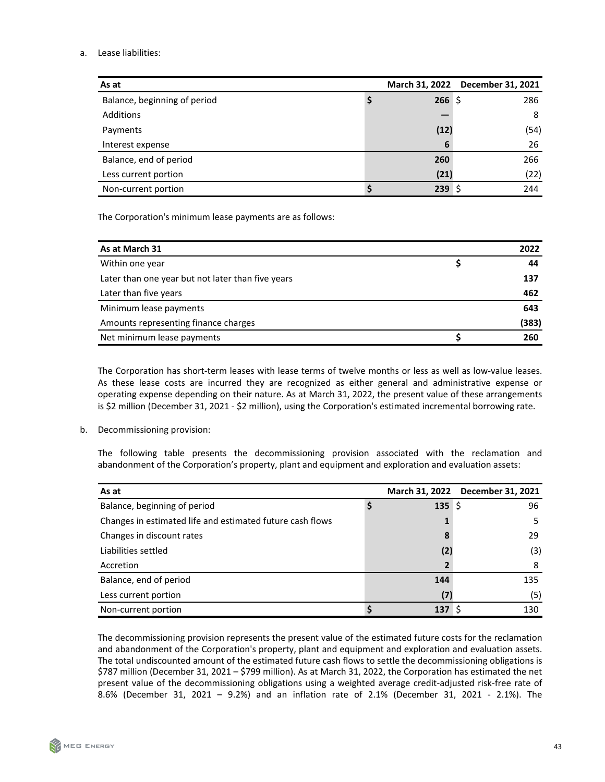# a. Lease liabilities:

| As at                        |          | March 31, 2022 December 31, 2021 |
|------------------------------|----------|----------------------------------|
| Balance, beginning of period | $266$ \$ | 286                              |
| <b>Additions</b>             |          | 8                                |
| Payments                     | (12)     | (54)                             |
| Interest expense             | 6        | 26                               |
| Balance, end of period       | 260      | 266                              |
| Less current portion         | (21)     | (22)                             |
| Non-current portion          | 239S     | 244                              |

The Corporation's minimum lease payments are as follows:

| As at March 31                                    | 2022  |
|---------------------------------------------------|-------|
| Within one year                                   | 44    |
| Later than one year but not later than five years | 137   |
| Later than five years                             | 462   |
| Minimum lease payments                            | 643   |
| Amounts representing finance charges              | (383) |
| Net minimum lease payments                        | 260   |

The Corporation has short-term leases with lease terms of twelve months or less as well as low-value leases. As these lease costs are incurred they are recognized as either general and administrative expense or operating expense depending on their nature. As at March 31, 2022, the present value of these arrangements is \$2 million (December 31, 2021 - \$2 million), using the Corporation's estimated incremental borrowing rate.

b. Decommissioning provision:

The following table presents the decommissioning provision associated with the reclamation and abandonment of the Corporation's property, plant and equipment and exploration and evaluation assets:

| As at                                                     |        | March 31, 2022 December 31, 2021 |
|-----------------------------------------------------------|--------|----------------------------------|
| Balance, beginning of period                              | 135 \$ | 96                               |
| Changes in estimated life and estimated future cash flows |        | 5                                |
| Changes in discount rates                                 | 8      | 29                               |
| Liabilities settled                                       | (2)    | (3)                              |
| Accretion                                                 | 2      | 8                                |
| Balance, end of period                                    | 144    | 135                              |
| Less current portion                                      | (7)    | (5)                              |
| Non-current portion                                       | 137 \$ | 130                              |

The decommissioning provision represents the present value of the estimated future costs for the reclamation and abandonment of the Corporation's property, plant and equipment and exploration and evaluation assets. The total undiscounted amount of the estimated future cash flows to settle the decommissioning obligations is \$787 million (December 31, 2021 - \$799 million). As at March 31, 2022, the Corporation has estimated the net present value of the decommissioning obligations using a weighted average credit-adjusted risk-free rate of 8.6% (December 31, 2021 - 9.2%) and an inflation rate of 2.1% (December 31, 2021 - 2.1%). The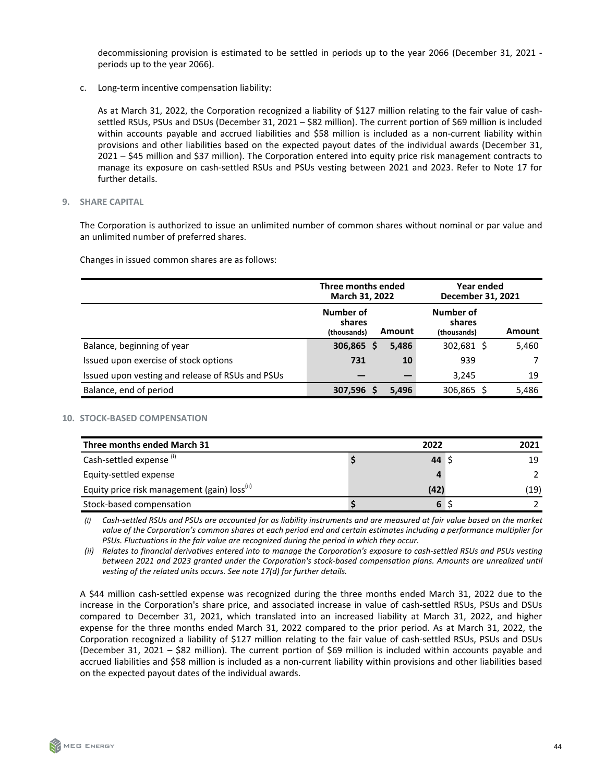decommissioning provision is estimated to be settled in periods up to the year 2066 (December 31, 2021 periods up to the year 2066).

c. Long-term incentive compensation liability:

As at March 31, 2022, the Corporation recognized a liability of \$127 million relating to the fair value of cashsettled RSUs, PSUs and DSUs (December 31, 2021 – \$82 million). The current portion of \$69 million is included within accounts payable and accrued liabilities and \$58 million is included as a non-current liability within provisions and other liabilities based on the expected payout dates of the individual awards (December 31, 2021 - \$45 million and \$37 million). The Corporation entered into equity price risk management contracts to manage its exposure on cash-settled RSUs and PSUs vesting between 2021 and 2023. Refer to Note 17 for further details.

**9.** SHARE CAPITAL

The Corporation is authorized to issue an unlimited number of common shares without nominal or par value and an unlimited number of preferred shares.

Changes in issued common shares are as follows:

|                                                  | Three months ended<br>March 31, 2022         |       | Year ended<br>December 31, 2021    |               |  |
|--------------------------------------------------|----------------------------------------------|-------|------------------------------------|---------------|--|
|                                                  | Number of<br>shares<br>Amount<br>(thousands) |       | Number of<br>shares<br>(thousands) | <b>Amount</b> |  |
| Balance, beginning of year                       | 306,865<br>S                                 | 5,486 | 302,681 \$                         | 5,460         |  |
| Issued upon exercise of stock options            | 731                                          | 10    | 939                                |               |  |
| Issued upon vesting and release of RSUs and PSUs |                                              |       | 3,245                              | 19            |  |
| Balance, end of period                           | 307,596 \$                                   | 5,496 | 306,865                            | 5,486         |  |

# **10. STOCK-BASED COMPENSATION**

| Three months ended March 31                              | 2022       | 2021 |
|----------------------------------------------------------|------------|------|
| Cash-settled expense (i)                                 | 44 $\zeta$ | 19   |
| Equity-settled expense                                   |            |      |
| Equity price risk management (gain) loss <sup>(ii)</sup> | (42)       | (19) |
| Stock-based compensation                                 | 6          |      |

(i) Cash-settled RSUs and PSUs are accounted for as liability instruments and are measured at fair value based on the market value of the Corporation's common shares at each period end and certain estimates including a performance multiplier for PSUs. Fluctuations in the fair value are recognized during the period in which they occur.

*(ii)* Relates to financial derivatives entered into to manage the Corporation's exposure to cash-settled RSUs and PSUs vesting between 2021 and 2023 granted under the Corporation's stock-based compensation plans. Amounts are unrealized until vesting of the related units occurs. See note 17(d) for further details.

A \$44 million cash-settled expense was recognized during the three months ended March 31, 2022 due to the increase in the Corporation's share price, and associated increase in value of cash-settled RSUs, PSUs and DSUs compared to December 31, 2021, which translated into an increased liability at March 31, 2022, and higher expense for the three months ended March 31, 2022 compared to the prior period. As at March 31, 2022, the Corporation recognized a liability of \$127 million relating to the fair value of cash-settled RSUs, PSUs and DSUs (December 31, 2021 – \$82 million). The current portion of \$69 million is included within accounts payable and accrued liabilities and \$58 million is included as a non-current liability within provisions and other liabilities based on the expected payout dates of the individual awards.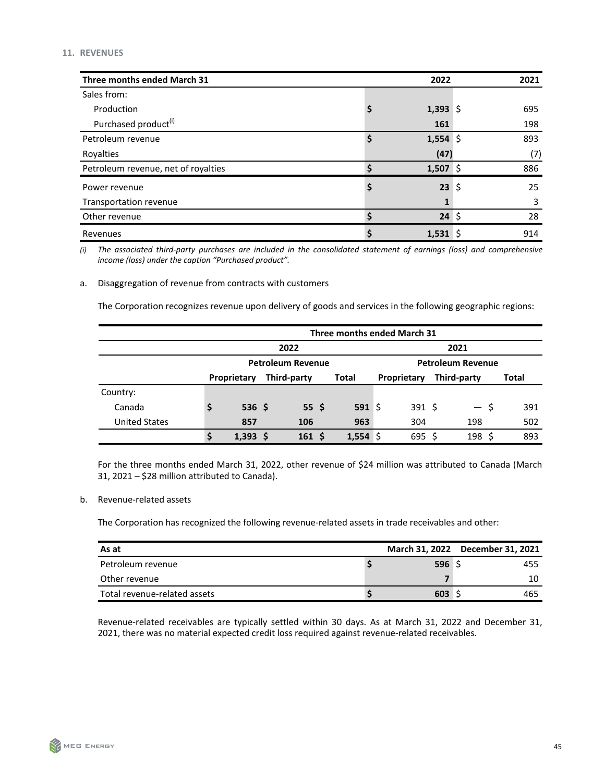| Three months ended March 31         |    | 2022       | 2021 |
|-------------------------------------|----|------------|------|
| Sales from:                         |    |            |      |
| Production                          | \$ | 1,393 \$   | 695  |
| Purchased product <sup>(i)</sup>    |    | 161        | 198  |
| Petroleum revenue                   | \$ | $1,554$ \$ | 893  |
| Royalties                           |    | (47)       | (7)  |
| Petroleum revenue, net of royalties | Ś  | 1,507 \$   | 886  |
| Power revenue                       | \$ | $23 \;$ \$ | 25   |
| Transportation revenue              |    |            | 3    |
| Other revenue                       | Ś  | $24 \;$ \$ | 28   |
| Revenues                            | \$ | $1,531$ \$ | 914  |

(i) The associated third-party purchases are included in the consolidated statement of earnings (loss) and comprehensive *income* (loss) under the caption "Purchased product".

a. Disaggregation of revenue from contracts with customers

The Corporation recognizes revenue upon delivery of goods and services in the following geographic regions:

|                      | Three months ended March 31 |                          |                  |  |             |                            |                          |  |       |
|----------------------|-----------------------------|--------------------------|------------------|--|-------------|----------------------------|--------------------------|--|-------|
|                      |                             | 2022                     |                  |  |             |                            | 2021                     |  |       |
|                      |                             | <b>Petroleum Revenue</b> |                  |  |             |                            | <b>Petroleum Revenue</b> |  |       |
|                      |                             | Proprietary              | Third-party      |  | Total       | Third-party<br>Proprietary |                          |  | Total |
| Country:             |                             |                          |                  |  |             |                            |                          |  |       |
| Canada               |                             | $536 \;$ \$              | 55 <sub>5</sub>  |  | $591 \;$ \$ | $391 \;$ \$                | — s                      |  | 391   |
| <b>United States</b> |                             | 857                      | 106              |  | 963         | 304                        | 198                      |  | 502   |
|                      | \$                          | 1,393                    | 161 <sup>5</sup> |  | 1,554       | $695$ \$                   | 198, 5                   |  | 893   |

For the three months ended March 31, 2022, other revenue of \$24 million was attributed to Canada (March 31, 2021  $-$  \$28 million attributed to Canada).

#### b. Revenue-related assets

The Corporation has recognized the following revenue-related assets in trade receivables and other:

| As at                        |      | March 31, 2022 December 31, 2021 |
|------------------------------|------|----------------------------------|
| Petroleum revenue            | 596S | 455                              |
| Other revenue                |      | 10                               |
| Total revenue-related assets | 603  | 465                              |

Revenue-related receivables are typically settled within 30 days. As at March 31, 2022 and December 31, 2021, there was no material expected credit loss required against revenue-related receivables.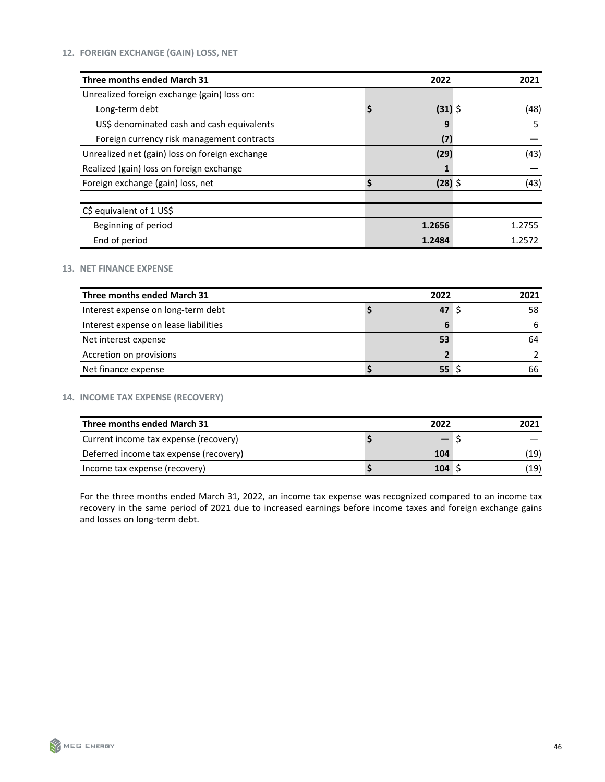| Three months ended March 31                    | 2022            | 2021   |
|------------------------------------------------|-----------------|--------|
| Unrealized foreign exchange (gain) loss on:    |                 |        |
| Long-term debt                                 | \$<br>$(31)$ \$ | (48)   |
| US\$ denominated cash and cash equivalents     | q               | 5      |
| Foreign currency risk management contracts     | (7)             |        |
| Unrealized net (gain) loss on foreign exchange | (29)            | (43)   |
| Realized (gain) loss on foreign exchange       |                 |        |
| Foreign exchange (gain) loss, net              | $(28)$ \$       | (43)   |
|                                                |                 |        |
| C\$ equivalent of 1 US\$                       |                 |        |
| Beginning of period                            | 1.2656          | 1.2755 |
| End of period                                  | 1.2484          | 1.2572 |

# **13. NET FINANCE EXPENSE**

| Three months ended March 31           | 2022            | 2021 |
|---------------------------------------|-----------------|------|
| Interest expense on long-term debt    | 47 <sup>5</sup> | 58   |
| Interest expense on lease liabilities | 6               | 6    |
| Net interest expense                  | 53              | 64   |
| Accretion on provisions               |                 |      |
| Net finance expense                   | 55              | 66   |

# **14. INCOME TAX EXPENSE (RECOVERY)**

| Three months ended March 31            | 2022 | 2021 |
|----------------------------------------|------|------|
| Current income tax expense (recovery)  |      |      |
| Deferred income tax expense (recovery) | 104  | (19) |
| Income tax expense (recovery)          | 104  | (19) |

For the three months ended March 31, 2022, an income tax expense was recognized compared to an income tax recovery in the same period of 2021 due to increased earnings before income taxes and foreign exchange gains and losses on long-term debt.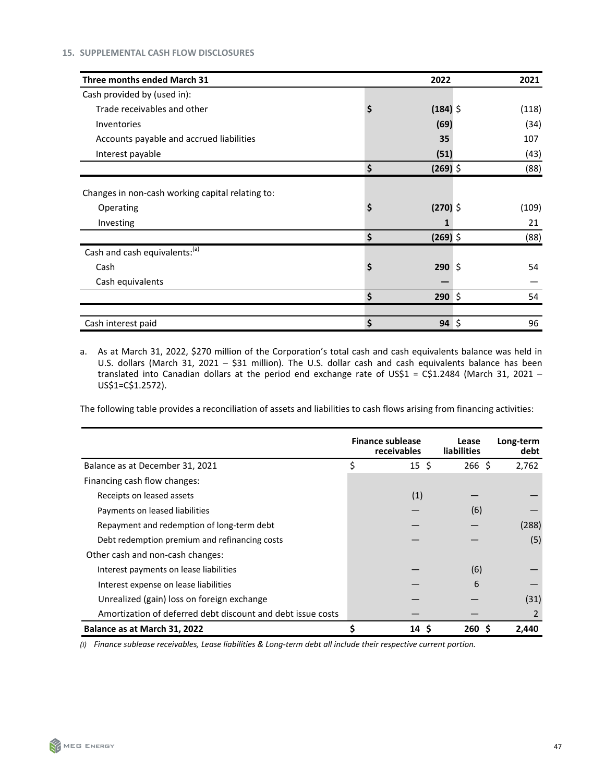| Three months ended March 31                      | 2022             | 2021  |
|--------------------------------------------------|------------------|-------|
| Cash provided by (used in):                      |                  |       |
| Trade receivables and other                      | \$<br>$(184)$ \$ | (118) |
| Inventories                                      | (69)             | (34)  |
| Accounts payable and accrued liabilities         | 35               | 107   |
| Interest payable                                 | (51)             | (43)  |
|                                                  | \$<br>$(269)$ \$ | (88)  |
| Changes in non-cash working capital relating to: |                  |       |
| Operating                                        | \$<br>$(270)$ \$ | (109) |
| Investing                                        | 1                | 21    |
|                                                  | \$<br>$(269)$ \$ | (88)  |
| Cash and cash equivalents: <sup>(a)</sup>        |                  |       |
| Cash                                             | \$<br>$290 \div$ | 54    |
| Cash equivalents                                 |                  |       |
|                                                  | \$<br>$290 \div$ | 54    |
|                                                  |                  |       |
| Cash interest paid                               | \$<br>$94 \;$ \$ | 96    |

a. As at March 31, 2022, \$270 million of the Corporation's total cash and cash equivalents balance was held in U.S. dollars (March 31, 2021 - \$31 million). The U.S. dollar cash and cash equivalents balance has been translated into Canadian dollars at the period end exchange rate of US\$1 = C\$1.2484 (March 31, 2021 -US\$1=C\$1.2572).

The following table provides a reconciliation of assets and liabilities to cash flows arising from financing activities:

|                                                             | <b>Finance sublease</b><br>receivables | Lease<br><b>liabilities</b> | Long-term<br>debt |
|-------------------------------------------------------------|----------------------------------------|-----------------------------|-------------------|
| Balance as at December 31, 2021                             | \$<br>$15 \;$ \$                       | $266$ \$                    | 2,762             |
| Financing cash flow changes:                                |                                        |                             |                   |
| Receipts on leased assets                                   | (1)                                    |                             |                   |
| Payments on leased liabilities                              |                                        | (6)                         |                   |
| Repayment and redemption of long-term debt                  |                                        |                             | (288)             |
| Debt redemption premium and refinancing costs               |                                        |                             | (5)               |
| Other cash and non-cash changes:                            |                                        |                             |                   |
| Interest payments on lease liabilities                      |                                        | (6)                         |                   |
| Interest expense on lease liabilities                       |                                        | 6                           |                   |
| Unrealized (gain) loss on foreign exchange                  |                                        |                             | (31)              |
| Amortization of deferred debt discount and debt issue costs |                                        |                             | 2                 |
| Balance as at March 31, 2022                                | 14 S                                   | 260S                        | 2,440             |

(i) Finance sublease receivables, Lease liabilities & Long-term debt all include their respective current portion.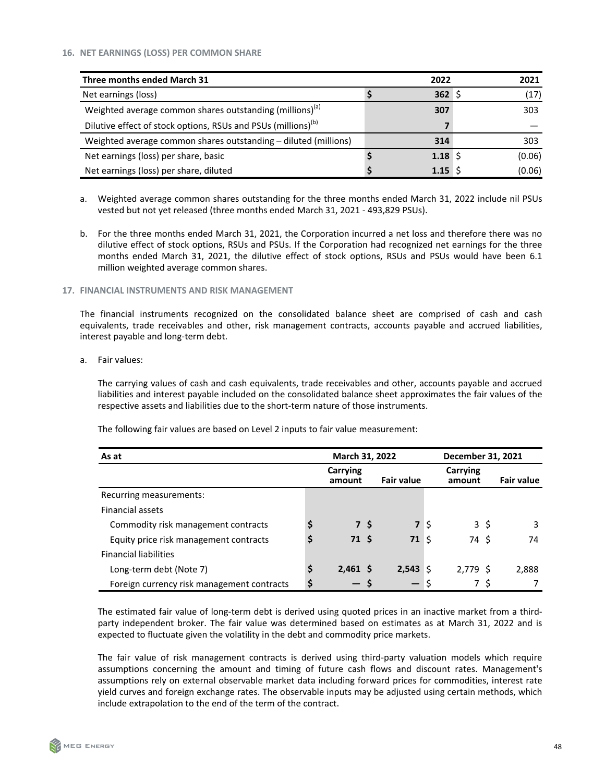| Three months ended March 31                                               | 2022             | 2021   |
|---------------------------------------------------------------------------|------------------|--------|
| Net earnings (loss)                                                       | 362S             | (17)   |
| Weighted average common shares outstanding (millions) <sup>(a)</sup>      | 307              | 303    |
| Dilutive effect of stock options, RSUs and PSUs (millions) <sup>(b)</sup> |                  |        |
| Weighted average common shares outstanding - diluted (millions)           | 314              | 303    |
| Net earnings (loss) per share, basic                                      | $1.18 \; \simeq$ | (0.06) |
| Net earnings (loss) per share, diluted                                    | $1.15 \,$ S      | (0.06) |

- a. Weighted average common shares outstanding for the three months ended March 31, 2022 include nil PSUs vested but not yet released (three months ended March 31, 2021 - 493,829 PSUs).
- b. For the three months ended March 31, 2021, the Corporation incurred a net loss and therefore there was no dilutive effect of stock options, RSUs and PSUs. If the Corporation had recognized net earnings for the three months ended March 31, 2021, the dilutive effect of stock options, RSUs and PSUs would have been 6.1 million weighted average common shares.

#### **17. FINANCIAL INSTRUMENTS AND RISK MANAGEMENT**

The financial instruments recognized on the consolidated balance sheet are comprised of cash and cash equivalents, trade receivables and other, risk management contracts, accounts payable and accrued liabilities, interest payable and long-term debt.

a. Fair values:

The carrying values of cash and cash equivalents, trade receivables and other, accounts payable and accrued liabilities and interest payable included on the consolidated balance sheet approximates the fair values of the respective assets and liabilities due to the short-term nature of those instruments.

The following fair values are based on Level 2 inputs to fair value measurement:

| As at                                      |    | March 31, 2022     |     |                   | December 31, 2021 |                    |                   |  |
|--------------------------------------------|----|--------------------|-----|-------------------|-------------------|--------------------|-------------------|--|
|                                            |    | Carrying<br>amount |     | <b>Fair value</b> |                   | Carrying<br>amount | <b>Fair value</b> |  |
| Recurring measurements:                    |    |                    |     |                   |                   |                    |                   |  |
| <b>Financial assets</b>                    |    |                    |     |                   |                   |                    |                   |  |
| Commodity risk management contracts        | \$ |                    | 7 S | 7 <sup>5</sup>    |                   | 3 \$               | 3                 |  |
| Equity price risk management contracts     | \$ | 71 <sup>5</sup>    |     | 71                | - 5               | 74 S               | 74                |  |
| <b>Financial liabilities</b>               |    |                    |     |                   |                   |                    |                   |  |
| Long-term debt (Note 7)                    | \$ | $2,461$ \$         |     | 2,543             | ∣\$               | 2.779S             | 2,888             |  |
| Foreign currency risk management contracts | Ś  |                    |     |                   |                   | 7 S                |                   |  |

The estimated fair value of long-term debt is derived using quoted prices in an inactive market from a thirdparty independent broker. The fair value was determined based on estimates as at March 31, 2022 and is expected to fluctuate given the volatility in the debt and commodity price markets.

The fair value of risk management contracts is derived using third-party valuation models which require assumptions concerning the amount and timing of future cash flows and discount rates. Management's assumptions rely on external observable market data including forward prices for commodities, interest rate yield curves and foreign exchange rates. The observable inputs may be adjusted using certain methods, which include extrapolation to the end of the term of the contract.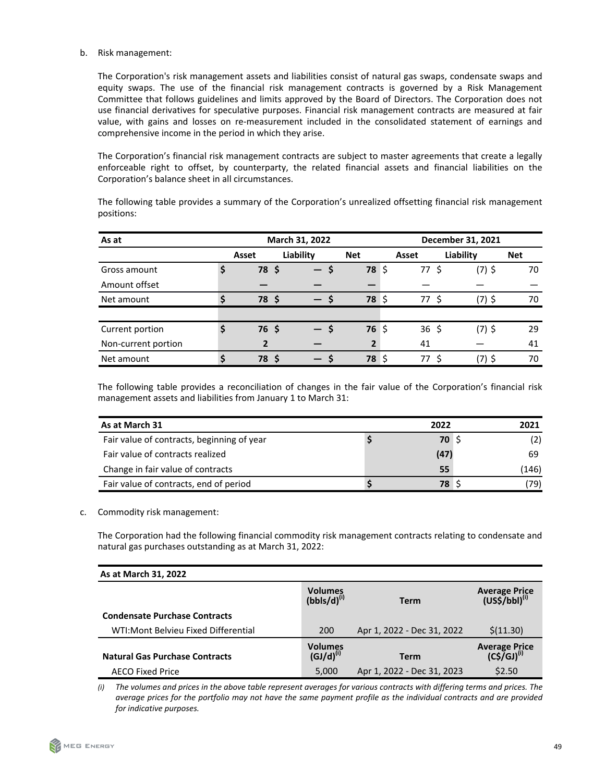# b. Risk management:

The Corporation's risk management assets and liabilities consist of natural gas swaps, condensate swaps and equity swaps. The use of the financial risk management contracts is governed by a Risk Management Committee that follows guidelines and limits approved by the Board of Directors. The Corporation does not use financial derivatives for speculative purposes. Financial risk management contracts are measured at fair value, with gains and losses on re-measurement included in the consolidated statement of earnings and comprehensive income in the period in which they arise.

The Corporation's financial risk management contracts are subject to master agreements that create a legally enforceable right to offset, by counterparty, the related financial assets and financial liabilities on the Corporation's balance sheet in all circumstances.

The following table provides a summary of the Corporation's unrealized offsetting financial risk management positions: 

| As at               | March 31, 2022 |                |           |      |                | December 31, 2021 |                 |           |          |            |
|---------------------|----------------|----------------|-----------|------|----------------|-------------------|-----------------|-----------|----------|------------|
|                     |                | Asset          | Liability |      | <b>Net</b>     |                   | Asset           | Liability |          | <b>Net</b> |
| Gross amount        | Ş              | 78 \$          |           | — \$ | 78             | \$                | 77              | Ŝ.        | $(7)$ \$ | 70         |
| Amount offset       |                |                |           |      |                |                   |                 |           |          |            |
| Net amount          | \$             | 78 \$          |           | $-$  | 78 \$          |                   | 77 S            |           | $(7)$ \$ | 70         |
|                     |                |                |           |      |                |                   |                 |           |          |            |
| Current portion     | \$             | 76, 5          |           | — \$ | $76\;$ \$      |                   | $36\frac{2}{3}$ |           | $(7)$ \$ | 29         |
| Non-current portion |                | $\overline{2}$ |           |      | $\overline{2}$ |                   | 41              |           |          | 41         |
| Net amount          | Ś              | <b>78 \$</b>   |           | $-$  | 78             | ۱\$               | 77              | - S       | (7) \$   | 70         |

The following table provides a reconciliation of changes in the fair value of the Corporation's financial risk management assets and liabilities from January 1 to March 31:

| As at March 31                             | 2022         | 2021  |
|--------------------------------------------|--------------|-------|
| Fair value of contracts, beginning of year | <b>70</b> \$ | (2)   |
| Fair value of contracts realized           | (47)         | 69    |
| Change in fair value of contracts          | 55           | (146) |
| Fair value of contracts, end of period     | <b>78</b> \$ | (79)  |

# c. Commodity risk management:

The Corporation had the following financial commodity risk management contracts relating to condensate and natural gas purchases outstanding as at March 31, 2022:

| As at March 31, 2022                  |                                    |                            |                                                   |
|---------------------------------------|------------------------------------|----------------------------|---------------------------------------------------|
|                                       | <b>Volumes</b><br>$(bbls/d)^{(i)}$ | Term                       | Average Price<br>(US\$/bbl) <sup>(i)</sup>        |
| <b>Condensate Purchase Contracts</b>  |                                    |                            |                                                   |
| WTI: Mont Belvieu Fixed Differential  | 200                                | Apr 1, 2022 - Dec 31, 2022 | \$(11.30)                                         |
| <b>Natural Gas Purchase Contracts</b> | <b>Volumes</b><br>$(GJ/d)^{(i)}$   | <b>Term</b>                | <b>Average Price</b><br>$(C5\overline{GJ})^{(i)}$ |
| <b>AECO Fixed Price</b>               | 5,000                              | Apr 1, 2022 - Dec 31, 2023 | \$2.50                                            |

(i) The volumes and prices in the above table represent averages for various contracts with differing terms and prices. The *average prices for the portfolio may not have the same payment profile as the individual contracts and are provided for indicative purposes.*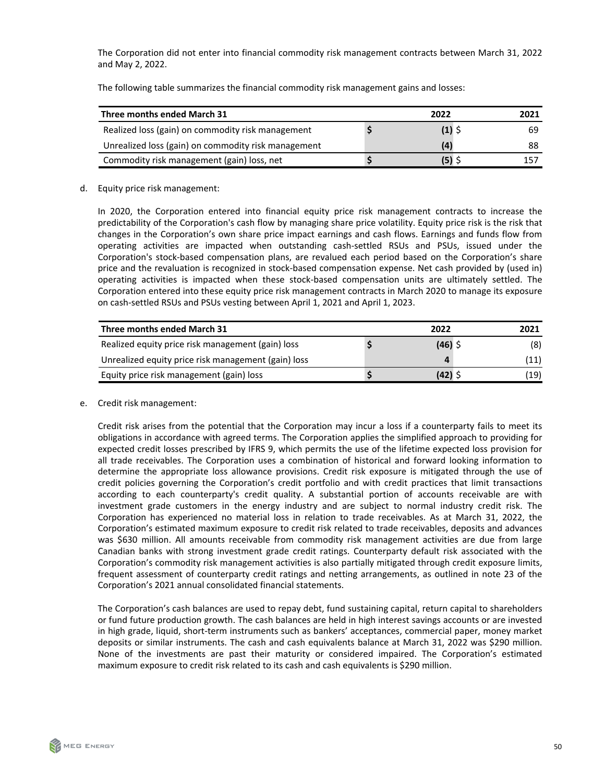The Corporation did not enter into financial commodity risk management contracts between March 31, 2022 and May 2, 2022.

The following table summarizes the financial commodity risk management gains and losses:

| Three months ended March 31                         | 2022 | 2021 |
|-----------------------------------------------------|------|------|
| Realized loss (gain) on commodity risk management   |      | 69   |
| Unrealized loss (gain) on commodity risk management | (4)  | 88   |
| Commodity risk management (gain) loss, net          |      | 157  |

d. Equity price risk management:

In 2020, the Corporation entered into financial equity price risk management contracts to increase the predictability of the Corporation's cash flow by managing share price volatility. Equity price risk is the risk that changes in the Corporation's own share price impact earnings and cash flows. Earnings and funds flow from operating activities are impacted when outstanding cash-settled RSUs and PSUs, issued under the Corporation's stock-based compensation plans, are revalued each period based on the Corporation's share price and the revaluation is recognized in stock-based compensation expense. Net cash provided by (used in) operating activities is impacted when these stock-based compensation units are ultimately settled. The Corporation entered into these equity price risk management contracts in March 2020 to manage its exposure on cash-settled RSUs and PSUs vesting between April 1, 2021 and April 1, 2023.

| Three months ended March 31                         | 2022      | 2021 |
|-----------------------------------------------------|-----------|------|
| Realized equity price risk management (gain) loss   | $(46)$ \$ | (8)  |
| Unrealized equity price risk management (gain) loss |           | (11) |
| Equity price risk management (gain) loss            | $(42)$ \$ | (19) |

e. Credit risk management:

Credit risk arises from the potential that the Corporation may incur a loss if a counterparty fails to meet its obligations in accordance with agreed terms. The Corporation applies the simplified approach to providing for expected credit losses prescribed by IFRS 9, which permits the use of the lifetime expected loss provision for all trade receivables. The Corporation uses a combination of historical and forward looking information to determine the appropriate loss allowance provisions. Credit risk exposure is mitigated through the use of credit policies governing the Corporation's credit portfolio and with credit practices that limit transactions according to each counterparty's credit quality. A substantial portion of accounts receivable are with investment grade customers in the energy industry and are subject to normal industry credit risk. The Corporation has experienced no material loss in relation to trade receivables. As at March 31, 2022, the Corporation's estimated maximum exposure to credit risk related to trade receivables, deposits and advances was \$630 million. All amounts receivable from commodity risk management activities are due from large Canadian banks with strong investment grade credit ratings. Counterparty default risk associated with the Corporation's commodity risk management activities is also partially mitigated through credit exposure limits, frequent assessment of counterparty credit ratings and netting arrangements, as outlined in note 23 of the Corporation's 2021 annual consolidated financial statements.

The Corporation's cash balances are used to repay debt, fund sustaining capital, return capital to shareholders or fund future production growth. The cash balances are held in high interest savings accounts or are invested in high grade, liquid, short-term instruments such as bankers' acceptances, commercial paper, money market deposits or similar instruments. The cash and cash equivalents balance at March 31, 2022 was \$290 million. None of the investments are past their maturity or considered impaired. The Corporation's estimated maximum exposure to credit risk related to its cash and cash equivalents is \$290 million.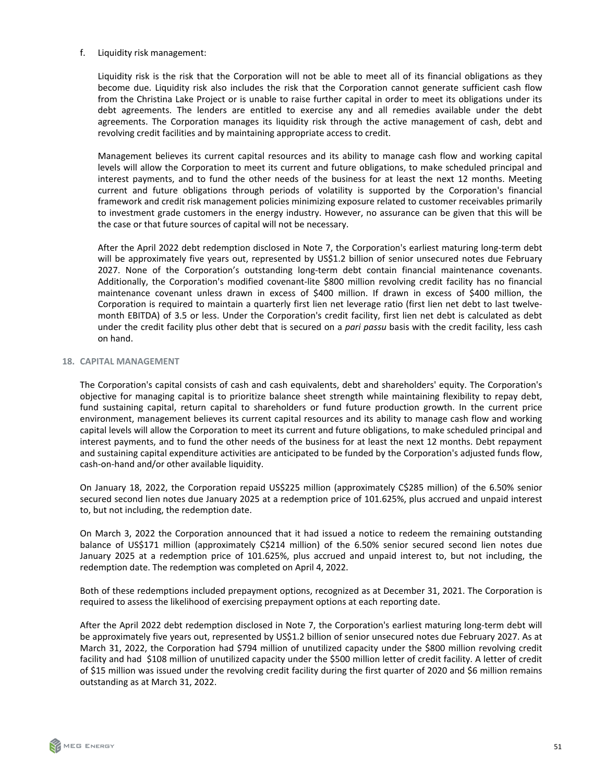f. Liquidity risk management:

Liquidity risk is the risk that the Corporation will not be able to meet all of its financial obligations as they become due. Liquidity risk also includes the risk that the Corporation cannot generate sufficient cash flow from the Christina Lake Project or is unable to raise further capital in order to meet its obligations under its debt agreements. The lenders are entitled to exercise any and all remedies available under the debt agreements. The Corporation manages its liquidity risk through the active management of cash, debt and revolving credit facilities and by maintaining appropriate access to credit.

Management believes its current capital resources and its ability to manage cash flow and working capital levels will allow the Corporation to meet its current and future obligations, to make scheduled principal and interest payments, and to fund the other needs of the business for at least the next 12 months. Meeting current and future obligations through periods of volatility is supported by the Corporation's financial framework and credit risk management policies minimizing exposure related to customer receivables primarily to investment grade customers in the energy industry. However, no assurance can be given that this will be the case or that future sources of capital will not be necessary.

After the April 2022 debt redemption disclosed in Note 7, the Corporation's earliest maturing long-term debt will be approximately five years out, represented by US\$1.2 billion of senior unsecured notes due February 2027. None of the Corporation's outstanding long-term debt contain financial maintenance covenants. Additionally, the Corporation's modified covenant-lite \$800 million revolving credit facility has no financial maintenance covenant unless drawn in excess of \$400 million. If drawn in excess of \$400 million, the Corporation is required to maintain a quarterly first lien net leverage ratio (first lien net debt to last twelvemonth EBITDA) of 3.5 or less. Under the Corporation's credit facility, first lien net debt is calculated as debt under the credit facility plus other debt that is secured on a *pari passu* basis with the credit facility, less cash on hand.

#### **18. CAPITAL MANAGEMENT**

The Corporation's capital consists of cash and cash equivalents, debt and shareholders' equity. The Corporation's objective for managing capital is to prioritize balance sheet strength while maintaining flexibility to repay debt, fund sustaining capital, return capital to shareholders or fund future production growth. In the current price environment, management believes its current capital resources and its ability to manage cash flow and working capital levels will allow the Corporation to meet its current and future obligations, to make scheduled principal and interest payments, and to fund the other needs of the business for at least the next 12 months. Debt repayment and sustaining capital expenditure activities are anticipated to be funded by the Corporation's adjusted funds flow, cash-on-hand and/or other available liquidity.

On January 18, 2022, the Corporation repaid US\$225 million (approximately C\$285 million) of the 6.50% senior secured second lien notes due January 2025 at a redemption price of 101.625%, plus accrued and unpaid interest to, but not including, the redemption date.

On March 3, 2022 the Corporation announced that it had issued a notice to redeem the remaining outstanding balance of US\$171 million (approximately C\$214 million) of the 6.50% senior secured second lien notes due January 2025 at a redemption price of 101.625%, plus accrued and unpaid interest to, but not including, the redemption date. The redemption was completed on April 4, 2022.

Both of these redemptions included prepayment options, recognized as at December 31, 2021. The Corporation is required to assess the likelihood of exercising prepayment options at each reporting date.

After the April 2022 debt redemption disclosed in Note 7, the Corporation's earliest maturing long-term debt will be approximately five years out, represented by US\$1.2 billion of senior unsecured notes due February 2027. As at March 31, 2022, the Corporation had \$794 million of unutilized capacity under the \$800 million revolving credit facility and had \$108 million of unutilized capacity under the \$500 million letter of credit facility. A letter of credit of \$15 million was issued under the revolving credit facility during the first quarter of 2020 and \$6 million remains outstanding as at March 31, 2022.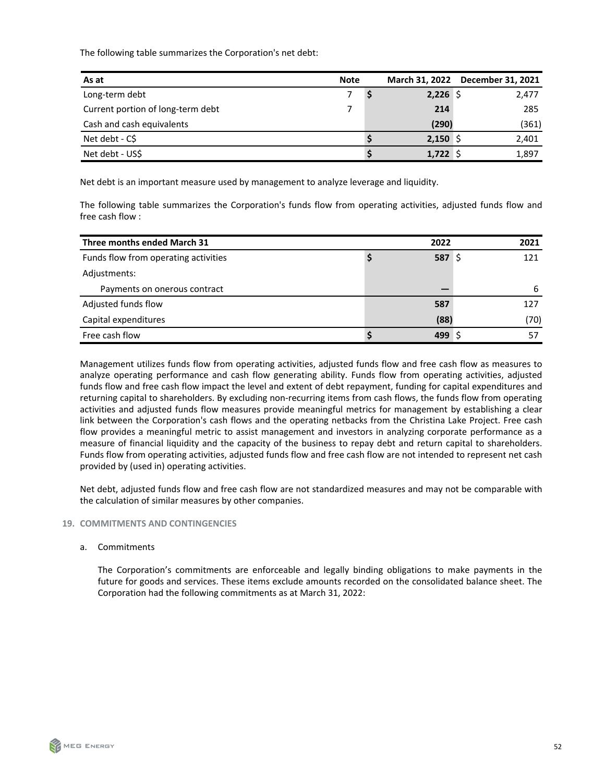The following table summarizes the Corporation's net debt:

| As at                             | <b>Note</b> | March 31, 2022 | December 31, 2021 |
|-----------------------------------|-------------|----------------|-------------------|
| Long-term debt                    |             | $2,226$ \$     | 2,477             |
| Current portion of long-term debt |             | 214            | 285               |
| Cash and cash equivalents         |             | (290)          | (361)             |
| Net debt - C\$                    |             | $2,150$ \$     | 2,401             |
| Net debt - US\$                   |             | 1,722          | 1,897             |

Net debt is an important measure used by management to analyze leverage and liquidity.

The following table summarizes the Corporation's funds flow from operating activities, adjusted funds flow and free cash flow :

| Three months ended March 31          | 2022       | 2021 |
|--------------------------------------|------------|------|
| Funds flow from operating activities | $587\;$ \$ | 121  |
| Adjustments:                         |            |      |
| Payments on onerous contract         |            | 6    |
| Adjusted funds flow                  | 587        | 127  |
| Capital expenditures                 | (88)       | (70) |
| Free cash flow                       | 499        |      |

Management utilizes funds flow from operating activities, adjusted funds flow and free cash flow as measures to analyze operating performance and cash flow generating ability. Funds flow from operating activities, adjusted funds flow and free cash flow impact the level and extent of debt repayment, funding for capital expenditures and returning capital to shareholders. By excluding non-recurring items from cash flows, the funds flow from operating activities and adjusted funds flow measures provide meaningful metrics for management by establishing a clear link between the Corporation's cash flows and the operating netbacks from the Christina Lake Project. Free cash flow provides a meaningful metric to assist management and investors in analyzing corporate performance as a measure of financial liquidity and the capacity of the business to repay debt and return capital to shareholders. Funds flow from operating activities, adjusted funds flow and free cash flow are not intended to represent net cash provided by (used in) operating activities.

Net debt, adjusted funds flow and free cash flow are not standardized measures and may not be comparable with the calculation of similar measures by other companies.

# **19. COMMITMENTS AND CONTINGENCIES**

# a. Commitments

The Corporation's commitments are enforceable and legally binding obligations to make payments in the future for goods and services. These items exclude amounts recorded on the consolidated balance sheet. The Corporation had the following commitments as at March 31, 2022: